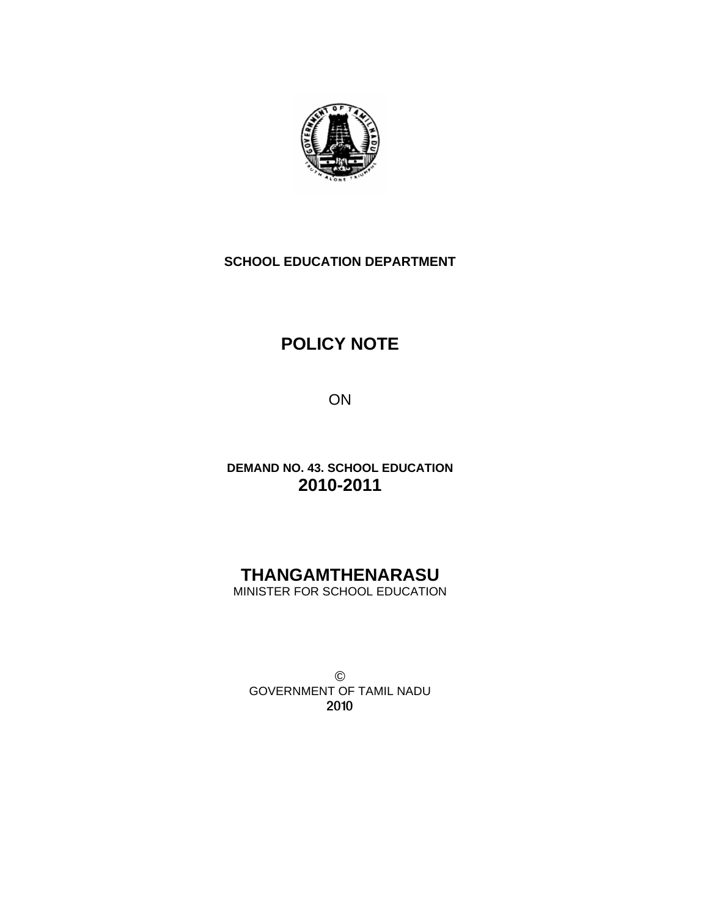

## **SCHOOL EDUCATION DEPARTMENT**

# **POLICY NOTE**

ON

**DEMAND NO. 43. SCHOOL EDUCATION 2010-2011** 

# **THANGAMTHENARASU** MINISTER FOR SCHOOL EDUCATION

© GOVERNMENT OF TAMIL NADU 2010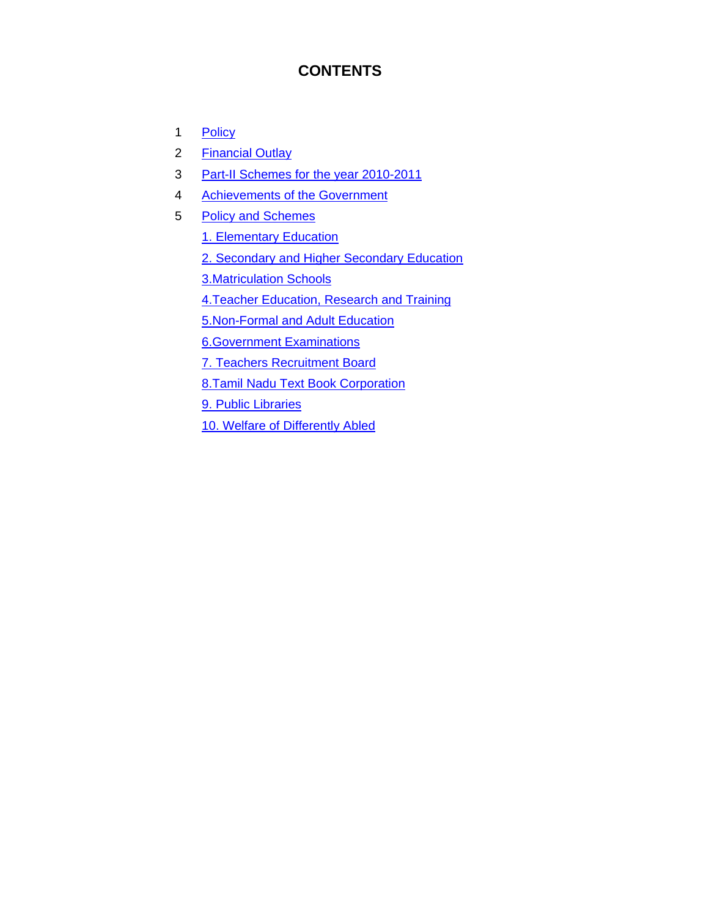# **CONTENTS**

- 1 Policy
- 2 Financial Outlay
- 3 Part-II Schemes for the year 2010-2011
- 4 Achievements of the Government
- 5 Policy and Schemes
	- 1. Elementary Education
	- 2. Secondary and Higher Secondary Education
	- 3.Matriculation Schools
	- 4.Teacher Education, Research and Training
	- 5.Non-Formal and Adult Education
	- 6.Government Examinations
	- 7. Teachers Recruitment Board
	- 8.Tamil Nadu Text Book Corporation
	- 9. Public Libraries
	- 10. Welfare of Differently Abled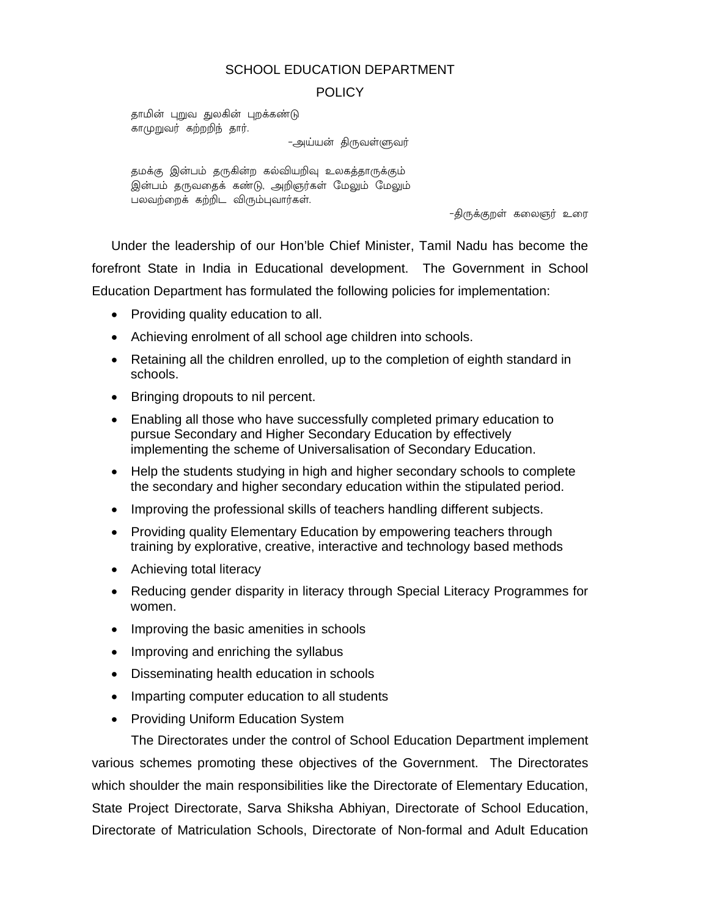## SCHOOL EDUCATION DEPARTMENT

## POLICY

தாமின் புறுவ துலகின் புறக்கண்டு காமுறுவர் கற்றறிந் தார்.

-அய்யன் திருவள்ளுவர்

தமக்கு இன்பம் தருகின்ற கல்வியறிவு உலகத்தாருக்கும் இன்பம் தருவதைக் கண்டு, அறிஞர்கள் மேலும் மேலும் பலவற்றைக் கற்றிட விரும்புவார்கள்.

-திருக்குறள் கலைஞர் உரை

Under the leadership of our Hon'ble Chief Minister, Tamil Nadu has become the forefront State in India in Educational development. The Government in School Education Department has formulated the following policies for implementation:

- Providing quality education to all.
- Achieving enrolment of all school age children into schools.
- Retaining all the children enrolled, up to the completion of eighth standard in schools.
- Bringing dropouts to nil percent.
- Enabling all those who have successfully completed primary education to pursue Secondary and Higher Secondary Education by effectively implementing the scheme of Universalisation of Secondary Education.
- Help the students studying in high and higher secondary schools to complete the secondary and higher secondary education within the stipulated period.
- Improving the professional skills of teachers handling different subjects.
- Providing quality Elementary Education by empowering teachers through training by explorative, creative, interactive and technology based methods
- Achieving total literacy
- Reducing gender disparity in literacy through Special Literacy Programmes for women.
- Improving the basic amenities in schools
- Improving and enriching the syllabus
- Disseminating health education in schools
- Imparting computer education to all students
- Providing Uniform Education System

 The Directorates under the control of School Education Department implement various schemes promoting these objectives of the Government. The Directorates which shoulder the main responsibilities like the Directorate of Elementary Education, State Project Directorate, Sarva Shiksha Abhiyan, Directorate of School Education, Directorate of Matriculation Schools, Directorate of Non-formal and Adult Education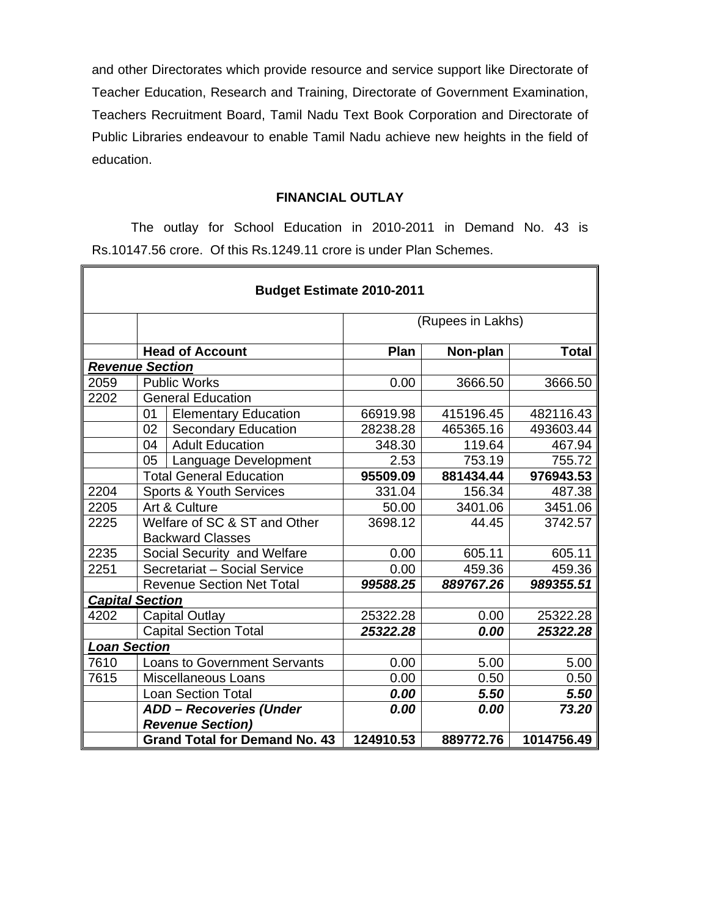and other Directorates which provide resource and service support like Directorate of Teacher Education, Research and Training, Directorate of Government Examination, Teachers Recruitment Board, Tamil Nadu Text Book Corporation and Directorate of Public Libraries endeavour to enable Tamil Nadu achieve new heights in the field of education.

## **FINANCIAL OUTLAY**

 The outlay for School Education in 2010-2011 in Demand No. 43 is Rs.10147.56 crore. Of this Rs.1249.11 crore is under Plan Schemes.

| <b>Budget Estimate 2010-2011</b> |                     |                                      |                   |           |              |
|----------------------------------|---------------------|--------------------------------------|-------------------|-----------|--------------|
|                                  |                     |                                      | (Rupees in Lakhs) |           |              |
|                                  |                     | <b>Head of Account</b>               | Plan              | Non-plan  | <b>Total</b> |
| <b>Revenue Section</b>           |                     |                                      |                   |           |              |
| 2059                             |                     | <b>Public Works</b>                  | 0.00              | 3666.50   | 3666.50      |
| 2202                             |                     | <b>General Education</b>             |                   |           |              |
|                                  | 01                  | <b>Elementary Education</b>          | 66919.98          | 415196.45 | 482116.43    |
|                                  | 02                  | <b>Secondary Education</b>           | 28238.28          | 465365.16 | 493603.44    |
|                                  | 04                  | <b>Adult Education</b>               | 348.30            | 119.64    | 467.94       |
|                                  | 05                  | Language Development                 | 2.53              | 753.19    | 755.72       |
|                                  |                     | <b>Total General Education</b>       | 95509.09          | 881434.44 | 976943.53    |
| 2204                             |                     | <b>Sports &amp; Youth Services</b>   | 331.04            | 156.34    | 487.38       |
| 2205                             |                     | Art & Culture                        | 50.00             | 3401.06   | 3451.06      |
| 2225                             |                     | Welfare of SC & ST and Other         | 3698.12           | 44.45     | 3742.57      |
|                                  |                     | <b>Backward Classes</b>              |                   |           |              |
| 2235                             |                     | Social Security and Welfare          | 0.00              | 605.11    | 605.11       |
| 2251                             |                     | Secretariat - Social Service         | 0.00              | 459.36    | 459.36       |
|                                  |                     | <b>Revenue Section Net Total</b>     | 99588.25          | 889767.26 | 989355.51    |
| <b>Capital Section</b>           |                     |                                      |                   |           |              |
| 4202                             |                     | <b>Capital Outlay</b>                | 25322.28          | 0.00      | 25322.28     |
|                                  |                     | <b>Capital Section Total</b>         | 25322.28          | 0.00      | 25322.28     |
|                                  | <b>Loan Section</b> |                                      |                   |           |              |
| 7610                             |                     | <b>Loans to Government Servants</b>  | 0.00              | 5.00      | 5.00         |
| 7615                             |                     | Miscellaneous Loans                  | 0.00              | 0.50      | 0.50         |
|                                  |                     | <b>Loan Section Total</b>            | 0.00              | 5.50      | 5.50         |
|                                  |                     | <b>ADD - Recoveries (Under</b>       | 0.00              | 0.00      | 73.20        |
|                                  |                     | <b>Revenue Section)</b>              |                   |           |              |
|                                  |                     | <b>Grand Total for Demand No. 43</b> | 124910.53         | 889772.76 | 1014756.49   |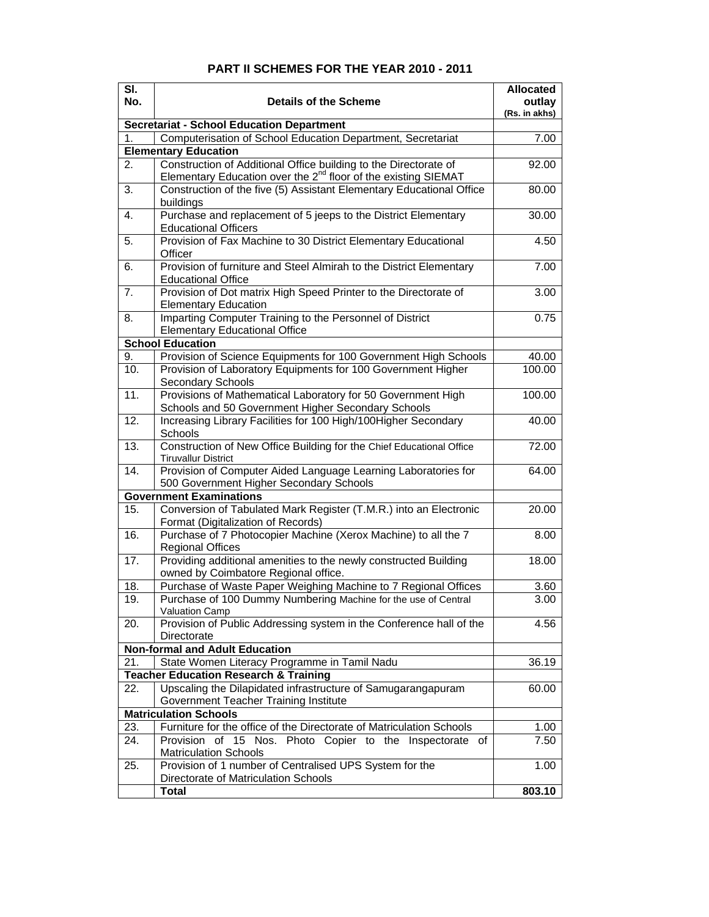| SI.<br>No. | <b>Details of the Scheme</b>                                                                                                                   | <b>Allocated</b><br>outlay |
|------------|------------------------------------------------------------------------------------------------------------------------------------------------|----------------------------|
|            |                                                                                                                                                | (Rs. in akhs)              |
|            | <b>Secretariat - School Education Department</b>                                                                                               |                            |
| 1.         | Computerisation of School Education Department, Secretariat                                                                                    | 7.00                       |
|            | <b>Elementary Education</b>                                                                                                                    |                            |
| 2.         | Construction of Additional Office building to the Directorate of<br>Elementary Education over the 2 <sup>nd</sup> floor of the existing SIEMAT | 92.00                      |
| 3.         | Construction of the five (5) Assistant Elementary Educational Office<br>buildings                                                              | 80.00                      |
| 4.         | Purchase and replacement of 5 jeeps to the District Elementary<br><b>Educational Officers</b>                                                  | 30.00                      |
| 5.         | Provision of Fax Machine to 30 District Elementary Educational<br>Officer                                                                      | 4.50                       |
| 6.         | Provision of furniture and Steel Almirah to the District Elementary<br><b>Educational Office</b>                                               | 7.00                       |
| 7.         | Provision of Dot matrix High Speed Printer to the Directorate of<br><b>Elementary Education</b>                                                | 3.00                       |
| 8.         | Imparting Computer Training to the Personnel of District<br><b>Elementary Educational Office</b>                                               | 0.75                       |
|            | <b>School Education</b>                                                                                                                        |                            |
| 9.         | Provision of Science Equipments for 100 Government High Schools                                                                                | 40.00                      |
| 10.        | Provision of Laboratory Equipments for 100 Government Higher<br>Secondary Schools                                                              | 100.00                     |
| 11.        | Provisions of Mathematical Laboratory for 50 Government High<br>Schools and 50 Government Higher Secondary Schools                             | 100.00                     |
| 12.        | Increasing Library Facilities for 100 High/100Higher Secondary<br>Schools                                                                      | 40.00                      |
| 13.        | Construction of New Office Building for the Chief Educational Office<br><b>Tiruvallur District</b>                                             | 72.00                      |
| 14.        | Provision of Computer Aided Language Learning Laboratories for<br>500 Government Higher Secondary Schools                                      | 64.00                      |
|            | <b>Government Examinations</b>                                                                                                                 |                            |
| 15.        | Conversion of Tabulated Mark Register (T.M.R.) into an Electronic<br>Format (Digitalization of Records)                                        | 20.00                      |
| 16.        | Purchase of 7 Photocopier Machine (Xerox Machine) to all the 7<br><b>Regional Offices</b>                                                      | 8.00                       |
| 17.        | Providing additional amenities to the newly constructed Building<br>owned by Coimbatore Regional office.                                       | 18.00                      |
| 18.        | Purchase of Waste Paper Weighing Machine to 7 Regional Offices                                                                                 | 3.60                       |
| 19.        | Purchase of 100 Dummy Numbering Machine for the use of Central<br>Valuation Camp                                                               | 3.00                       |
| 20.        | Provision of Public Addressing system in the Conference hall of the<br>Directorate                                                             | 4.56                       |
|            | <b>Non-formal and Adult Education</b>                                                                                                          |                            |
| 21.        | State Women Literacy Programme in Tamil Nadu                                                                                                   | 36.19                      |
|            | <b>Teacher Education Research &amp; Training</b>                                                                                               |                            |
| 22.        | Upscaling the Dilapidated infrastructure of Samugarangapuram<br>Government Teacher Training Institute                                          | 60.00                      |
|            | <b>Matriculation Schools</b>                                                                                                                   |                            |
| 23.        | Furniture for the office of the Directorate of Matriculation Schools                                                                           | 1.00                       |
| 24.        | Provision of 15 Nos. Photo Copier to the Inspectorate of<br><b>Matriculation Schools</b>                                                       | 7.50                       |
| 25.        | Provision of 1 number of Centralised UPS System for the<br>Directorate of Matriculation Schools                                                | 1.00                       |
|            | Total                                                                                                                                          | 803.10                     |

#### **PART II SCHEMES FOR THE YEAR 2010 - 2011**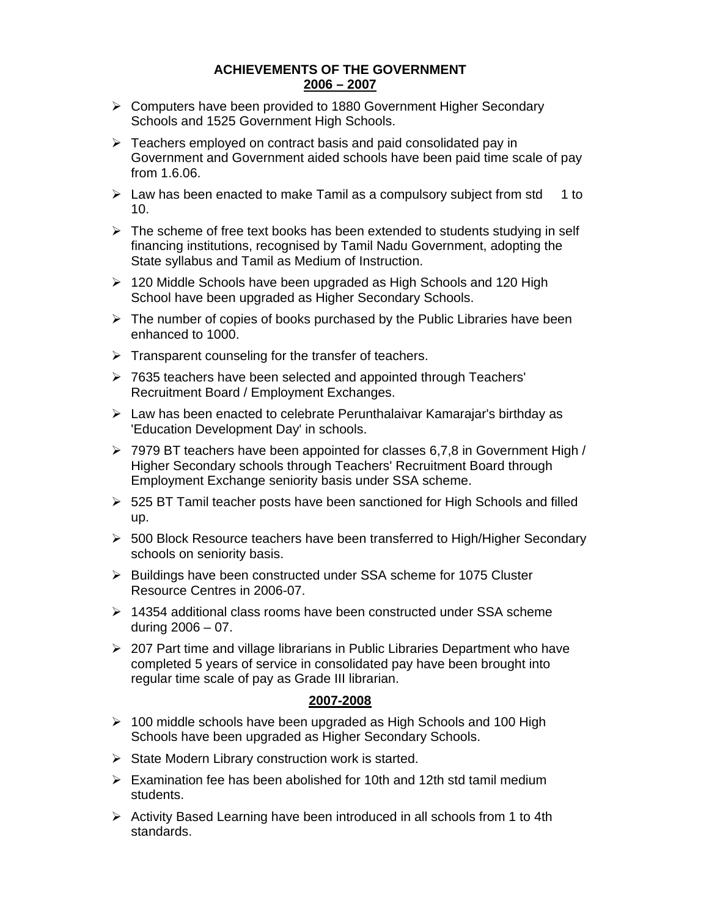## **ACHIEVEMENTS OF THE GOVERNMENT 2006 – 2007**

- ¾ Computers have been provided to 1880 Government Higher Secondary Schools and 1525 Government High Schools.
- $\triangleright$  Teachers employed on contract basis and paid consolidated pay in Government and Government aided schools have been paid time scale of pay from 1.6.06.
- $\triangleright$  Law has been enacted to make Tamil as a compulsory subject from std 1 to 10.
- $\triangleright$  The scheme of free text books has been extended to students studying in self financing institutions, recognised by Tamil Nadu Government, adopting the State syllabus and Tamil as Medium of Instruction.
- $\geq 120$  Middle Schools have been upgraded as High Schools and 120 High School have been upgraded as Higher Secondary Schools.
- $\triangleright$  The number of copies of books purchased by the Public Libraries have been enhanced to 1000.
- $\triangleright$  Transparent counseling for the transfer of teachers.
- ¾ 7635 teachers have been selected and appointed through Teachers' Recruitment Board / Employment Exchanges.
- $\triangleright$  Law has been enacted to celebrate Perunthalaivar Kamarajar's birthday as 'Education Development Day' in schools.
- $\geq 7979$  BT teachers have been appointed for classes 6,7,8 in Government High / Higher Secondary schools through Teachers' Recruitment Board through Employment Exchange seniority basis under SSA scheme.
- ¾ 525 BT Tamil teacher posts have been sanctioned for High Schools and filled up.
- $\triangleright$  500 Block Resource teachers have been transferred to High/Higher Secondary schools on seniority basis.
- ¾ Buildings have been constructed under SSA scheme for 1075 Cluster Resource Centres in 2006-07.
- $\geq 14354$  additional class rooms have been constructed under SSA scheme during  $2006 - 07$ .
- ¾ 207 Part time and village librarians in Public Libraries Department who have completed 5 years of service in consolidated pay have been brought into regular time scale of pay as Grade III librarian.

#### **2007-2008**

- $\geq 100$  middle schools have been upgraded as High Schools and 100 High Schools have been upgraded as Higher Secondary Schools.
- $\triangleright$  State Modern Library construction work is started.
- $\triangleright$  Examination fee has been abolished for 10th and 12th std tamil medium students.
- $\triangleright$  Activity Based Learning have been introduced in all schools from 1 to 4th standards.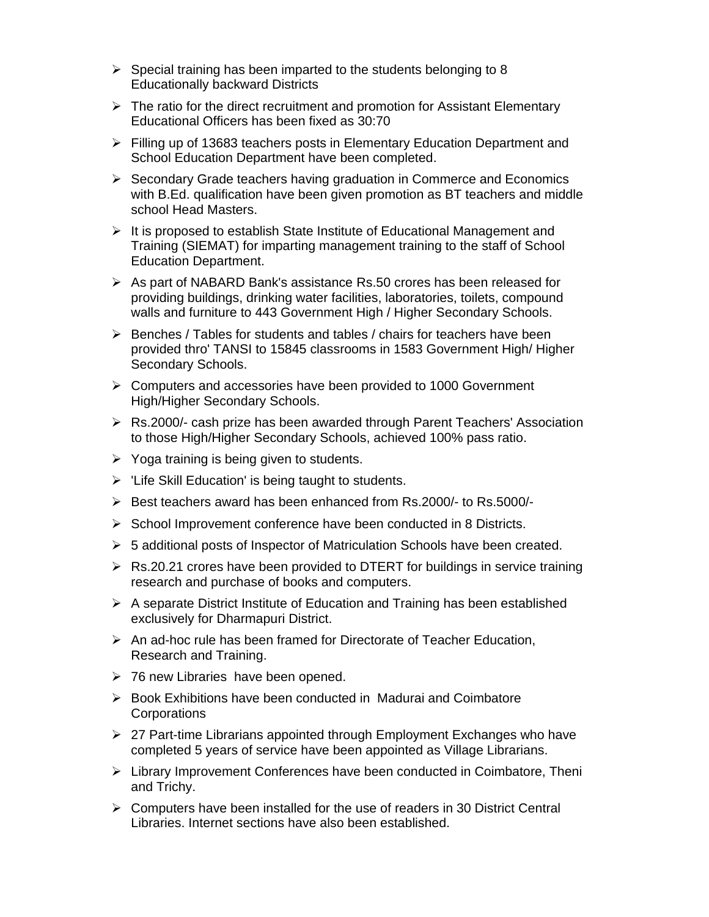- $\triangleright$  Special training has been imparted to the students belonging to 8 Educationally backward Districts
- $\triangleright$  The ratio for the direct recruitment and promotion for Assistant Elementary Educational Officers has been fixed as 30:70
- ¾ Filling up of 13683 teachers posts in Elementary Education Department and School Education Department have been completed.
- ¾ Secondary Grade teachers having graduation in Commerce and Economics with B.Ed. qualification have been given promotion as BT teachers and middle school Head Masters.
- $\triangleright$  It is proposed to establish State Institute of Educational Management and Training (SIEMAT) for imparting management training to the staff of School Education Department.
- $\triangleright$  As part of NABARD Bank's assistance Rs.50 crores has been released for providing buildings, drinking water facilities, laboratories, toilets, compound walls and furniture to 443 Government High / Higher Secondary Schools.
- $\triangleright$  Benches / Tables for students and tables / chairs for teachers have been provided thro' TANSI to 15845 classrooms in 1583 Government High/ Higher Secondary Schools.
- ¾ Computers and accessories have been provided to 1000 Government High/Higher Secondary Schools.
- ¾ Rs.2000/- cash prize has been awarded through Parent Teachers' Association to those High/Higher Secondary Schools, achieved 100% pass ratio.
- $\triangleright$  Yoga training is being given to students.
- $\triangleright$  'Life Skill Education' is being taught to students.
- ¾ Best teachers award has been enhanced from Rs.2000/- to Rs.5000/-
- $\triangleright$  School Improvement conference have been conducted in 8 Districts.
- $\triangleright$  5 additional posts of Inspector of Matriculation Schools have been created.
- ¾ Rs.20.21 crores have been provided to DTERT for buildings in service training research and purchase of books and computers.
- $\triangleright$  A separate District Institute of Education and Training has been established exclusively for Dharmapuri District.
- $\triangleright$  An ad-hoc rule has been framed for Directorate of Teacher Education, Research and Training.
- $\geq$  76 new Libraries have been opened.
- ¾ Book Exhibitions have been conducted in Madurai and Coimbatore **Corporations**
- $\geq$  27 Part-time Librarians appointed through Employment Exchanges who have completed 5 years of service have been appointed as Village Librarians.
- $\triangleright$  Library Improvement Conferences have been conducted in Coimbatore, Theni and Trichy.
- $\triangleright$  Computers have been installed for the use of readers in 30 District Central Libraries. Internet sections have also been established.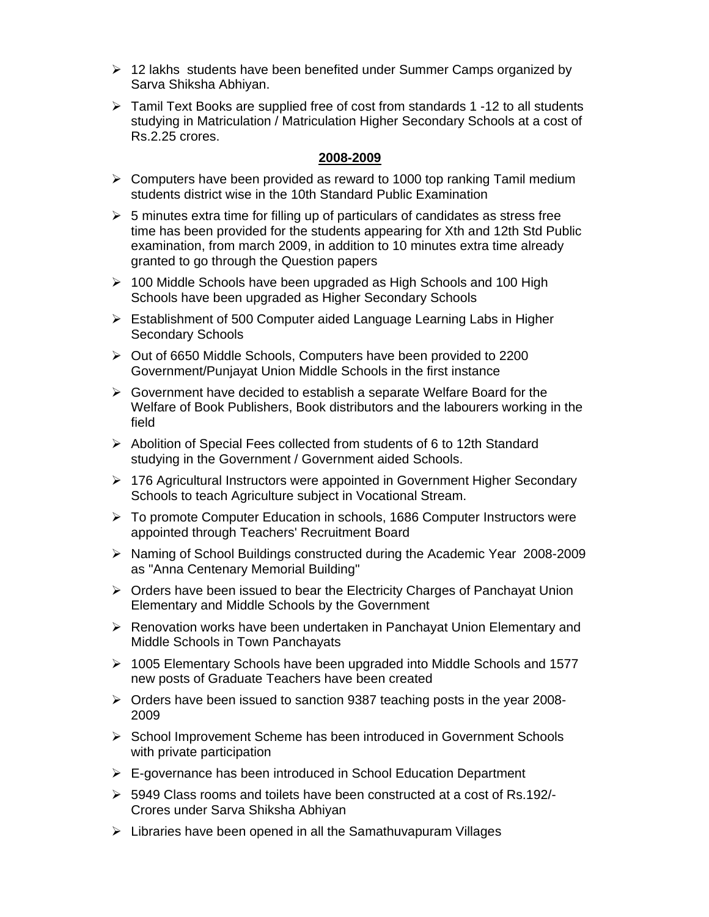- ¾ 12 lakhs students have been benefited under Summer Camps organized by Sarva Shiksha Abhiyan.
- $\triangleright$  Tamil Text Books are supplied free of cost from standards 1 -12 to all students studying in Matriculation / Matriculation Higher Secondary Schools at a cost of Rs.2.25 crores.

## **2008-2009**

- $\triangleright$  Computers have been provided as reward to 1000 top ranking Tamil medium students district wise in the 10th Standard Public Examination
- $\triangleright$  5 minutes extra time for filling up of particulars of candidates as stress free time has been provided for the students appearing for Xth and 12th Std Public examination, from march 2009, in addition to 10 minutes extra time already granted to go through the Question papers
- $\geq 100$  Middle Schools have been upgraded as High Schools and 100 High Schools have been upgraded as Higher Secondary Schools
- ¾ Establishment of 500 Computer aided Language Learning Labs in Higher Secondary Schools
- ¾ Out of 6650 Middle Schools, Computers have been provided to 2200 Government/Punjayat Union Middle Schools in the first instance
- $\triangleright$  Government have decided to establish a separate Welfare Board for the Welfare of Book Publishers, Book distributors and the labourers working in the field
- ¾ Abolition of Special Fees collected from students of 6 to 12th Standard studying in the Government / Government aided Schools.
- ¾ 176 Agricultural Instructors were appointed in Government Higher Secondary Schools to teach Agriculture subject in Vocational Stream.
- ¾ To promote Computer Education in schools, 1686 Computer Instructors were appointed through Teachers' Recruitment Board
- ¾ Naming of School Buildings constructed during the Academic Year 2008-2009 as "Anna Centenary Memorial Building"
- ¾ Orders have been issued to bear the Electricity Charges of Panchayat Union Elementary and Middle Schools by the Government
- $\triangleright$  Renovation works have been undertaken in Panchayat Union Elementary and Middle Schools in Town Panchayats
- ¾ 1005 Elementary Schools have been upgraded into Middle Schools and 1577 new posts of Graduate Teachers have been created
- ¾ Orders have been issued to sanction 9387 teaching posts in the year 2008- 2009
- ¾ School Improvement Scheme has been introduced in Government Schools with private participation
- $\triangleright$  E-governance has been introduced in School Education Department
- ¾ 5949 Class rooms and toilets have been constructed at a cost of Rs.192/- Crores under Sarva Shiksha Abhiyan
- $\triangleright$  Libraries have been opened in all the Samathuvapuram Villages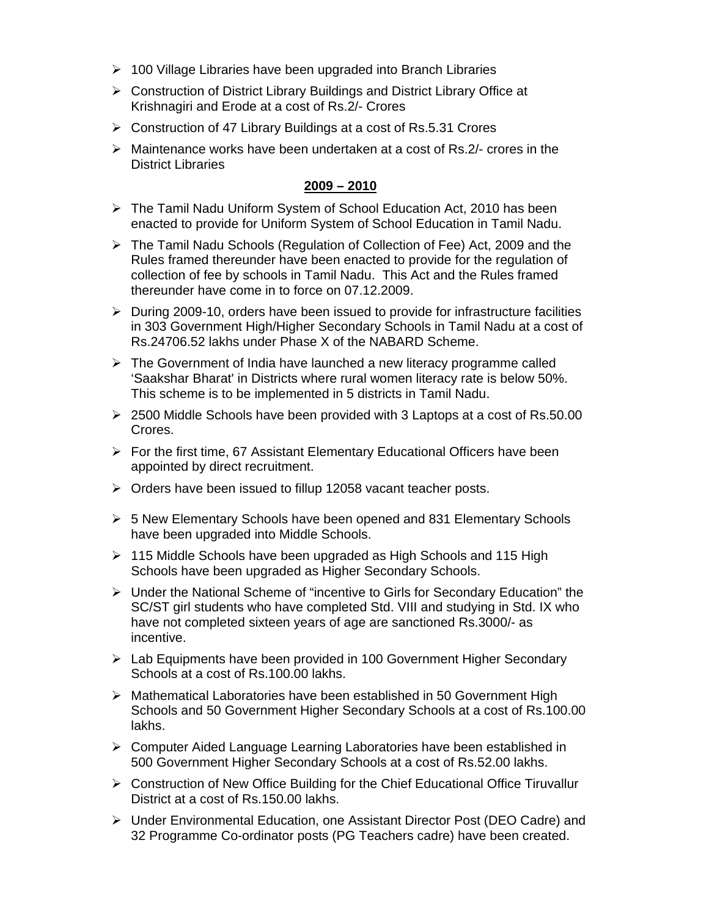- $\geq 100$  Village Libraries have been upgraded into Branch Libraries
- ¾ Construction of District Library Buildings and District Library Office at Krishnagiri and Erode at a cost of Rs.2/- Crores
- ¾ Construction of 47 Library Buildings at a cost of Rs.5.31 Crores
- $\triangleright$  Maintenance works have been undertaken at a cost of Rs. 2/- crores in the District Libraries

## **2009 – 2010**

- ¾ The Tamil Nadu Uniform System of School Education Act, 2010 has been enacted to provide for Uniform System of School Education in Tamil Nadu.
- ¾ The Tamil Nadu Schools (Regulation of Collection of Fee) Act, 2009 and the Rules framed thereunder have been enacted to provide for the regulation of collection of fee by schools in Tamil Nadu. This Act and the Rules framed thereunder have come in to force on 07.12.2009.
- $\triangleright$  During 2009-10, orders have been issued to provide for infrastructure facilities in 303 Government High/Higher Secondary Schools in Tamil Nadu at a cost of Rs.24706.52 lakhs under Phase X of the NABARD Scheme.
- $\triangleright$  The Government of India have launched a new literacy programme called 'Saakshar Bharat' in Districts where rural women literacy rate is below 50%. This scheme is to be implemented in 5 districts in Tamil Nadu.
- $\geq$  2500 Middle Schools have been provided with 3 Laptops at a cost of Rs.50.00 Crores.
- $\triangleright$  For the first time, 67 Assistant Elementary Educational Officers have been appointed by direct recruitment.
- ¾ Orders have been issued to fillup 12058 vacant teacher posts.
- $\triangleright$  5 New Elementary Schools have been opened and 831 Elementary Schools have been upgraded into Middle Schools.
- $\geq 115$  Middle Schools have been upgraded as High Schools and 115 High Schools have been upgraded as Higher Secondary Schools.
- ¾ Under the National Scheme of "incentive to Girls for Secondary Education" the SC/ST girl students who have completed Std. VIII and studying in Std. IX who have not completed sixteen years of age are sanctioned Rs.3000/- as incentive.
- $\triangleright$  Lab Equipments have been provided in 100 Government Higher Secondary Schools at a cost of Rs.100.00 lakhs.
- $\triangleright$  Mathematical Laboratories have been established in 50 Government High Schools and 50 Government Higher Secondary Schools at a cost of Rs.100.00 lakhs.
- ¾ Computer Aided Language Learning Laboratories have been established in 500 Government Higher Secondary Schools at a cost of Rs.52.00 lakhs.
- ¾ Construction of New Office Building for the Chief Educational Office Tiruvallur District at a cost of Rs.150.00 lakhs.
- ¾ Under Environmental Education, one Assistant Director Post (DEO Cadre) and 32 Programme Co-ordinator posts (PG Teachers cadre) have been created.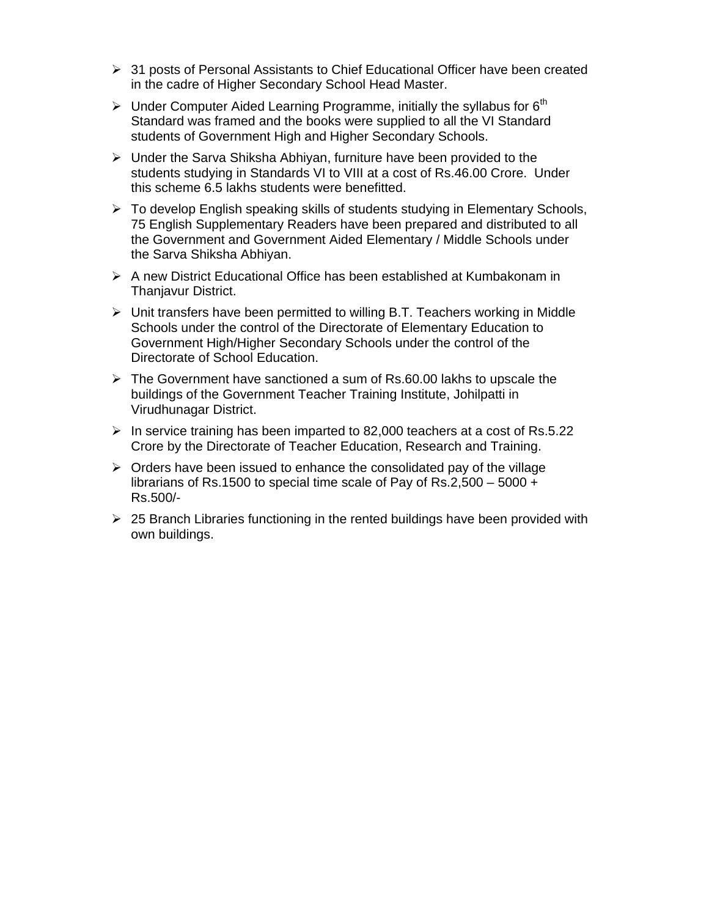- $\geq$  31 posts of Personal Assistants to Chief Educational Officer have been created in the cadre of Higher Secondary School Head Master.
- $\triangleright$  Under Computer Aided Learning Programme, initially the syllabus for 6<sup>th</sup> Standard was framed and the books were supplied to all the VI Standard students of Government High and Higher Secondary Schools.
- $\triangleright$  Under the Sarva Shiksha Abhiyan, furniture have been provided to the students studying in Standards VI to VIII at a cost of Rs.46.00 Crore. Under this scheme 6.5 lakhs students were benefitted.
- ¾ To develop English speaking skills of students studying in Elementary Schools, 75 English Supplementary Readers have been prepared and distributed to all the Government and Government Aided Elementary / Middle Schools under the Sarva Shiksha Abhiyan.
- ¾ A new District Educational Office has been established at Kumbakonam in Thanjavur District.
- $\triangleright$  Unit transfers have been permitted to willing B.T. Teachers working in Middle Schools under the control of the Directorate of Elementary Education to Government High/Higher Secondary Schools under the control of the Directorate of School Education.
- $\triangleright$  The Government have sanctioned a sum of Rs.60.00 lakhs to upscale the buildings of the Government Teacher Training Institute, Johilpatti in Virudhunagar District.
- $\triangleright$  In service training has been imparted to 82,000 teachers at a cost of Rs.5.22 Crore by the Directorate of Teacher Education, Research and Training.
- $\triangleright$  Orders have been issued to enhance the consolidated pay of the village librarians of Rs.1500 to special time scale of Pay of Rs.2,500 – 5000 + Rs.500/-
- $\geq$  25 Branch Libraries functioning in the rented buildings have been provided with own buildings.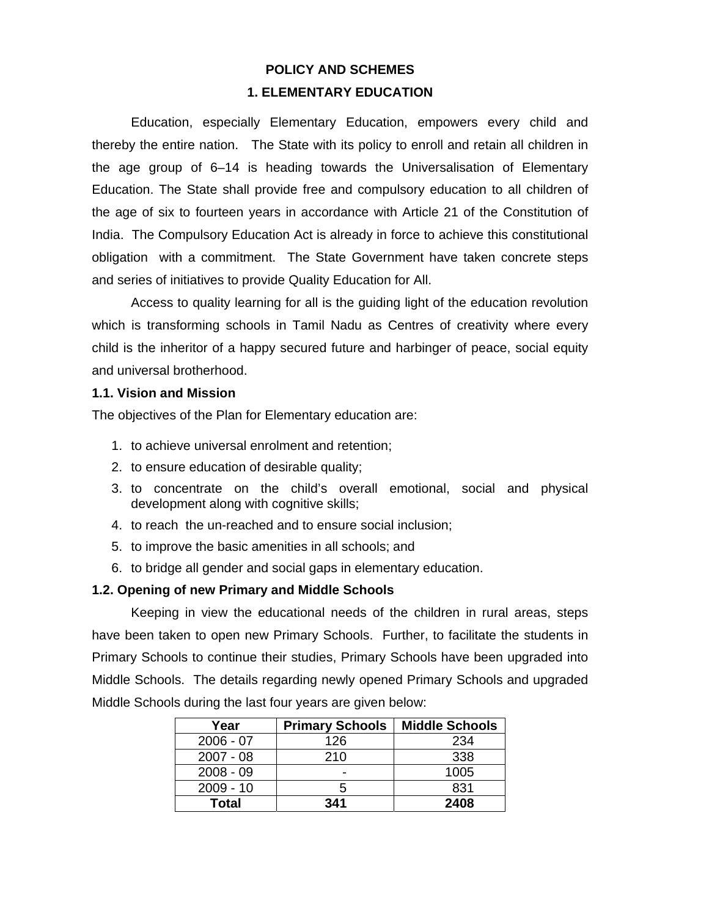## **POLICY AND SCHEMES 1. ELEMENTARY EDUCATION**

Education, especially Elementary Education, empowers every child and thereby the entire nation. The State with its policy to enroll and retain all children in the age group of 6–14 is heading towards the Universalisation of Elementary Education. The State shall provide free and compulsory education to all children of the age of six to fourteen years in accordance with Article 21 of the Constitution of India. The Compulsory Education Act is already in force to achieve this constitutional obligation with a commitment. The State Government have taken concrete steps and series of initiatives to provide Quality Education for All.

 Access to quality learning for all is the guiding light of the education revolution which is transforming schools in Tamil Nadu as Centres of creativity where every child is the inheritor of a happy secured future and harbinger of peace, social equity and universal brotherhood.

## **1.1. Vision and Mission**

The objectives of the Plan for Elementary education are:

- 1. to achieve universal enrolment and retention;
- 2. to ensure education of desirable quality;
- 3. to concentrate on the child's overall emotional, social and physical development along with cognitive skills;
- 4. to reach the un-reached and to ensure social inclusion;
- 5. to improve the basic amenities in all schools; and
- 6. to bridge all gender and social gaps in elementary education.

## **1.2. Opening of new Primary and Middle Schools**

 Keeping in view the educational needs of the children in rural areas, steps have been taken to open new Primary Schools. Further, to facilitate the students in Primary Schools to continue their studies, Primary Schools have been upgraded into Middle Schools. The details regarding newly opened Primary Schools and upgraded Middle Schools during the last four years are given below:

| Year         | <b>Primary Schools</b> | <b>Middle Schools</b> |
|--------------|------------------------|-----------------------|
| $2006 - 07$  | 126                    | 234                   |
| $2007 - 08$  | 210                    | 338                   |
| $2008 - 09$  | -                      | 1005                  |
| $2009 - 10$  | h.                     | 831                   |
| <b>Total</b> | 341                    | 2408                  |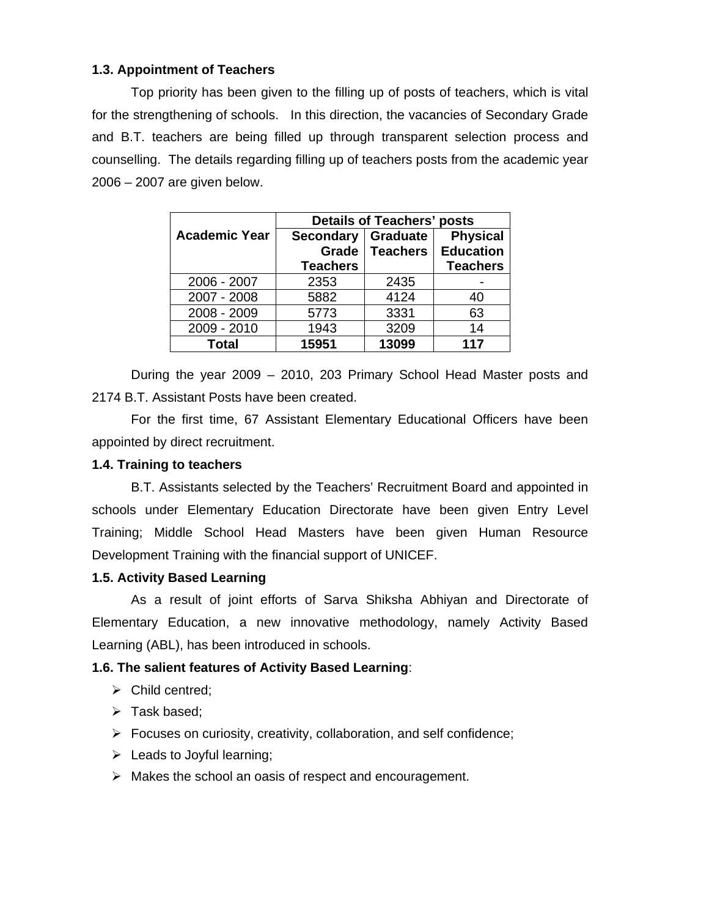## **1.3. Appointment of Teachers**

 Top priority has been given to the filling up of posts of teachers, which is vital for the strengthening of schools. In this direction, the vacancies of Secondary Grade and B.T. teachers are being filled up through transparent selection process and counselling. The details regarding filling up of teachers posts from the academic year 2006 – 2007 are given below.

|                      | <b>Details of Teachers' posts</b> |                 |                  |  |
|----------------------|-----------------------------------|-----------------|------------------|--|
| <b>Academic Year</b> | <b>Secondary</b>                  | <b>Graduate</b> | <b>Physical</b>  |  |
|                      | Grade                             | <b>Teachers</b> | <b>Education</b> |  |
|                      | <b>Teachers</b>                   |                 | <b>Teachers</b>  |  |
| 2006 - 2007          | 2353                              | 2435            |                  |  |
| 2007 - 2008          | 5882                              | 4124            | 40               |  |
| 2008 - 2009          | 5773                              | 3331            | 63               |  |
| 2009 - 2010          | 1943                              | 3209            | 14               |  |
| <b>Total</b>         | 15951                             | 13099           | 117              |  |

 During the year 2009 – 2010, 203 Primary School Head Master posts and 2174 B.T. Assistant Posts have been created.

 For the first time, 67 Assistant Elementary Educational Officers have been appointed by direct recruitment.

## **1.4. Training to teachers**

 B.T. Assistants selected by the Teachers' Recruitment Board and appointed in schools under Elementary Education Directorate have been given Entry Level Training; Middle School Head Masters have been given Human Resource Development Training with the financial support of UNICEF.

## **1.5. Activity Based Learning**

 As a result of joint efforts of Sarva Shiksha Abhiyan and Directorate of Elementary Education, a new innovative methodology, namely Activity Based Learning (ABL), has been introduced in schools.

## **1.6. The salient features of Activity Based Learning**:

- $\triangleright$  Child centred:
- $\triangleright$  Task based;
- $\triangleright$  Focuses on curiosity, creativity, collaboration, and self confidence;
- $\triangleright$  Leads to Joyful learning;
- $\triangleright$  Makes the school an oasis of respect and encouragement.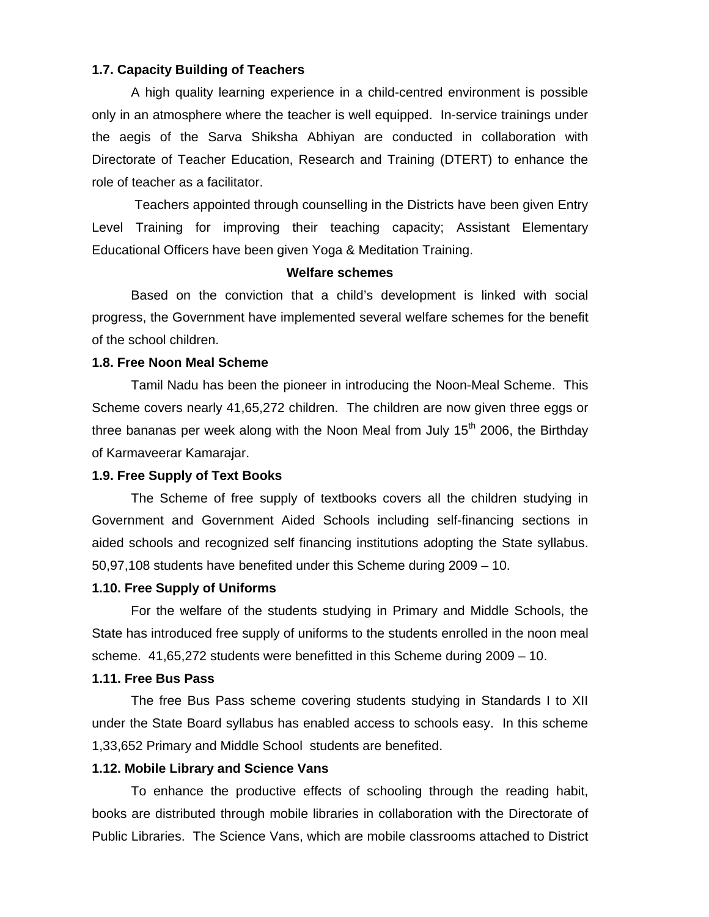## **1.7. Capacity Building of Teachers**

 A high quality learning experience in a child-centred environment is possible only in an atmosphere where the teacher is well equipped. In-service trainings under the aegis of the Sarva Shiksha Abhiyan are conducted in collaboration with Directorate of Teacher Education, Research and Training (DTERT) to enhance the role of teacher as a facilitator.

 Teachers appointed through counselling in the Districts have been given Entry Level Training for improving their teaching capacity; Assistant Elementary Educational Officers have been given Yoga & Meditation Training.

#### **Welfare schemes**

 Based on the conviction that a child's development is linked with social progress, the Government have implemented several welfare schemes for the benefit of the school children.

#### **1.8. Free Noon Meal Scheme**

 Tamil Nadu has been the pioneer in introducing the Noon-Meal Scheme. This Scheme covers nearly 41,65,272 children. The children are now given three eggs or three bananas per week along with the Noon Meal from July  $15<sup>th</sup>$  2006, the Birthday of Karmaveerar Kamarajar.

#### **1.9. Free Supply of Text Books**

 The Scheme of free supply of textbooks covers all the children studying in Government and Government Aided Schools including self-financing sections in aided schools and recognized self financing institutions adopting the State syllabus. 50,97,108 students have benefited under this Scheme during 2009 – 10.

#### **1.10. Free Supply of Uniforms**

 For the welfare of the students studying in Primary and Middle Schools, the State has introduced free supply of uniforms to the students enrolled in the noon meal scheme. 41,65,272 students were benefitted in this Scheme during 2009 – 10.

#### **1.11. Free Bus Pass**

 The free Bus Pass scheme covering students studying in Standards I to XII under the State Board syllabus has enabled access to schools easy. In this scheme 1,33,652 Primary and Middle School students are benefited.

#### **1.12. Mobile Library and Science Vans**

 To enhance the productive effects of schooling through the reading habit, books are distributed through mobile libraries in collaboration with the Directorate of Public Libraries. The Science Vans, which are mobile classrooms attached to District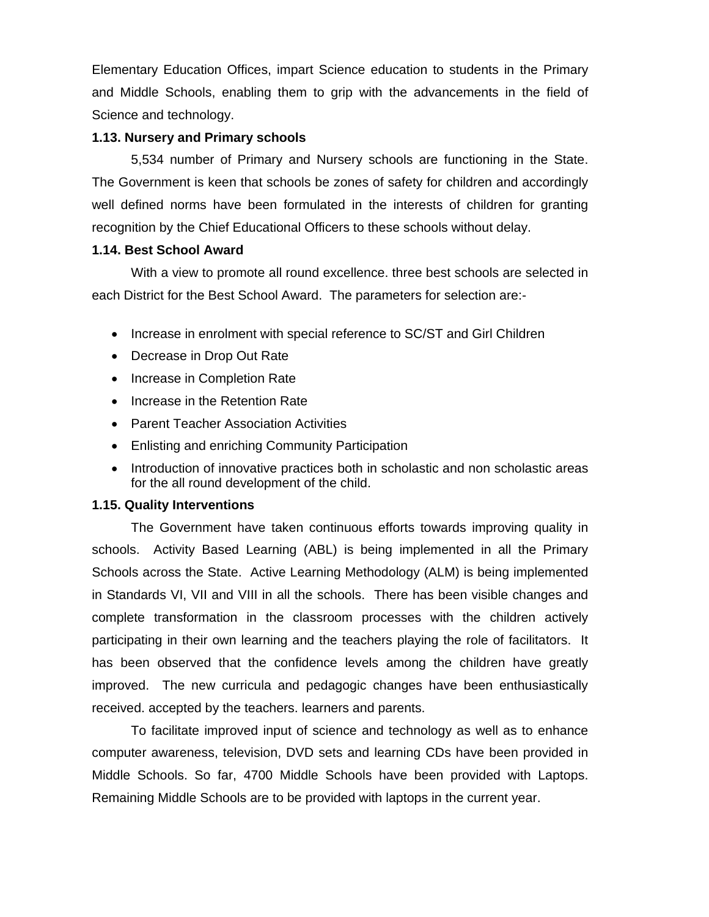Elementary Education Offices, impart Science education to students in the Primary and Middle Schools, enabling them to grip with the advancements in the field of Science and technology.

## **1.13. Nursery and Primary schools**

 5,534 number of Primary and Nursery schools are functioning in the State. The Government is keen that schools be zones of safety for children and accordingly well defined norms have been formulated in the interests of children for granting recognition by the Chief Educational Officers to these schools without delay.

## **1.14. Best School Award**

 With a view to promote all round excellence. three best schools are selected in each District for the Best School Award. The parameters for selection are:-

- Increase in enrolment with special reference to SC/ST and Girl Children
- Decrease in Drop Out Rate
- Increase in Completion Rate
- Increase in the Retention Rate
- Parent Teacher Association Activities
- Enlisting and enriching Community Participation
- Introduction of innovative practices both in scholastic and non scholastic areas for the all round development of the child.

## **1.15. Quality Interventions**

 The Government have taken continuous efforts towards improving quality in schools. Activity Based Learning (ABL) is being implemented in all the Primary Schools across the State. Active Learning Methodology (ALM) is being implemented in Standards VI, VII and VIII in all the schools. There has been visible changes and complete transformation in the classroom processes with the children actively participating in their own learning and the teachers playing the role of facilitators. It has been observed that the confidence levels among the children have greatly improved. The new curricula and pedagogic changes have been enthusiastically received. accepted by the teachers. learners and parents.

To facilitate improved input of science and technology as well as to enhance computer awareness, television, DVD sets and learning CDs have been provided in Middle Schools. So far, 4700 Middle Schools have been provided with Laptops. Remaining Middle Schools are to be provided with laptops in the current year.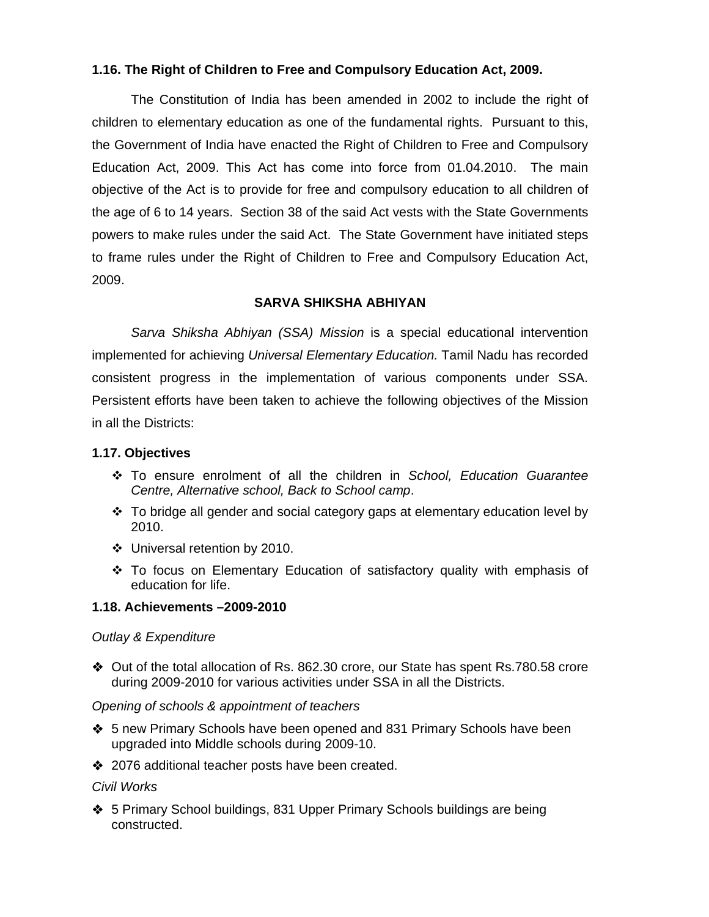## **1.16. The Right of Children to Free and Compulsory Education Act, 2009.**

 The Constitution of India has been amended in 2002 to include the right of children to elementary education as one of the fundamental rights. Pursuant to this, the Government of India have enacted the Right of Children to Free and Compulsory Education Act, 2009. This Act has come into force from 01.04.2010. The main objective of the Act is to provide for free and compulsory education to all children of the age of 6 to 14 years. Section 38 of the said Act vests with the State Governments powers to make rules under the said Act. The State Government have initiated steps to frame rules under the Right of Children to Free and Compulsory Education Act, 2009.

## **SARVA SHIKSHA ABHIYAN**

*Sarva Shiksha Abhiyan (SSA) Mission* is a special educational intervention implemented for achieving *Universal Elementary Education.* Tamil Nadu has recorded consistent progress in the implementation of various components under SSA. Persistent efforts have been taken to achieve the following objectives of the Mission in all the Districts:

## **1.17. Objectives**

- To ensure enrolment of all the children in *School, Education Guarantee Centre, Alternative school, Back to School camp*.
- $\div$  To bridge all gender and social category gaps at elementary education level by 2010.
- Universal retention by 2010.
- To focus on Elementary Education of satisfactory quality with emphasis of education for life.

## **1.18. Achievements –2009-2010**

## *Outlay & Expenditure*

 Out of the total allocation of Rs. 862.30 crore, our State has spent Rs.780.58 crore during 2009-2010 for various activities under SSA in all the Districts.

#### *Opening of schools & appointment of teachers*

- ◆ 5 new Primary Schools have been opened and 831 Primary Schools have been upgraded into Middle schools during 2009-10.
- ◆ 2076 additional teacher posts have been created.

## *Civil Works*

◆ 5 Primary School buildings, 831 Upper Primary Schools buildings are being constructed.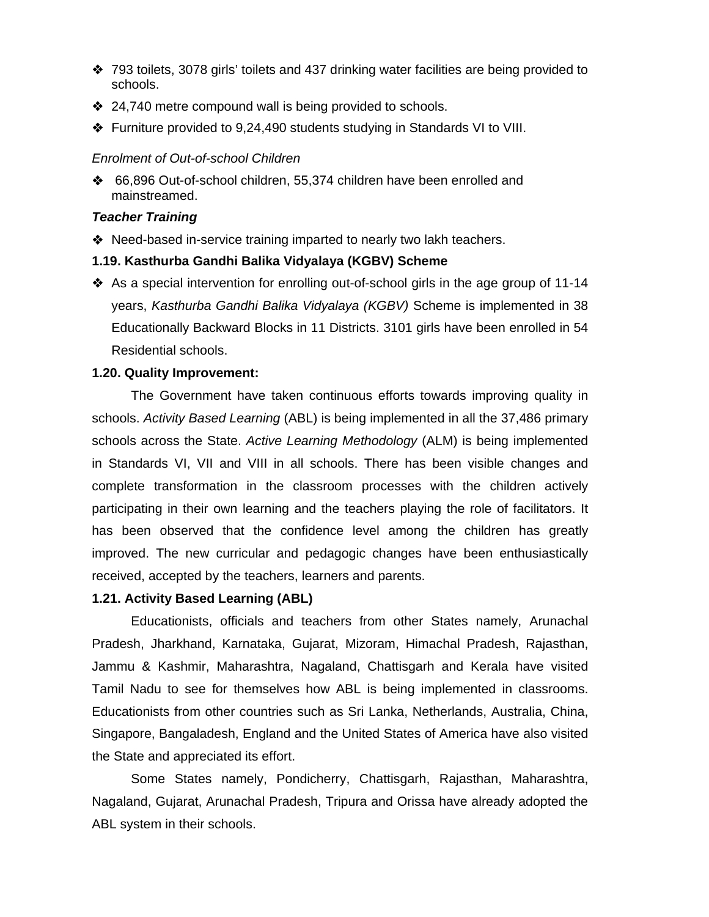- ◆ 793 toilets, 3078 girls' toilets and 437 drinking water facilities are being provided to schools.
- ◆ 24,740 metre compound wall is being provided to schools.
- Furniture provided to 9,24,490 students studying in Standards VI to VIII.

## *Enrolment of Out-of-school Children*

 66,896 Out-of-school children, 55,374 children have been enrolled and mainstreamed.

## *Teacher Training*

◆ Need-based in-service training imparted to nearly two lakh teachers.

## **1.19. Kasthurba Gandhi Balika Vidyalaya (KGBV) Scheme**

 As a special intervention for enrolling out-of-school girls in the age group of 11-14 years, *Kasthurba Gandhi Balika Vidyalaya (KGBV)* Scheme is implemented in 38 Educationally Backward Blocks in 11 Districts. 3101 girls have been enrolled in 54 Residential schools.

## **1.20. Quality Improvement:**

The Government have taken continuous efforts towards improving quality in schools. *Activity Based Learning* (ABL) is being implemented in all the 37,486 primary schools across the State. *Active Learning Methodology* (ALM) is being implemented in Standards VI, VII and VIII in all schools. There has been visible changes and complete transformation in the classroom processes with the children actively participating in their own learning and the teachers playing the role of facilitators. It has been observed that the confidence level among the children has greatly improved. The new curricular and pedagogic changes have been enthusiastically received, accepted by the teachers, learners and parents.

## **1.21. Activity Based Learning (ABL)**

Educationists, officials and teachers from other States namely, Arunachal Pradesh, Jharkhand, Karnataka, Gujarat, Mizoram, Himachal Pradesh, Rajasthan, Jammu & Kashmir, Maharashtra, Nagaland, Chattisgarh and Kerala have visited Tamil Nadu to see for themselves how ABL is being implemented in classrooms. Educationists from other countries such as Sri Lanka, Netherlands, Australia, China, Singapore, Bangaladesh, England and the United States of America have also visited the State and appreciated its effort.

 Some States namely, Pondicherry, Chattisgarh, Rajasthan, Maharashtra, Nagaland, Gujarat, Arunachal Pradesh, Tripura and Orissa have already adopted the ABL system in their schools.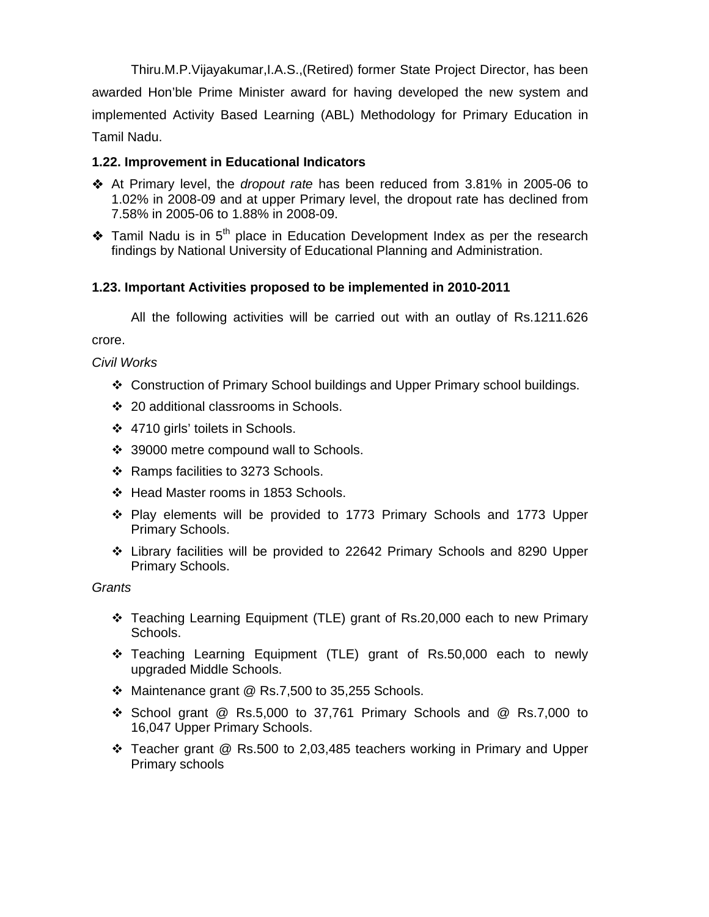Thiru.M.P.Vijayakumar,I.A.S.,(Retired) former State Project Director, has been awarded Hon'ble Prime Minister award for having developed the new system and implemented Activity Based Learning (ABL) Methodology for Primary Education in Tamil Nadu.

## **1.22. Improvement in Educational Indicators**

- At Primary level, the *dropout rate* has been reduced from 3.81% in 2005-06 to 1.02% in 2008-09 and at upper Primary level, the dropout rate has declined from 7.58% in 2005-06 to 1.88% in 2008-09.
- $\triangle$  Tamil Nadu is in 5<sup>th</sup> place in Education Development Index as per the research findings by National University of Educational Planning and Administration.

## **1.23. Important Activities proposed to be implemented in 2010-2011**

All the following activities will be carried out with an outlay of Rs.1211.626

crore.

*Civil Works* 

- Construction of Primary School buildings and Upper Primary school buildings.
- 20 additional classrooms in Schools.
- 4710 girls' toilets in Schools.
- ❖ 39000 metre compound wall to Schools.
- $\div$  Ramps facilities to 3273 Schools.
- ❖ Head Master rooms in 1853 Schools.
- Play elements will be provided to 1773 Primary Schools and 1773 Upper Primary Schools.
- Library facilities will be provided to 22642 Primary Schools and 8290 Upper Primary Schools.

*Grants* 

- Teaching Learning Equipment (TLE) grant of Rs.20,000 each to new Primary Schools.
- Teaching Learning Equipment (TLE) grant of Rs.50,000 each to newly upgraded Middle Schools.
- $\cdot$  Maintenance grant @ Rs.7,500 to 35,255 Schools.
- School grant @ Rs.5,000 to 37,761 Primary Schools and @ Rs.7,000 to 16,047 Upper Primary Schools.
- Teacher grant @ Rs.500 to 2,03,485 teachers working in Primary and Upper Primary schools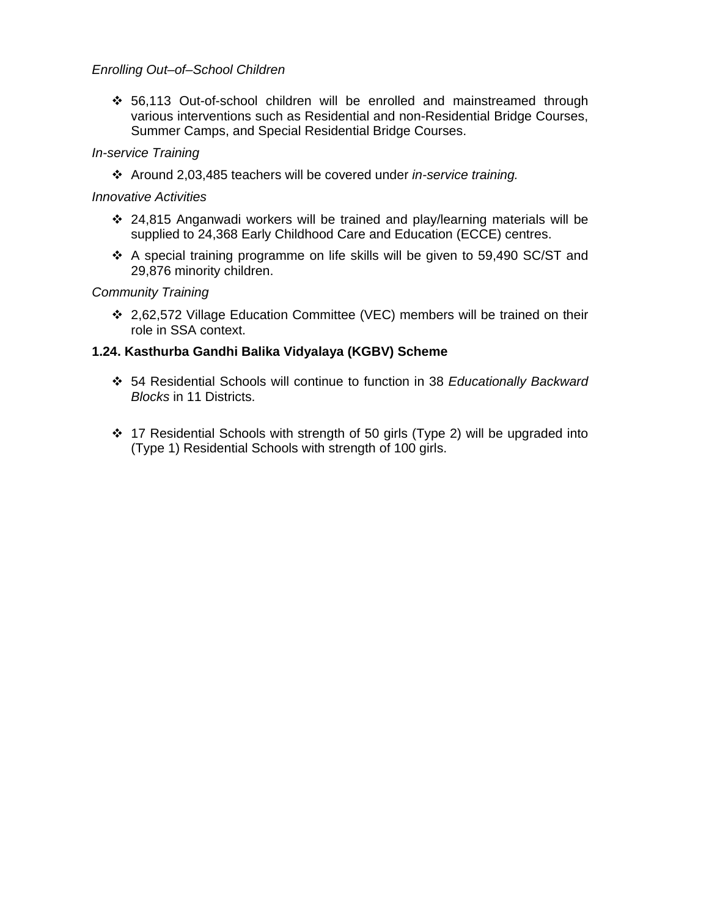## *Enrolling Out–of–School Children*

 56,113 Out-of-school children will be enrolled and mainstreamed through various interventions such as Residential and non-Residential Bridge Courses, Summer Camps, and Special Residential Bridge Courses.

## *In-service Training*

Around 2,03,485 teachers will be covered under *in-service training.*

## *Innovative Activities*

- 24,815 Anganwadi workers will be trained and play/learning materials will be supplied to 24,368 Early Childhood Care and Education (ECCE) centres.
- A special training programme on life skills will be given to 59,490 SC/ST and 29,876 minority children.

## *Community Training*

 2,62,572 Village Education Committee (VEC) members will be trained on their role in SSA context.

## **1.24. Kasthurba Gandhi Balika Vidyalaya (KGBV) Scheme**

- 54 Residential Schools will continue to function in 38 *Educationally Backward Blocks* in 11 Districts.
- 17 Residential Schools with strength of 50 girls (Type 2) will be upgraded into (Type 1) Residential Schools with strength of 100 girls.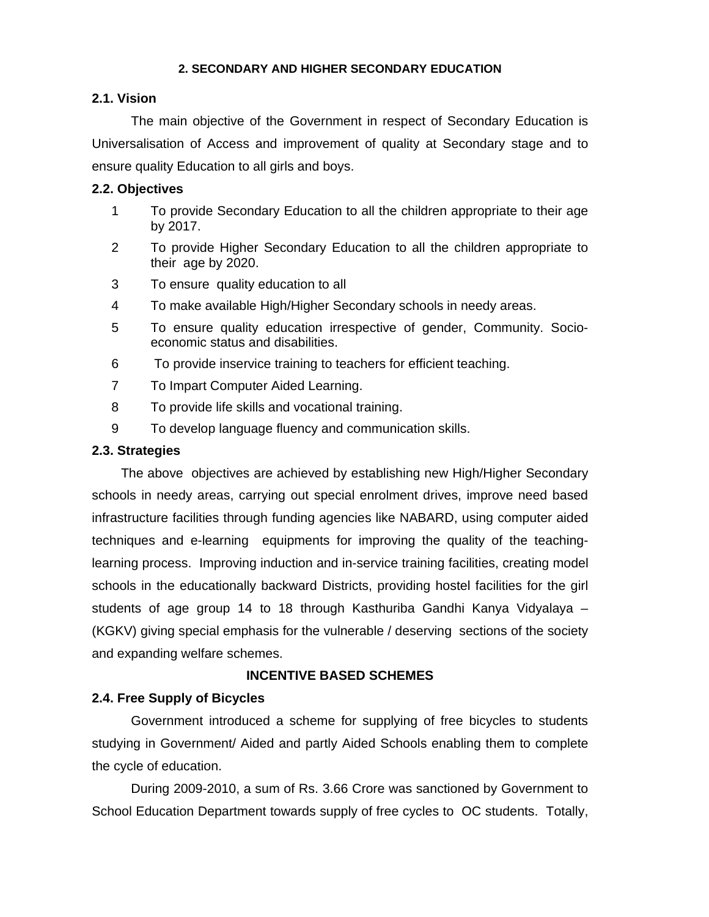#### **2. SECONDARY AND HIGHER SECONDARY EDUCATION**

#### **2.1. Vision**

The main objective of the Government in respect of Secondary Education is Universalisation of Access and improvement of quality at Secondary stage and to ensure quality Education to all girls and boys.

## **2.2. Objectives**

- 1 To provide Secondary Education to all the children appropriate to their age by 2017.
- 2 To provide Higher Secondary Education to all the children appropriate to their age by 2020.
- 3 To ensure quality education to all
- 4 To make available High/Higher Secondary schools in needy areas.
- 5 To ensure quality education irrespective of gender, Community. Socioeconomic status and disabilities.
- 6 To provide inservice training to teachers for efficient teaching.
- 7 To Impart Computer Aided Learning.
- 8 To provide life skills and vocational training.
- 9 To develop language fluency and communication skills.

#### **2.3. Strategies**

 The above objectives are achieved by establishing new High/Higher Secondary schools in needy areas, carrying out special enrolment drives, improve need based infrastructure facilities through funding agencies like NABARD, using computer aided techniques and e-learning equipments for improving the quality of the teachinglearning process. Improving induction and in-service training facilities, creating model schools in the educationally backward Districts, providing hostel facilities for the girl students of age group 14 to 18 through Kasthuriba Gandhi Kanya Vidyalaya – (KGKV) giving special emphasis for the vulnerable / deserving sections of the society and expanding welfare schemes.

## **INCENTIVE BASED SCHEMES**

## **2.4. Free Supply of Bicycles**

 Government introduced a scheme for supplying of free bicycles to students studying in Government/ Aided and partly Aided Schools enabling them to complete the cycle of education.

 During 2009-2010, a sum of Rs. 3.66 Crore was sanctioned by Government to School Education Department towards supply of free cycles to OC students. Totally,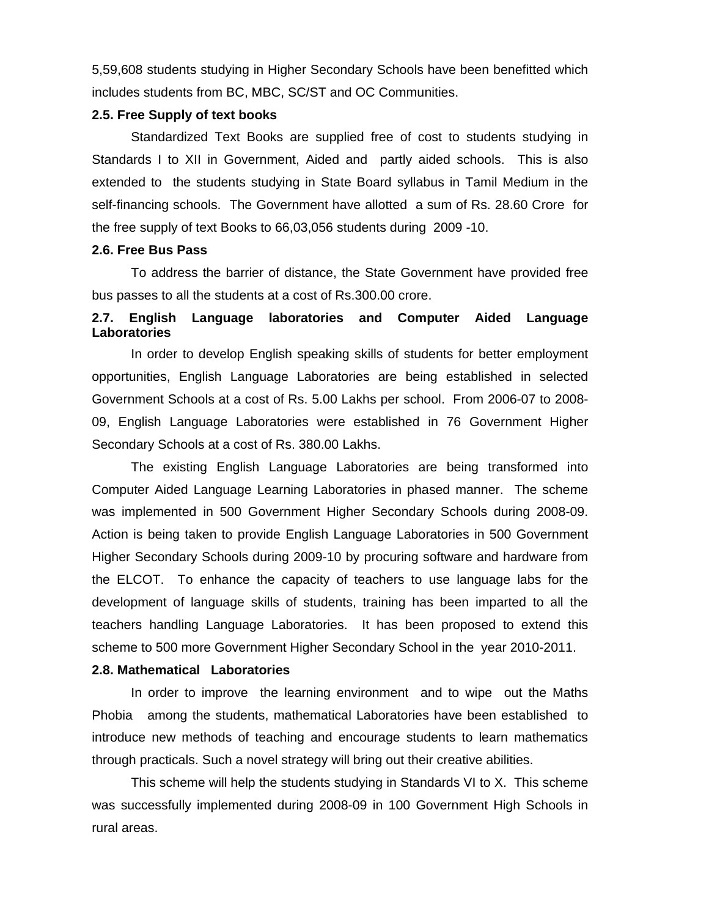5,59,608 students studying in Higher Secondary Schools have been benefitted which includes students from BC, MBC, SC/ST and OC Communities.

## **2.5. Free Supply of text books**

 Standardized Text Books are supplied free of cost to students studying in Standards I to XII in Government, Aided and partly aided schools. This is also extended to the students studying in State Board syllabus in Tamil Medium in the self-financing schools. The Government have allotted a sum of Rs. 28.60 Crore for the free supply of text Books to 66,03,056 students during 2009 -10.

#### **2.6. Free Bus Pass**

To address the barrier of distance, the State Government have provided free bus passes to all the students at a cost of Rs.300.00 crore.

## **2.7. English Language laboratories and Computer Aided Language Laboratories**

In order to develop English speaking skills of students for better employment opportunities, English Language Laboratories are being established in selected Government Schools at a cost of Rs. 5.00 Lakhs per school. From 2006-07 to 2008- 09, English Language Laboratories were established in 76 Government Higher Secondary Schools at a cost of Rs. 380.00 Lakhs.

 The existing English Language Laboratories are being transformed into Computer Aided Language Learning Laboratories in phased manner. The scheme was implemented in 500 Government Higher Secondary Schools during 2008-09. Action is being taken to provide English Language Laboratories in 500 Government Higher Secondary Schools during 2009-10 by procuring software and hardware from the ELCOT. To enhance the capacity of teachers to use language labs for the development of language skills of students, training has been imparted to all the teachers handling Language Laboratories. It has been proposed to extend this scheme to 500 more Government Higher Secondary School in the year 2010-2011.

#### **2.8. Mathematical Laboratories**

In order to improve the learning environment and to wipe out the Maths Phobia among the students, mathematical Laboratories have been established to introduce new methods of teaching and encourage students to learn mathematics through practicals. Such a novel strategy will bring out their creative abilities.

 This scheme will help the students studying in Standards VI to X. This scheme was successfully implemented during 2008-09 in 100 Government High Schools in rural areas.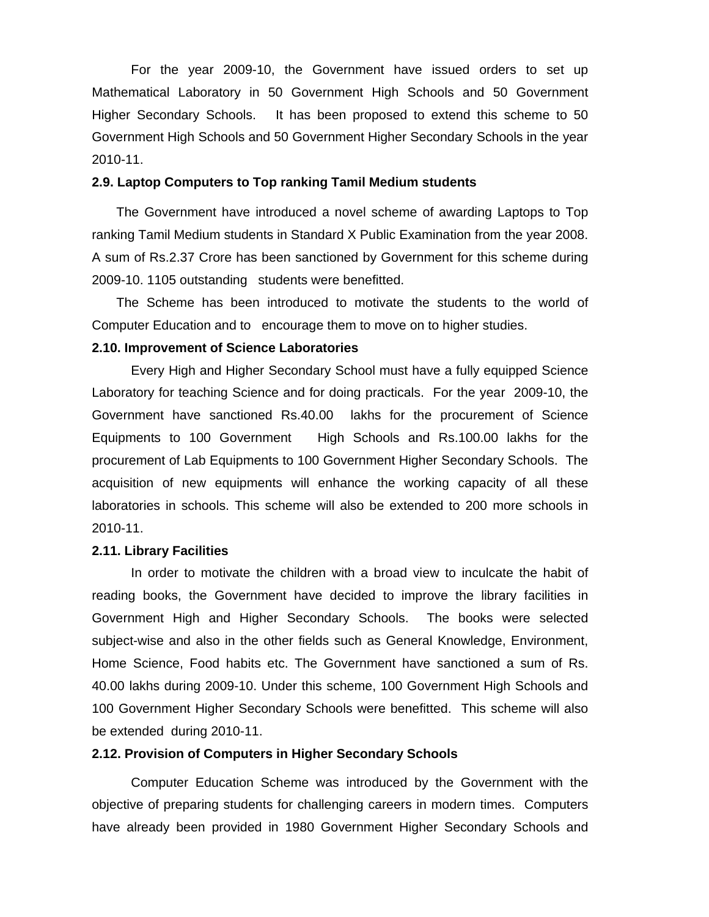For the year 2009-10, the Government have issued orders to set up Mathematical Laboratory in 50 Government High Schools and 50 Government Higher Secondary Schools. It has been proposed to extend this scheme to 50 Government High Schools and 50 Government Higher Secondary Schools in the year 2010-11.

#### **2.9. Laptop Computers to Top ranking Tamil Medium students**

The Government have introduced a novel scheme of awarding Laptops to Top ranking Tamil Medium students in Standard X Public Examination from the year 2008. A sum of Rs.2.37 Crore has been sanctioned by Government for this scheme during 2009-10. 1105 outstanding students were benefitted.

The Scheme has been introduced to motivate the students to the world of Computer Education and to encourage them to move on to higher studies.

#### **2.10. Improvement of Science Laboratories**

Every High and Higher Secondary School must have a fully equipped Science Laboratory for teaching Science and for doing practicals. For the year 2009-10, the Government have sanctioned Rs.40.00 lakhs for the procurement of Science Equipments to 100 Government High Schools and Rs.100.00 lakhs for the procurement of Lab Equipments to 100 Government Higher Secondary Schools. The acquisition of new equipments will enhance the working capacity of all these laboratories in schools. This scheme will also be extended to 200 more schools in 2010-11.

#### **2.11. Library Facilities**

In order to motivate the children with a broad view to inculcate the habit of reading books, the Government have decided to improve the library facilities in Government High and Higher Secondary Schools. The books were selected subject-wise and also in the other fields such as General Knowledge, Environment, Home Science, Food habits etc. The Government have sanctioned a sum of Rs. 40.00 lakhs during 2009-10. Under this scheme, 100 Government High Schools and 100 Government Higher Secondary Schools were benefitted. This scheme will also be extended during 2010-11.

#### **2.12. Provision of Computers in Higher Secondary Schools**

Computer Education Scheme was introduced by the Government with the objective of preparing students for challenging careers in modern times. Computers have already been provided in 1980 Government Higher Secondary Schools and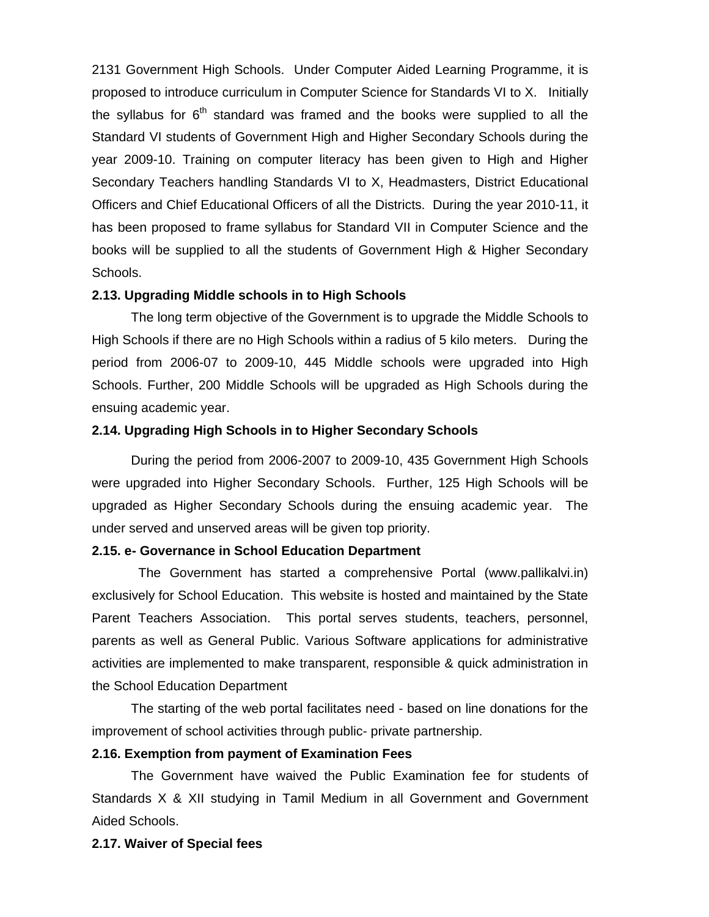2131 Government High Schools. Under Computer Aided Learning Programme, it is proposed to introduce curriculum in Computer Science for Standards VI to X. Initially the syllabus for  $6<sup>th</sup>$  standard was framed and the books were supplied to all the Standard VI students of Government High and Higher Secondary Schools during the year 2009-10. Training on computer literacy has been given to High and Higher Secondary Teachers handling Standards VI to X, Headmasters, District Educational Officers and Chief Educational Officers of all the Districts. During the year 2010-11, it has been proposed to frame syllabus for Standard VII in Computer Science and the books will be supplied to all the students of Government High & Higher Secondary Schools.

#### **2.13. Upgrading Middle schools in to High Schools**

 The long term objective of the Government is to upgrade the Middle Schools to High Schools if there are no High Schools within a radius of 5 kilo meters. During the period from 2006-07 to 2009-10, 445 Middle schools were upgraded into High Schools. Further, 200 Middle Schools will be upgraded as High Schools during the ensuing academic year.

#### **2.14. Upgrading High Schools in to Higher Secondary Schools**

During the period from 2006-2007 to 2009-10, 435 Government High Schools were upgraded into Higher Secondary Schools. Further, 125 High Schools will be upgraded as Higher Secondary Schools during the ensuing academic year. The under served and unserved areas will be given top priority.

#### **2.15. e- Governance in School Education Department**

The Government has started a comprehensive Portal (www.pallikalvi.in) exclusively for School Education. This website is hosted and maintained by the State Parent Teachers Association. This portal serves students, teachers, personnel, parents as well as General Public. Various Software applications for administrative activities are implemented to make transparent, responsible & quick administration in the School Education Department

 The starting of the web portal facilitates need - based on line donations for the improvement of school activities through public- private partnership.

#### **2.16. Exemption from payment of Examination Fees**

The Government have waived the Public Examination fee for students of Standards X & XII studying in Tamil Medium in all Government and Government Aided Schools.

#### **2.17. Waiver of Special fees**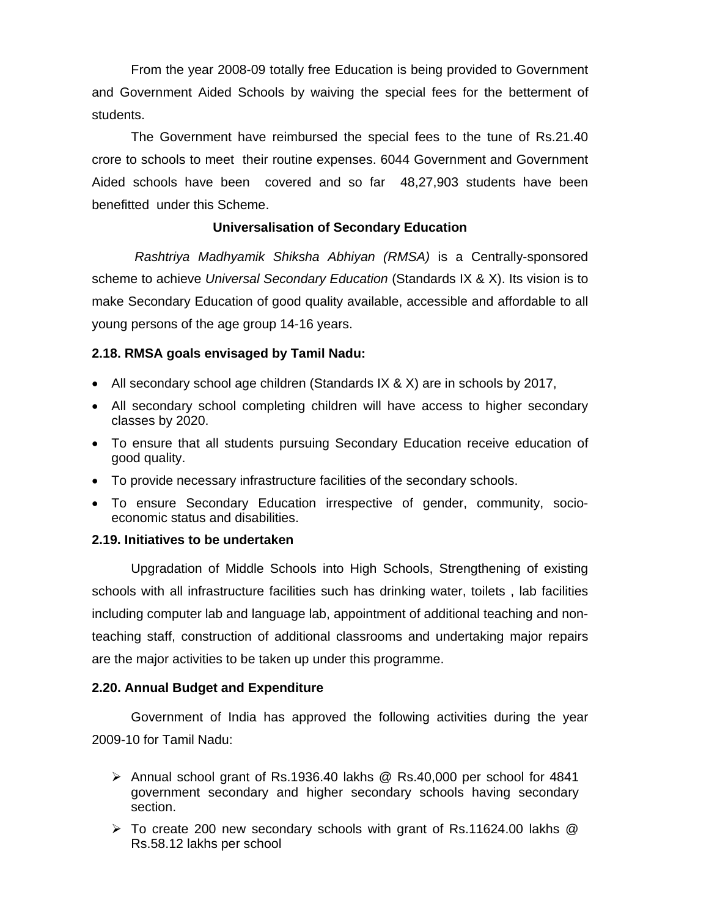From the year 2008-09 totally free Education is being provided to Government and Government Aided Schools by waiving the special fees for the betterment of students.

The Government have reimbursed the special fees to the tune of Rs.21.40 crore to schools to meet their routine expenses. 6044 Government and Government Aided schools have been covered and so far 48,27,903 students have been benefitted under this Scheme.

## **Universalisation of Secondary Education**

*Rashtriya Madhyamik Shiksha Abhiyan (RMSA)* is a Centrally-sponsored scheme to achieve *Universal Secondary Education* (Standards IX & X). Its vision is to make Secondary Education of good quality available, accessible and affordable to all young persons of the age group 14-16 years.

## **2.18. RMSA goals envisaged by Tamil Nadu:**

- All secondary school age children (Standards IX & X) are in schools by 2017,
- All secondary school completing children will have access to higher secondary classes by 2020.
- To ensure that all students pursuing Secondary Education receive education of good quality.
- To provide necessary infrastructure facilities of the secondary schools.
- To ensure Secondary Education irrespective of gender, community, socioeconomic status and disabilities.

#### **2.19. Initiatives to be undertaken**

Upgradation of Middle Schools into High Schools, Strengthening of existing schools with all infrastructure facilities such has drinking water, toilets , lab facilities including computer lab and language lab, appointment of additional teaching and nonteaching staff, construction of additional classrooms and undertaking major repairs are the major activities to be taken up under this programme.

#### **2.20. Annual Budget and Expenditure**

 Government of India has approved the following activities during the year 2009-10 for Tamil Nadu:

- ¾ Annual school grant of Rs.1936.40 lakhs @ Rs.40,000 per school for 4841 government secondary and higher secondary schools having secondary section.
- $\triangleright$  To create 200 new secondary schools with grant of Rs.11624.00 lakhs  $@$ Rs.58.12 lakhs per school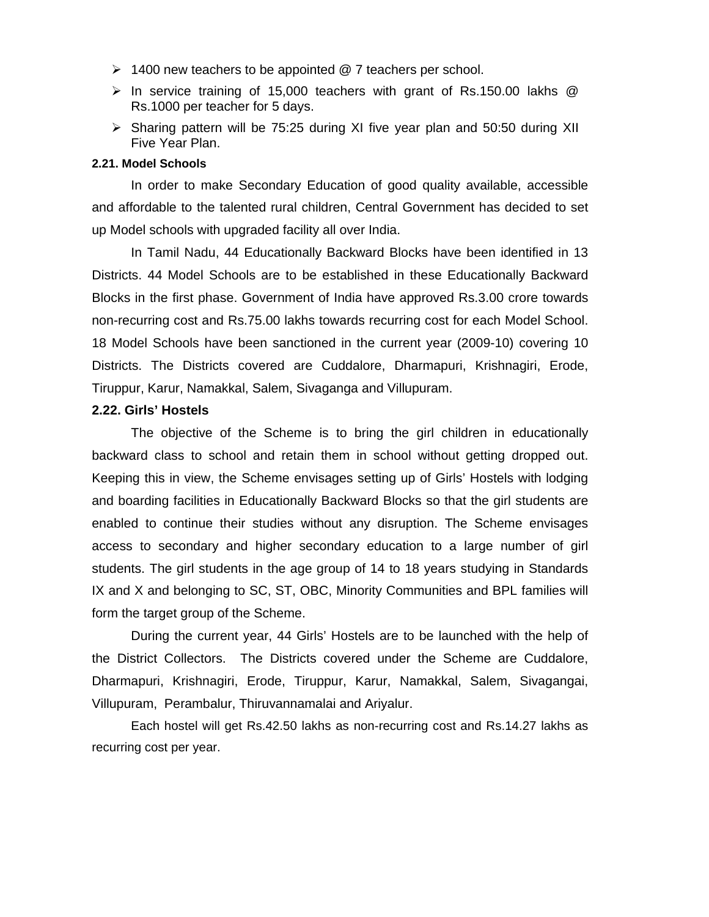- $\geq 1400$  new teachers to be appointed @ 7 teachers per school.
- $\triangleright$  In service training of 15,000 teachers with grant of Rs.150.00 lakhs  $\oslash$ Rs.1000 per teacher for 5 days.
- ¾ Sharing pattern will be 75:25 during XI five year plan and 50:50 during XII Five Year Plan.

#### **2.21. Model Schools**

In order to make Secondary Education of good quality available, accessible and affordable to the talented rural children, Central Government has decided to set up Model schools with upgraded facility all over India.

In Tamil Nadu, 44 Educationally Backward Blocks have been identified in 13 Districts. 44 Model Schools are to be established in these Educationally Backward Blocks in the first phase. Government of India have approved Rs.3.00 crore towards non-recurring cost and Rs.75.00 lakhs towards recurring cost for each Model School. 18 Model Schools have been sanctioned in the current year (2009-10) covering 10 Districts. The Districts covered are Cuddalore, Dharmapuri, Krishnagiri, Erode, Tiruppur, Karur, Namakkal, Salem, Sivaganga and Villupuram.

#### **2.22. Girls' Hostels**

The objective of the Scheme is to bring the girl children in educationally backward class to school and retain them in school without getting dropped out. Keeping this in view, the Scheme envisages setting up of Girls' Hostels with lodging and boarding facilities in Educationally Backward Blocks so that the girl students are enabled to continue their studies without any disruption. The Scheme envisages access to secondary and higher secondary education to a large number of girl students. The girl students in the age group of 14 to 18 years studying in Standards IX and X and belonging to SC, ST, OBC, Minority Communities and BPL families will form the target group of the Scheme.

During the current year, 44 Girls' Hostels are to be launched with the help of the District Collectors. The Districts covered under the Scheme are Cuddalore, Dharmapuri, Krishnagiri, Erode, Tiruppur, Karur, Namakkal, Salem, Sivagangai, Villupuram, Perambalur, Thiruvannamalai and Ariyalur.

Each hostel will get Rs.42.50 lakhs as non-recurring cost and Rs.14.27 lakhs as recurring cost per year.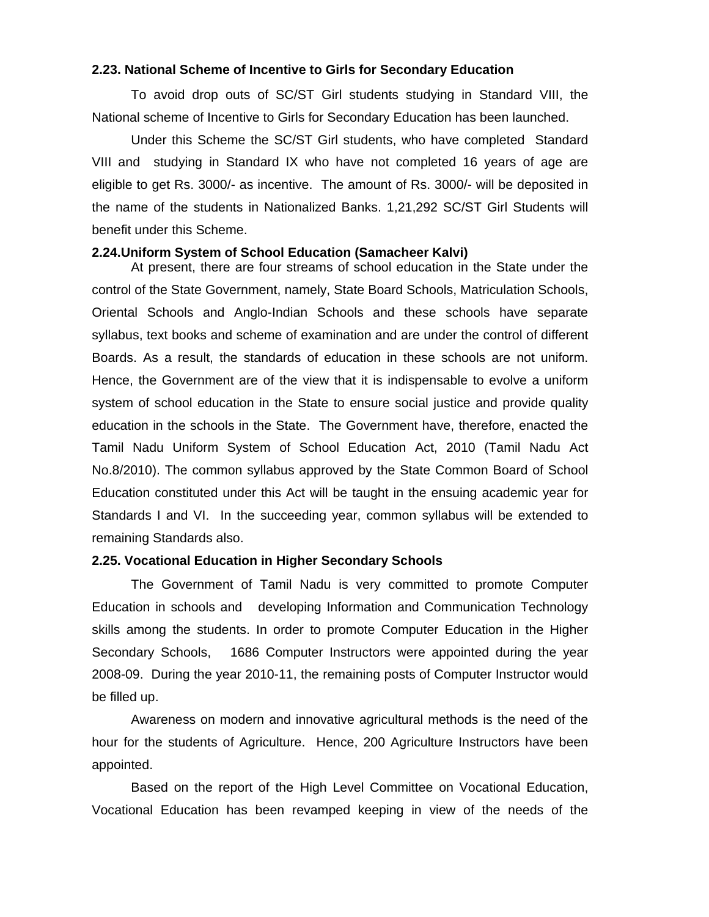#### **2.23. National Scheme of Incentive to Girls for Secondary Education**

 To avoid drop outs of SC/ST Girl students studying in Standard VIII, the National scheme of Incentive to Girls for Secondary Education has been launched.

 Under this Scheme the SC/ST Girl students, who have completed Standard VIII and studying in Standard IX who have not completed 16 years of age are eligible to get Rs. 3000/- as incentive. The amount of Rs. 3000/- will be deposited in the name of the students in Nationalized Banks. 1,21,292 SC/ST Girl Students will benefit under this Scheme.

#### **2.24.Uniform System of School Education (Samacheer Kalvi)**

At present, there are four streams of school education in the State under the control of the State Government, namely, State Board Schools, Matriculation Schools, Oriental Schools and Anglo-Indian Schools and these schools have separate syllabus, text books and scheme of examination and are under the control of different Boards. As a result, the standards of education in these schools are not uniform. Hence, the Government are of the view that it is indispensable to evolve a uniform system of school education in the State to ensure social justice and provide quality education in the schools in the State. The Government have, therefore, enacted the Tamil Nadu Uniform System of School Education Act, 2010 (Tamil Nadu Act No.8/2010). The common syllabus approved by the State Common Board of School Education constituted under this Act will be taught in the ensuing academic year for Standards I and VI. In the succeeding year, common syllabus will be extended to remaining Standards also.

## **2.25. Vocational Education in Higher Secondary Schools**

The Government of Tamil Nadu is very committed to promote Computer Education in schools and developing Information and Communication Technology skills among the students. In order to promote Computer Education in the Higher Secondary Schools, 1686 Computer Instructors were appointed during the year 2008-09. During the year 2010-11, the remaining posts of Computer Instructor would be filled up.

Awareness on modern and innovative agricultural methods is the need of the hour for the students of Agriculture. Hence, 200 Agriculture Instructors have been appointed.

Based on the report of the High Level Committee on Vocational Education, Vocational Education has been revamped keeping in view of the needs of the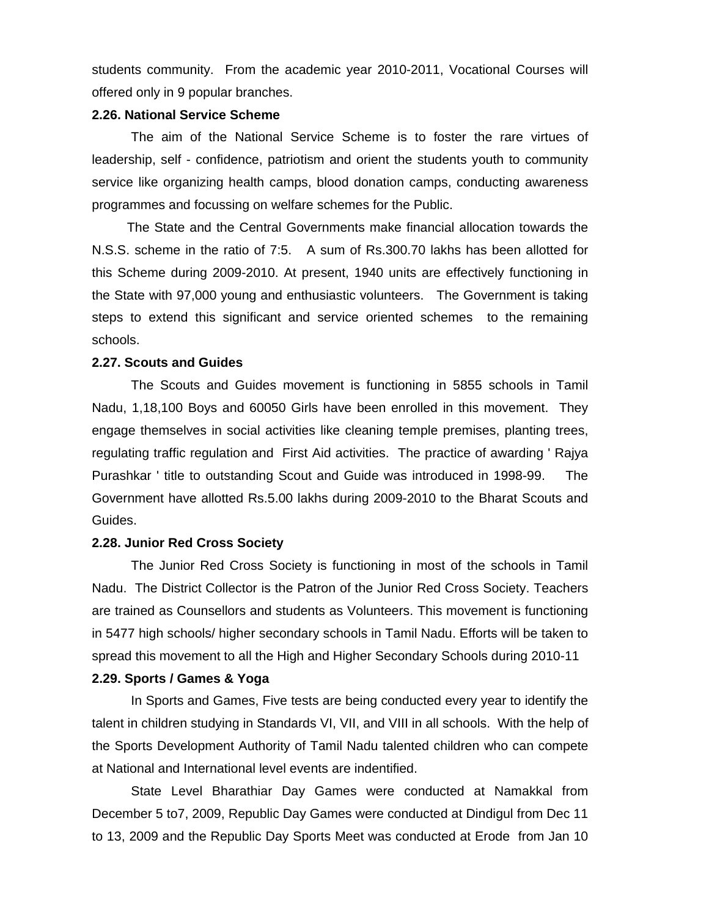students community. From the academic year 2010-2011, Vocational Courses will offered only in 9 popular branches.

#### **2.26. National Service Scheme**

The aim of the National Service Scheme is to foster the rare virtues of leadership, self - confidence, patriotism and orient the students youth to community service like organizing health camps, blood donation camps, conducting awareness programmes and focussing on welfare schemes for the Public.

 The State and the Central Governments make financial allocation towards the N.S.S. scheme in the ratio of 7:5. A sum of Rs.300.70 lakhs has been allotted for this Scheme during 2009-2010. At present, 1940 units are effectively functioning in the State with 97,000 young and enthusiastic volunteers. The Government is taking steps to extend this significant and service oriented schemes to the remaining schools.

#### **2.27. Scouts and Guides**

The Scouts and Guides movement is functioning in 5855 schools in Tamil Nadu, 1,18,100 Boys and 60050 Girls have been enrolled in this movement. They engage themselves in social activities like cleaning temple premises, planting trees, regulating traffic regulation and First Aid activities. The practice of awarding ' Rajya Purashkar ' title to outstanding Scout and Guide was introduced in 1998-99. The Government have allotted Rs.5.00 lakhs during 2009-2010 to the Bharat Scouts and Guides.

#### **2.28. Junior Red Cross Society**

The Junior Red Cross Society is functioning in most of the schools in Tamil Nadu. The District Collector is the Patron of the Junior Red Cross Society. Teachers are trained as Counsellors and students as Volunteers. This movement is functioning in 5477 high schools/ higher secondary schools in Tamil Nadu. Efforts will be taken to spread this movement to all the High and Higher Secondary Schools during 2010-11

#### **2.29. Sports / Games & Yoga**

In Sports and Games, Five tests are being conducted every year to identify the talent in children studying in Standards VI, VII, and VIII in all schools. With the help of the Sports Development Authority of Tamil Nadu talented children who can compete at National and International level events are indentified.

State Level Bharathiar Day Games were conducted at Namakkal from December 5 to7, 2009, Republic Day Games were conducted at Dindigul from Dec 11 to 13, 2009 and the Republic Day Sports Meet was conducted at Erode from Jan 10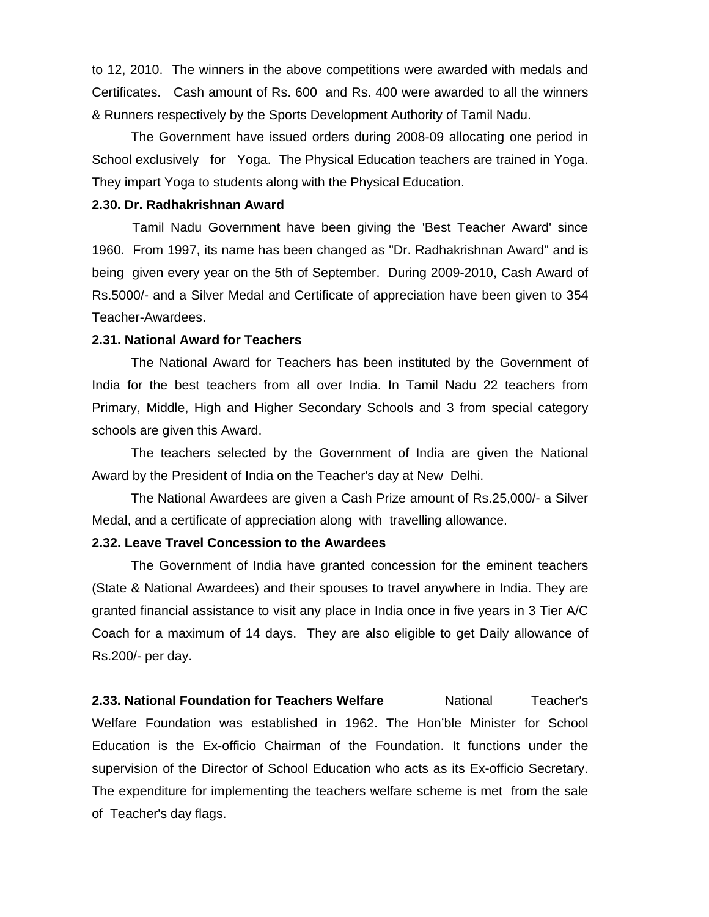to 12, 2010. The winners in the above competitions were awarded with medals and Certificates. Cash amount of Rs. 600 and Rs. 400 were awarded to all the winners & Runners respectively by the Sports Development Authority of Tamil Nadu.

The Government have issued orders during 2008-09 allocating one period in School exclusively for Yoga. The Physical Education teachers are trained in Yoga. They impart Yoga to students along with the Physical Education.

#### **2.30. Dr. Radhakrishnan Award**

 Tamil Nadu Government have been giving the 'Best Teacher Award' since 1960. From 1997, its name has been changed as "Dr. Radhakrishnan Award" and is being given every year on the 5th of September. During 2009-2010, Cash Award of Rs.5000/- and a Silver Medal and Certificate of appreciation have been given to 354 Teacher-Awardees.

#### **2.31. National Award for Teachers**

The National Award for Teachers has been instituted by the Government of India for the best teachers from all over India. In Tamil Nadu 22 teachers from Primary, Middle, High and Higher Secondary Schools and 3 from special category schools are given this Award.

The teachers selected by the Government of India are given the National Award by the President of India on the Teacher's day at New Delhi.

The National Awardees are given a Cash Prize amount of Rs.25,000/- a Silver Medal, and a certificate of appreciation along with travelling allowance.

#### **2.32. Leave Travel Concession to the Awardees**

The Government of India have granted concession for the eminent teachers (State & National Awardees) and their spouses to travel anywhere in India. They are granted financial assistance to visit any place in India once in five years in 3 Tier A/C Coach for a maximum of 14 days. They are also eligible to get Daily allowance of Rs.200/- per day.

**2.33. National Foundation for Teachers Welfare Mational Teacher's Construction** Welfare Foundation was established in 1962. The Hon'ble Minister for School Education is the Ex-officio Chairman of the Foundation. It functions under the supervision of the Director of School Education who acts as its Ex-officio Secretary. The expenditure for implementing the teachers welfare scheme is met from the sale of Teacher's day flags.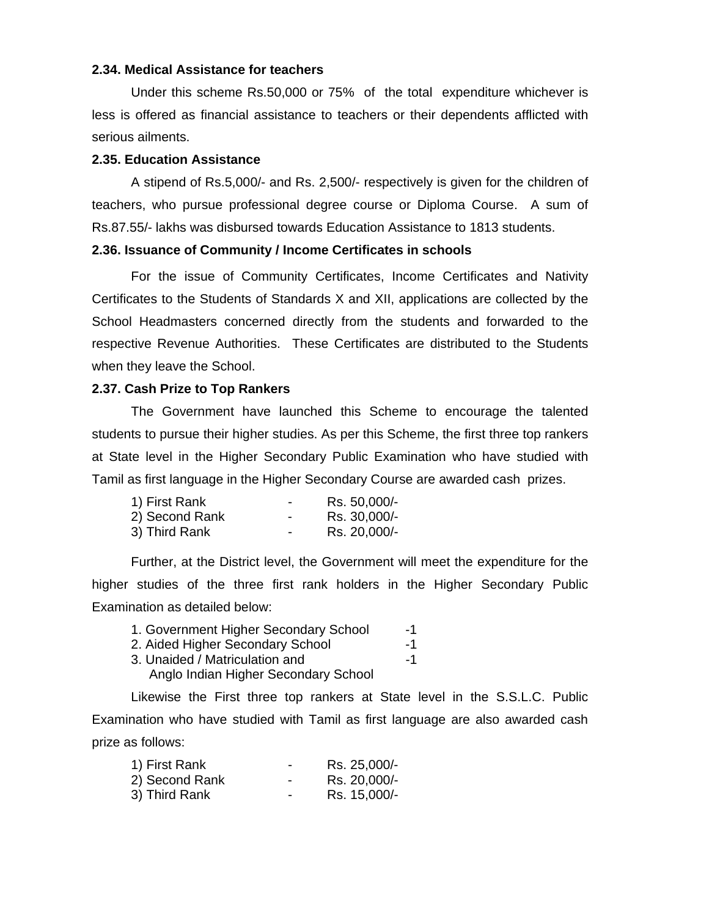#### **2.34. Medical Assistance for teachers**

Under this scheme Rs.50,000 or 75% of the total expenditure whichever is less is offered as financial assistance to teachers or their dependents afflicted with serious ailments.

#### **2.35. Education Assistance**

A stipend of Rs.5,000/- and Rs. 2,500/- respectively is given for the children of teachers, who pursue professional degree course or Diploma Course. A sum of Rs.87.55/- lakhs was disbursed towards Education Assistance to 1813 students.

#### **2.36. Issuance of Community / Income Certificates in schools**

 For the issue of Community Certificates, Income Certificates and Nativity Certificates to the Students of Standards X and XII, applications are collected by the School Headmasters concerned directly from the students and forwarded to the respective Revenue Authorities. These Certificates are distributed to the Students when they leave the School.

#### **2.37. Cash Prize to Top Rankers**

The Government have launched this Scheme to encourage the talented students to pursue their higher studies. As per this Scheme, the first three top rankers at State level in the Higher Secondary Public Examination who have studied with Tamil as first language in the Higher Secondary Course are awarded cash prizes.

| 1) First Rank  |   | Rs. 50,000/- |
|----------------|---|--------------|
| 2) Second Rank |   | Rs. 30,000/- |
| 3) Third Rank  | - | Rs. 20,000/- |

Further, at the District level, the Government will meet the expenditure for the higher studies of the three first rank holders in the Higher Secondary Public Examination as detailed below:

| 1. Government Higher Secondary School | $-1$ |
|---------------------------------------|------|
| 2. Aided Higher Secondary School      | -1   |
| 3. Unaided / Matriculation and        | $-1$ |
| Anglo Indian Higher Secondary School  |      |

Likewise the First three top rankers at State level in the S.S.L.C. Public Examination who have studied with Tamil as first language are also awarded cash prize as follows:

| 1) First Rank  | ۰ | Rs. 25,000/- |
|----------------|---|--------------|
| 2) Second Rank | ۰ | Rs. 20,000/- |
| 3) Third Rank  | - | Rs. 15,000/- |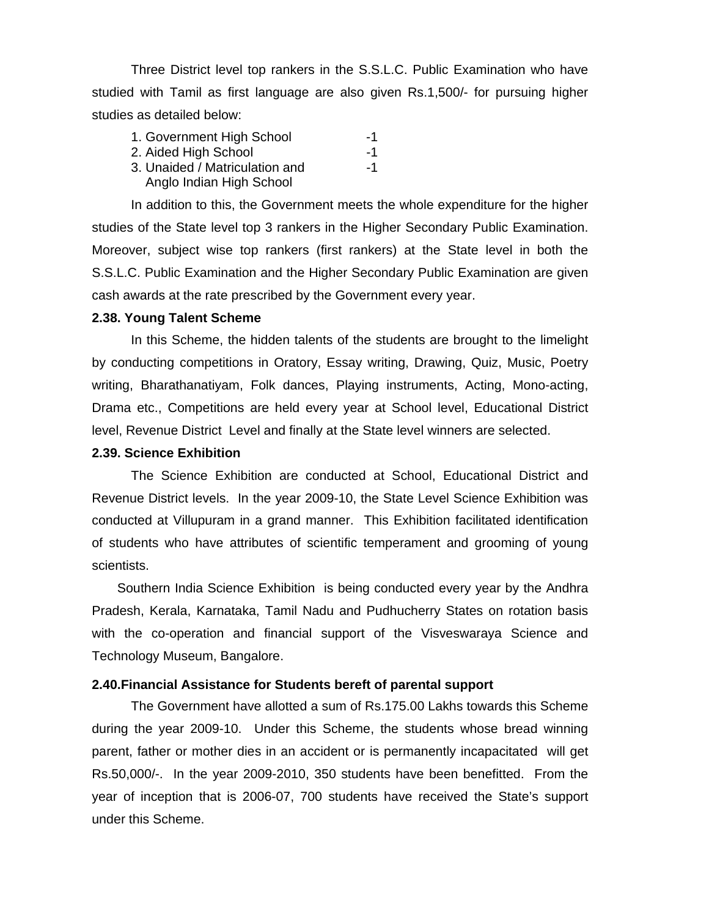Three District level top rankers in the S.S.L.C. Public Examination who have studied with Tamil as first language are also given Rs.1,500/- for pursuing higher studies as detailed below:

| 1. Government High School      | -1 |
|--------------------------------|----|
| 2. Aided High School           | -1 |
| 3. Unaided / Matriculation and | -1 |
| Anglo Indian High School       |    |

In addition to this, the Government meets the whole expenditure for the higher studies of the State level top 3 rankers in the Higher Secondary Public Examination. Moreover, subject wise top rankers (first rankers) at the State level in both the S.S.L.C. Public Examination and the Higher Secondary Public Examination are given cash awards at the rate prescribed by the Government every year.

#### **2.38. Young Talent Scheme**

In this Scheme, the hidden talents of the students are brought to the limelight by conducting competitions in Oratory, Essay writing, Drawing, Quiz, Music, Poetry writing, Bharathanatiyam, Folk dances, Playing instruments, Acting, Mono-acting, Drama etc., Competitions are held every year at School level, Educational District level, Revenue District Level and finally at the State level winners are selected.

#### **2.39. Science Exhibition**

The Science Exhibition are conducted at School, Educational District and Revenue District levels. In the year 2009-10, the State Level Science Exhibition was conducted at Villupuram in a grand manner. This Exhibition facilitated identification of students who have attributes of scientific temperament and grooming of young scientists.

Southern India Science Exhibition is being conducted every year by the Andhra Pradesh, Kerala, Karnataka, Tamil Nadu and Pudhucherry States on rotation basis with the co-operation and financial support of the Visveswaraya Science and Technology Museum, Bangalore.

#### **2.40.Financial Assistance for Students bereft of parental support**

The Government have allotted a sum of Rs.175.00 Lakhs towards this Scheme during the year 2009-10. Under this Scheme, the students whose bread winning parent, father or mother dies in an accident or is permanently incapacitated will get Rs.50,000/-. In the year 2009-2010, 350 students have been benefitted. From the year of inception that is 2006-07, 700 students have received the State's support under this Scheme.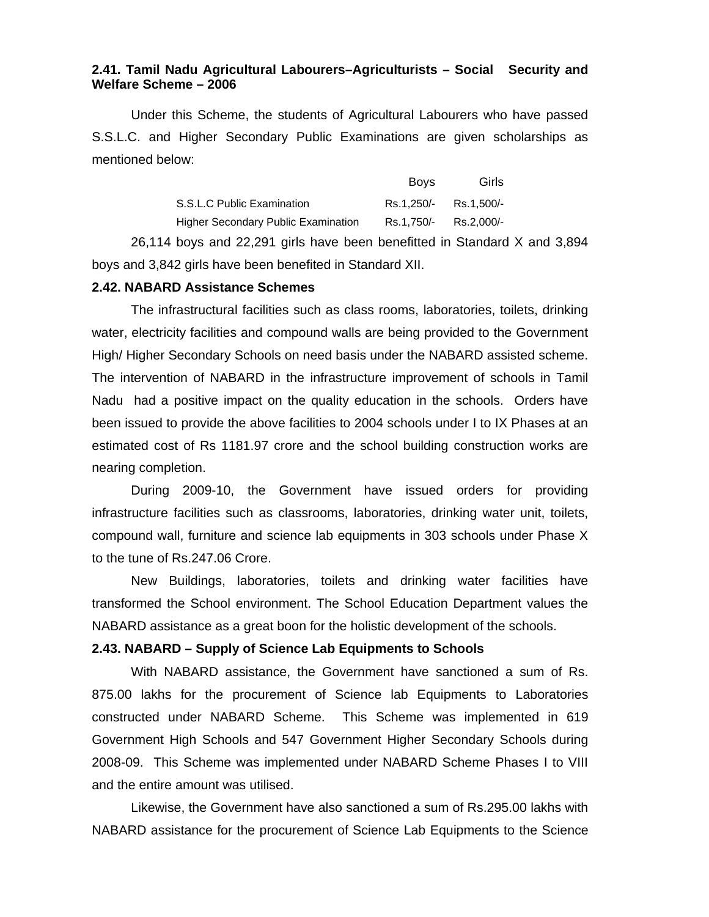## **2.41. Tamil Nadu Agricultural Labourers–Agriculturists – Social Security and Welfare Scheme – 2006**

 Under this Scheme, the students of Agricultural Labourers who have passed S.S.L.C. and Higher Secondary Public Examinations are given scholarships as mentioned below:

|                                            | <b>Boys</b>           | Girls      |
|--------------------------------------------|-----------------------|------------|
| S.S.L.C Public Examination                 | Rs.1.250/- Rs.1.500/- |            |
| <b>Higher Secondary Public Examination</b> | Rs.1,750/-            | Rs.2.000/- |

26,114 boys and 22,291 girls have been benefitted in Standard X and 3,894 boys and 3,842 girls have been benefited in Standard XII.

#### **2.42. NABARD Assistance Schemes**

 The infrastructural facilities such as class rooms, laboratories, toilets, drinking water, electricity facilities and compound walls are being provided to the Government High/ Higher Secondary Schools on need basis under the NABARD assisted scheme. The intervention of NABARD in the infrastructure improvement of schools in Tamil Nadu had a positive impact on the quality education in the schools. Orders have been issued to provide the above facilities to 2004 schools under I to IX Phases at an estimated cost of Rs 1181.97 crore and the school building construction works are nearing completion.

 During 2009-10, the Government have issued orders for providing infrastructure facilities such as classrooms, laboratories, drinking water unit, toilets, compound wall, furniture and science lab equipments in 303 schools under Phase X to the tune of Rs.247.06 Crore.

 New Buildings, laboratories, toilets and drinking water facilities have transformed the School environment. The School Education Department values the NABARD assistance as a great boon for the holistic development of the schools.

## **2.43. NABARD – Supply of Science Lab Equipments to Schools**

 With NABARD assistance, the Government have sanctioned a sum of Rs. 875.00 lakhs for the procurement of Science lab Equipments to Laboratories constructed under NABARD Scheme. This Scheme was implemented in 619 Government High Schools and 547 Government Higher Secondary Schools during 2008-09. This Scheme was implemented under NABARD Scheme Phases I to VIII and the entire amount was utilised.

 Likewise, the Government have also sanctioned a sum of Rs.295.00 lakhs with NABARD assistance for the procurement of Science Lab Equipments to the Science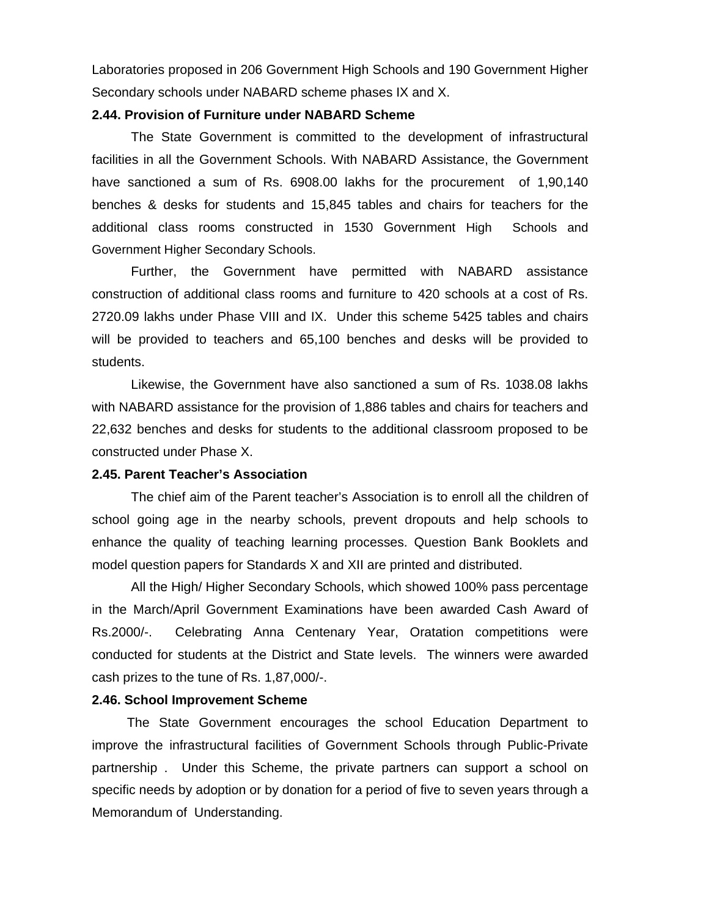Laboratories proposed in 206 Government High Schools and 190 Government Higher Secondary schools under NABARD scheme phases IX and X.

#### **2.44. Provision of Furniture under NABARD Scheme**

 The State Government is committed to the development of infrastructural facilities in all the Government Schools. With NABARD Assistance, the Government have sanctioned a sum of Rs. 6908.00 lakhs for the procurement of 1,90,140 benches & desks for students and 15,845 tables and chairs for teachers for the additional class rooms constructed in 1530 Government High Schools and Government Higher Secondary Schools.

 Further, the Government have permitted with NABARD assistance construction of additional class rooms and furniture to 420 schools at a cost of Rs. 2720.09 lakhs under Phase VIII and IX. Under this scheme 5425 tables and chairs will be provided to teachers and 65,100 benches and desks will be provided to students.

 Likewise, the Government have also sanctioned a sum of Rs. 1038.08 lakhs with NABARD assistance for the provision of 1,886 tables and chairs for teachers and 22,632 benches and desks for students to the additional classroom proposed to be constructed under Phase X.

## **2.45. Parent Teacher's Association**

 The chief aim of the Parent teacher's Association is to enroll all the children of school going age in the nearby schools, prevent dropouts and help schools to enhance the quality of teaching learning processes. Question Bank Booklets and model question papers for Standards X and XII are printed and distributed.

 All the High/ Higher Secondary Schools, which showed 100% pass percentage in the March/April Government Examinations have been awarded Cash Award of Rs.2000/-. Celebrating Anna Centenary Year, Oratation competitions were conducted for students at the District and State levels. The winners were awarded cash prizes to the tune of Rs. 1,87,000/-.

#### **2.46. School Improvement Scheme**

The State Government encourages the school Education Department to improve the infrastructural facilities of Government Schools through Public-Private partnership . Under this Scheme, the private partners can support a school on specific needs by adoption or by donation for a period of five to seven years through a Memorandum of Understanding.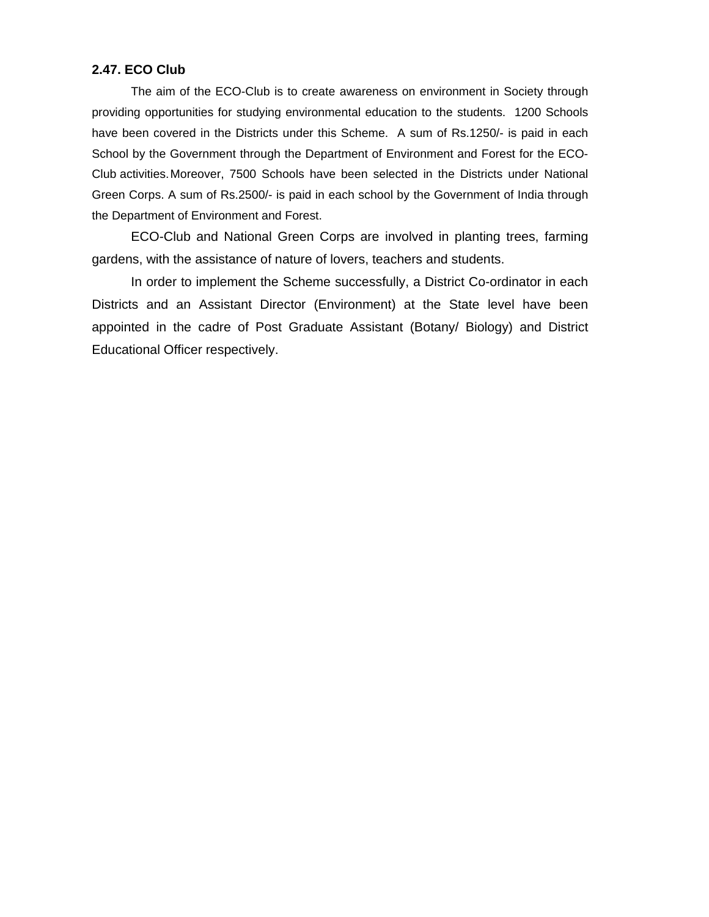#### **2.47. ECO Club**

The aim of the ECO-Club is to create awareness on environment in Society through providing opportunities for studying environmental education to the students. 1200 Schools have been covered in the Districts under this Scheme. A sum of Rs.1250/- is paid in each School by the Government through the Department of Environment and Forest for the ECO-Club activities. Moreover, 7500 Schools have been selected in the Districts under National Green Corps. A sum of Rs.2500/- is paid in each school by the Government of India through the Department of Environment and Forest.

 ECO-Club and National Green Corps are involved in planting trees, farming gardens, with the assistance of nature of lovers, teachers and students.

 In order to implement the Scheme successfully, a District Co-ordinator in each Districts and an Assistant Director (Environment) at the State level have been appointed in the cadre of Post Graduate Assistant (Botany/ Biology) and District Educational Officer respectively.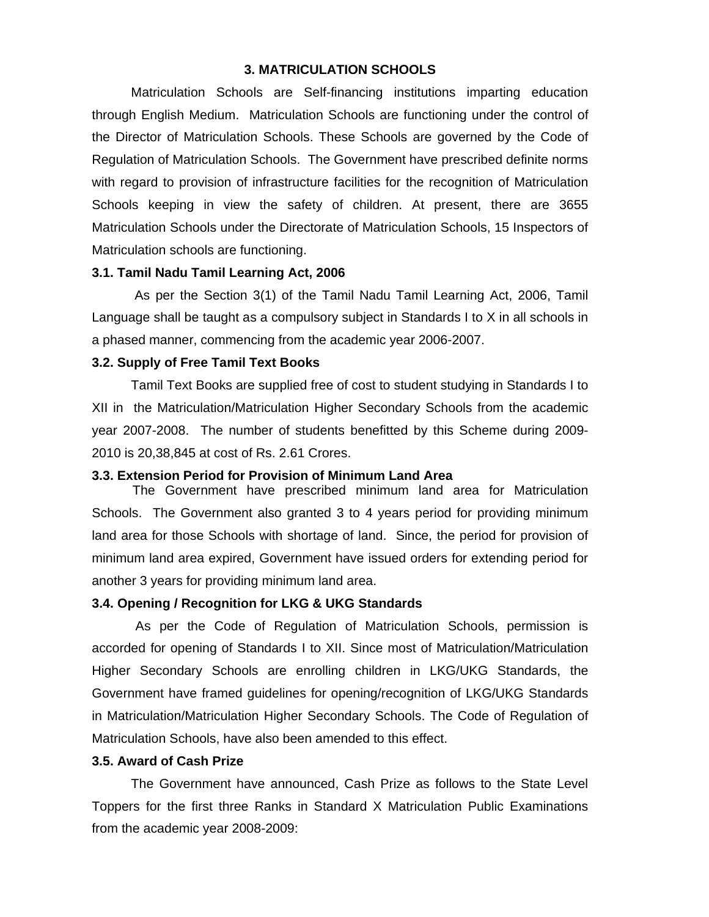#### **3. MATRICULATION SCHOOLS**

Matriculation Schools are Self-financing institutions imparting education through English Medium. Matriculation Schools are functioning under the control of the Director of Matriculation Schools. These Schools are governed by the Code of Regulation of Matriculation Schools. The Government have prescribed definite norms with regard to provision of infrastructure facilities for the recognition of Matriculation Schools keeping in view the safety of children. At present, there are 3655 Matriculation Schools under the Directorate of Matriculation Schools, 15 Inspectors of Matriculation schools are functioning.

## **3.1. Tamil Nadu Tamil Learning Act, 2006**

 As per the Section 3(1) of the Tamil Nadu Tamil Learning Act, 2006, Tamil Language shall be taught as a compulsory subject in Standards I to X in all schools in a phased manner, commencing from the academic year 2006-2007.

#### **3.2. Supply of Free Tamil Text Books**

Tamil Text Books are supplied free of cost to student studying in Standards I to XII in the Matriculation/Matriculation Higher Secondary Schools from the academic year 2007-2008. The number of students benefitted by this Scheme during 2009- 2010 is 20,38,845 at cost of Rs. 2.61 Crores.

#### **3.3. Extension Period for Provision of Minimum Land Area**

The Government have prescribed minimum land area for Matriculation Schools. The Government also granted 3 to 4 years period for providing minimum land area for those Schools with shortage of land. Since, the period for provision of minimum land area expired, Government have issued orders for extending period for another 3 years for providing minimum land area.

#### **3.4. Opening / Recognition for LKG & UKG Standards**

 As per the Code of Regulation of Matriculation Schools, permission is accorded for opening of Standards I to XII. Since most of Matriculation/Matriculation Higher Secondary Schools are enrolling children in LKG/UKG Standards, the Government have framed guidelines for opening/recognition of LKG/UKG Standards in Matriculation/Matriculation Higher Secondary Schools. The Code of Regulation of Matriculation Schools, have also been amended to this effect.

#### **3.5. Award of Cash Prize**

 The Government have announced, Cash Prize as follows to the State Level Toppers for the first three Ranks in Standard X Matriculation Public Examinations from the academic year 2008-2009: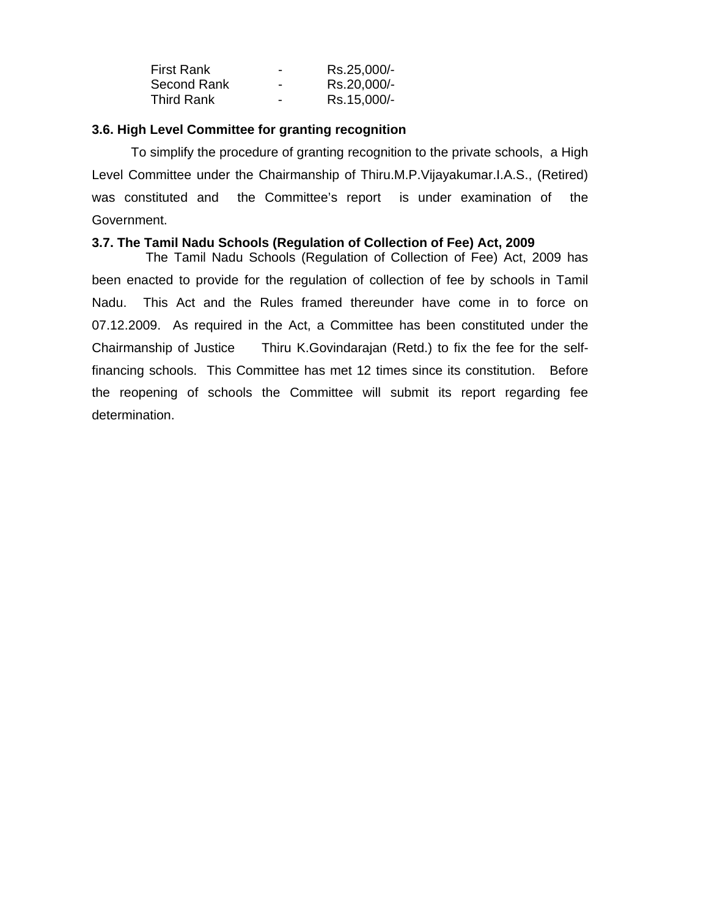| <b>First Rank</b> | $\overline{\phantom{a}}$ | Rs.25,000/- |
|-------------------|--------------------------|-------------|
| Second Rank       | $\overline{\phantom{a}}$ | Rs.20,000/- |
| <b>Third Rank</b> | $\overline{\phantom{a}}$ | Rs.15,000/- |

## **3.6. High Level Committee for granting recognition**

 To simplify the procedure of granting recognition to the private schools, a High Level Committee under the Chairmanship of Thiru.M.P.Vijayakumar.I.A.S., (Retired) was constituted and the Committee's report is under examination of the Government.

## **3.7. The Tamil Nadu Schools (Regulation of Collection of Fee) Act, 2009**

 The Tamil Nadu Schools (Regulation of Collection of Fee) Act, 2009 has been enacted to provide for the regulation of collection of fee by schools in Tamil Nadu. This Act and the Rules framed thereunder have come in to force on 07.12.2009. As required in the Act, a Committee has been constituted under the Chairmanship of Justice Thiru K.Govindarajan (Retd.) to fix the fee for the selffinancing schools. This Committee has met 12 times since its constitution. Before the reopening of schools the Committee will submit its report regarding fee determination.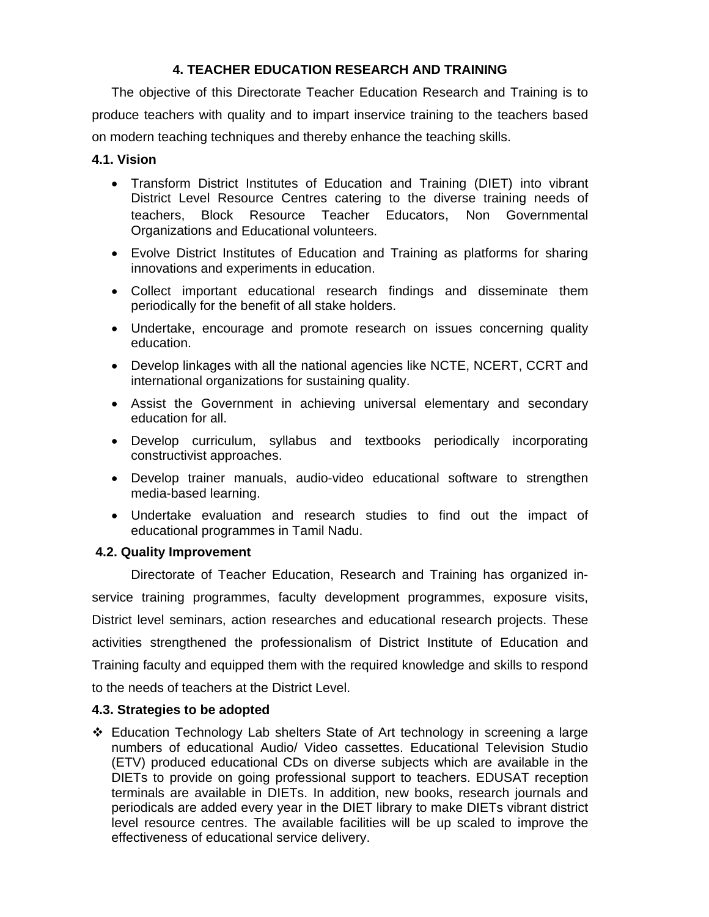## **4. TEACHER EDUCATION RESEARCH AND TRAINING**

The objective of this Directorate Teacher Education Research and Training is to produce teachers with quality and to impart inservice training to the teachers based on modern teaching techniques and thereby enhance the teaching skills.

## **4.1. Vision**

- Transform District Institutes of Education and Training (DIET) into vibrant District Level Resource Centres catering to the diverse training needs of teachers, Block Resource Teacher Educators, Non Governmental Organizations and Educational volunteers.
- Evolve District Institutes of Education and Training as platforms for sharing innovations and experiments in education.
- Collect important educational research findings and disseminate them periodically for the benefit of all stake holders.
- Undertake, encourage and promote research on issues concerning quality education.
- Develop linkages with all the national agencies like NCTE, NCERT, CCRT and international organizations for sustaining quality.
- Assist the Government in achieving universal elementary and secondary education for all.
- Develop curriculum, syllabus and textbooks periodically incorporating constructivist approaches.
- Develop trainer manuals, audio-video educational software to strengthen media-based learning.
- Undertake evaluation and research studies to find out the impact of educational programmes in Tamil Nadu.

## **4.2. Quality Improvement**

Directorate of Teacher Education, Research and Training has organized inservice training programmes, faculty development programmes, exposure visits, District level seminars, action researches and educational research projects. These activities strengthened the professionalism of District Institute of Education and Training faculty and equipped them with the required knowledge and skills to respond to the needs of teachers at the District Level.

## **4.3. Strategies to be adopted**

 Education Technology Lab shelters State of Art technology in screening a large numbers of educational Audio/ Video cassettes. Educational Television Studio (ETV) produced educational CDs on diverse subjects which are available in the DIETs to provide on going professional support to teachers. EDUSAT reception terminals are available in DIETs. In addition, new books, research journals and periodicals are added every year in the DIET library to make DIETs vibrant district level resource centres. The available facilities will be up scaled to improve the effectiveness of educational service delivery.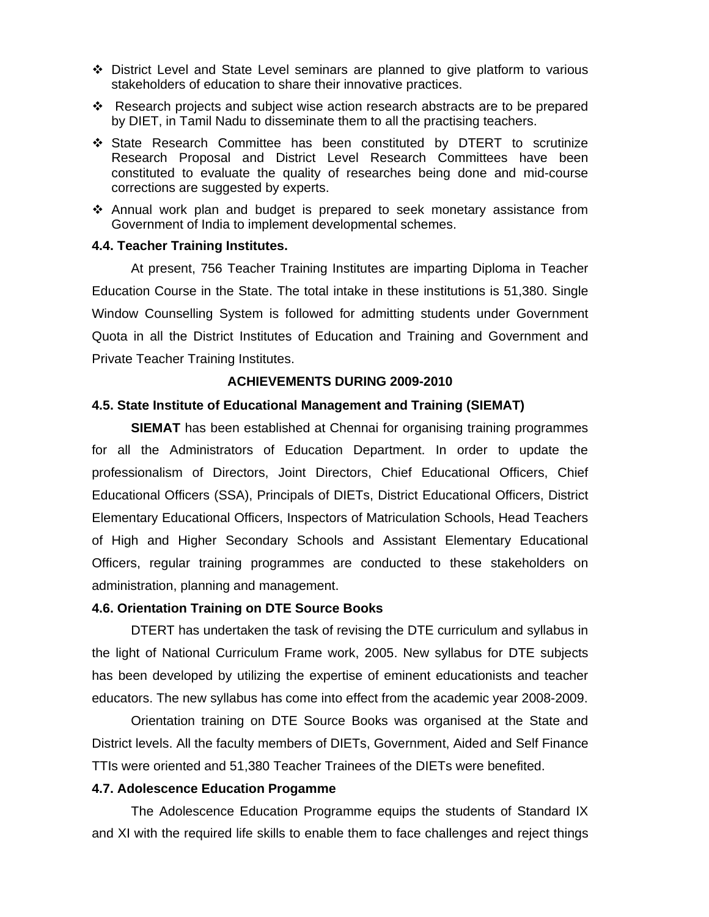- District Level and State Level seminars are planned to give platform to various stakeholders of education to share their innovative practices.
- Research projects and subject wise action research abstracts are to be prepared by DIET, in Tamil Nadu to disseminate them to all the practising teachers.
- State Research Committee has been constituted by DTERT to scrutinize Research Proposal and District Level Research Committees have been constituted to evaluate the quality of researches being done and mid-course corrections are suggested by experts.
- Annual work plan and budget is prepared to seek monetary assistance from Government of India to implement developmental schemes.

## **4.4. Teacher Training Institutes.**

 At present, 756 Teacher Training Institutes are imparting Diploma in Teacher Education Course in the State. The total intake in these institutions is 51,380. Single Window Counselling System is followed for admitting students under Government Quota in all the District Institutes of Education and Training and Government and Private Teacher Training Institutes.

## **ACHIEVEMENTS DURING 2009-2010**

## **4.5. State Institute of Educational Management and Training (SIEMAT)**

**SIEMAT** has been established at Chennai for organising training programmes for all the Administrators of Education Department. In order to update the professionalism of Directors, Joint Directors, Chief Educational Officers, Chief Educational Officers (SSA), Principals of DIETs, District Educational Officers, District Elementary Educational Officers, Inspectors of Matriculation Schools, Head Teachers of High and Higher Secondary Schools and Assistant Elementary Educational Officers, regular training programmes are conducted to these stakeholders on administration, planning and management.

## **4.6. Orientation Training on DTE Source Books**

DTERT has undertaken the task of revising the DTE curriculum and syllabus in the light of National Curriculum Frame work, 2005. New syllabus for DTE subjects has been developed by utilizing the expertise of eminent educationists and teacher educators. The new syllabus has come into effect from the academic year 2008-2009.

 Orientation training on DTE Source Books was organised at the State and District levels. All the faculty members of DIETs, Government, Aided and Self Finance TTIs were oriented and 51,380 Teacher Trainees of the DIETs were benefited.

## **4.7. Adolescence Education Progamme**

The Adolescence Education Programme equips the students of Standard IX and XI with the required life skills to enable them to face challenges and reject things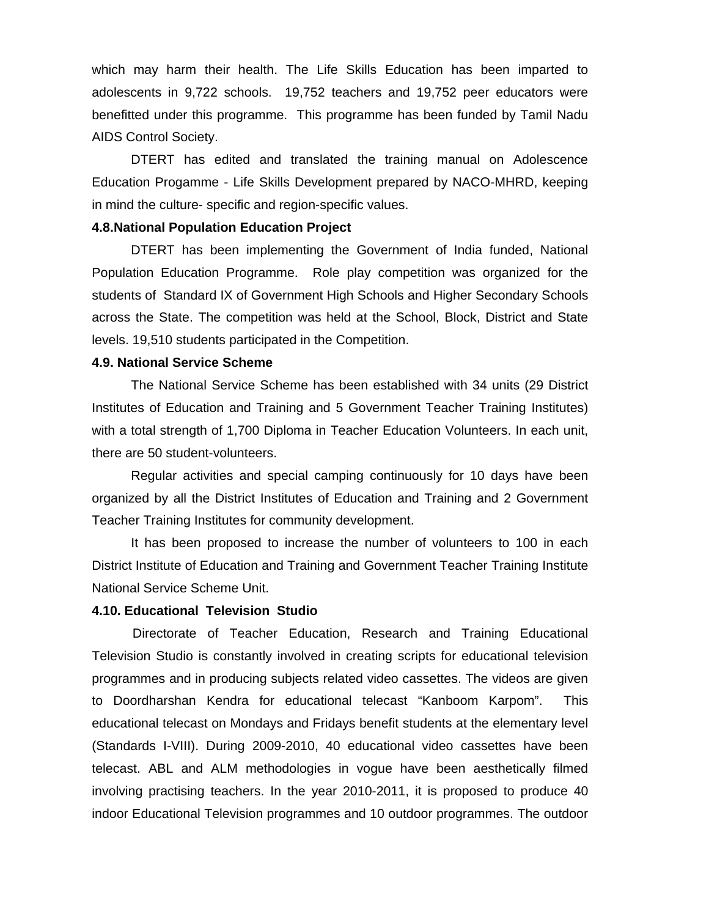which may harm their health. The Life Skills Education has been imparted to adolescents in 9,722 schools. 19,752 teachers and 19,752 peer educators were benefitted under this programme. This programme has been funded by Tamil Nadu AIDS Control Society.

DTERT has edited and translated the training manual on Adolescence Education Progamme - Life Skills Development prepared by NACO-MHRD, keeping in mind the culture- specific and region-specific values.

#### **4.8.National Population Education Project**

 DTERT has been implementing the Government of India funded, National Population Education Programme. Role play competition was organized for the students of Standard IX of Government High Schools and Higher Secondary Schools across the State. The competition was held at the School, Block, District and State levels. 19,510 students participated in the Competition.

#### **4.9. National Service Scheme**

 The National Service Scheme has been established with 34 units (29 District Institutes of Education and Training and 5 Government Teacher Training Institutes) with a total strength of 1,700 Diploma in Teacher Education Volunteers. In each unit, there are 50 student-volunteers.

 Regular activities and special camping continuously for 10 days have been organized by all the District Institutes of Education and Training and 2 Government Teacher Training Institutes for community development.

 It has been proposed to increase the number of volunteers to 100 in each District Institute of Education and Training and Government Teacher Training Institute National Service Scheme Unit.

#### **4.10. Educational Television Studio**

Directorate of Teacher Education, Research and Training Educational Television Studio is constantly involved in creating scripts for educational television programmes and in producing subjects related video cassettes. The videos are given to Doordharshan Kendra for educational telecast "Kanboom Karpom". This educational telecast on Mondays and Fridays benefit students at the elementary level (Standards I-VIII). During 2009-2010, 40 educational video cassettes have been telecast. ABL and ALM methodologies in vogue have been aesthetically filmed involving practising teachers. In the year 2010-2011, it is proposed to produce 40 indoor Educational Television programmes and 10 outdoor programmes. The outdoor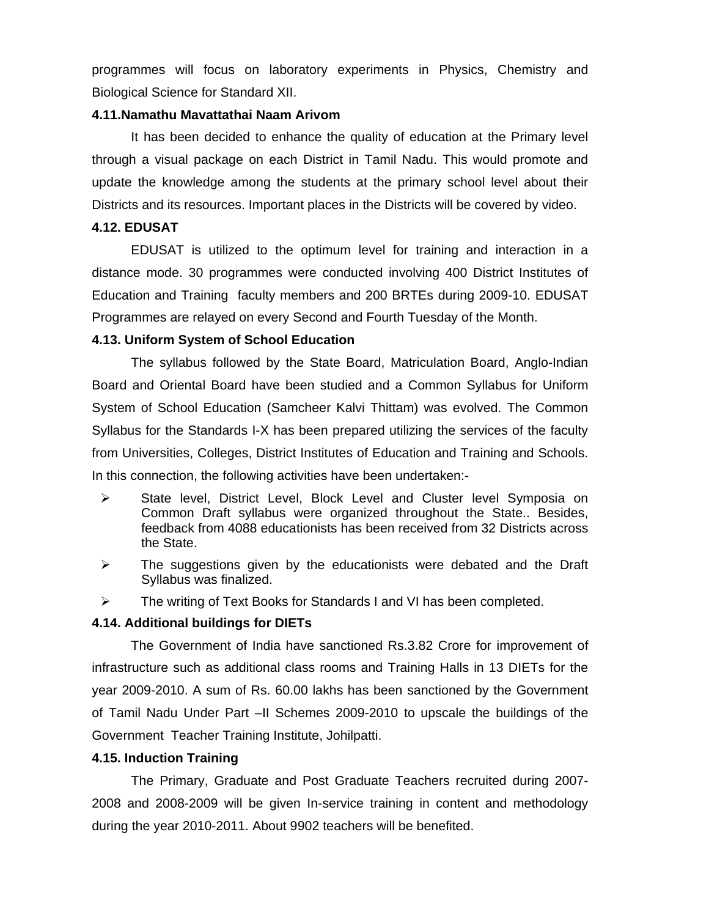programmes will focus on laboratory experiments in Physics, Chemistry and Biological Science for Standard XII.

#### **4.11.Namathu Mavattathai Naam Arivom**

 It has been decided to enhance the quality of education at the Primary level through a visual package on each District in Tamil Nadu. This would promote and update the knowledge among the students at the primary school level about their Districts and its resources. Important places in the Districts will be covered by video.

#### **4.12. EDUSAT**

EDUSAT is utilized to the optimum level for training and interaction in a distance mode. 30 programmes were conducted involving 400 District Institutes of Education and Training faculty members and 200 BRTEs during 2009-10. EDUSAT Programmes are relayed on every Second and Fourth Tuesday of the Month.

#### **4.13. Uniform System of School Education**

The syllabus followed by the State Board, Matriculation Board, Anglo-Indian Board and Oriental Board have been studied and a Common Syllabus for Uniform System of School Education (Samcheer Kalvi Thittam) was evolved. The Common Syllabus for the Standards I-X has been prepared utilizing the services of the faculty from Universities, Colleges, District Institutes of Education and Training and Schools. In this connection, the following activities have been undertaken:-

- ¾ State level, District Level, Block Level and Cluster level Symposia on Common Draft syllabus were organized throughout the State.. Besides, feedback from 4088 educationists has been received from 32 Districts across the State.
- $\triangleright$  The suggestions given by the educationists were debated and the Draft Syllabus was finalized.
- $\triangleright$  The writing of Text Books for Standards I and VI has been completed.

#### **4.14. Additional buildings for DIETs**

 The Government of India have sanctioned Rs.3.82 Crore for improvement of infrastructure such as additional class rooms and Training Halls in 13 DIETs for the year 2009-2010. A sum of Rs. 60.00 lakhs has been sanctioned by the Government of Tamil Nadu Under Part –II Schemes 2009-2010 to upscale the buildings of the Government Teacher Training Institute, Johilpatti.

#### **4.15. Induction Training**

 The Primary, Graduate and Post Graduate Teachers recruited during 2007- 2008 and 2008-2009 will be given In-service training in content and methodology during the year 2010-2011. About 9902 teachers will be benefited.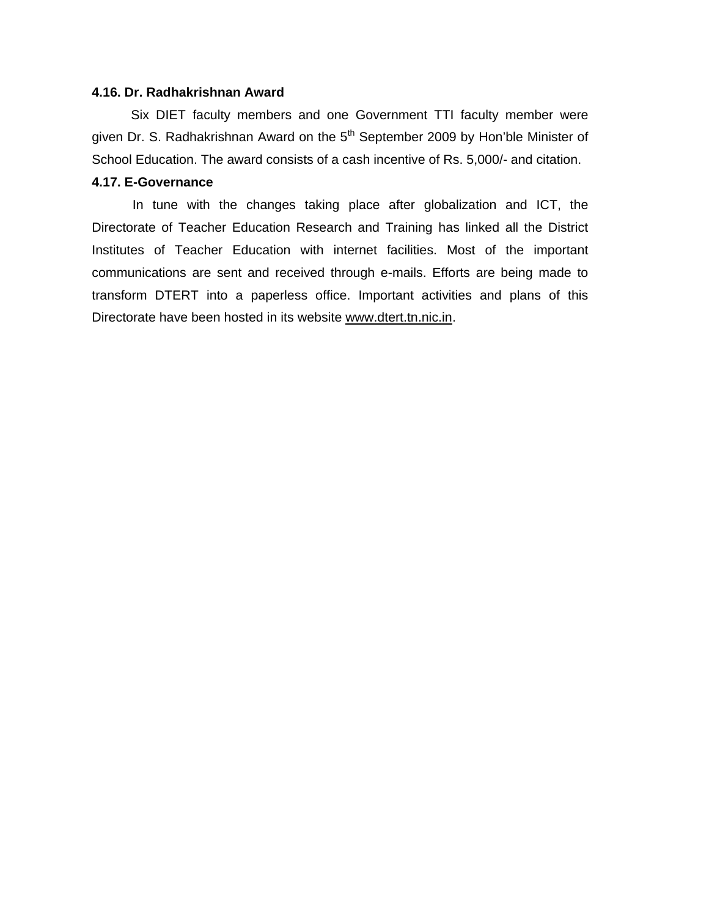#### **4.16. Dr. Radhakrishnan Award**

 Six DIET faculty members and one Government TTI faculty member were given Dr. S. Radhakrishnan Award on the  $5<sup>th</sup>$  September 2009 by Hon'ble Minister of School Education. The award consists of a cash incentive of Rs. 5,000/- and citation.

#### **4.17. E-Governance**

In tune with the changes taking place after globalization and ICT, the Directorate of Teacher Education Research and Training has linked all the District Institutes of Teacher Education with internet facilities. Most of the important communications are sent and received through e-mails. Efforts are being made to transform DTERT into a paperless office. Important activities and plans of this Directorate have been hosted in its website www.dtert.tn.nic.in.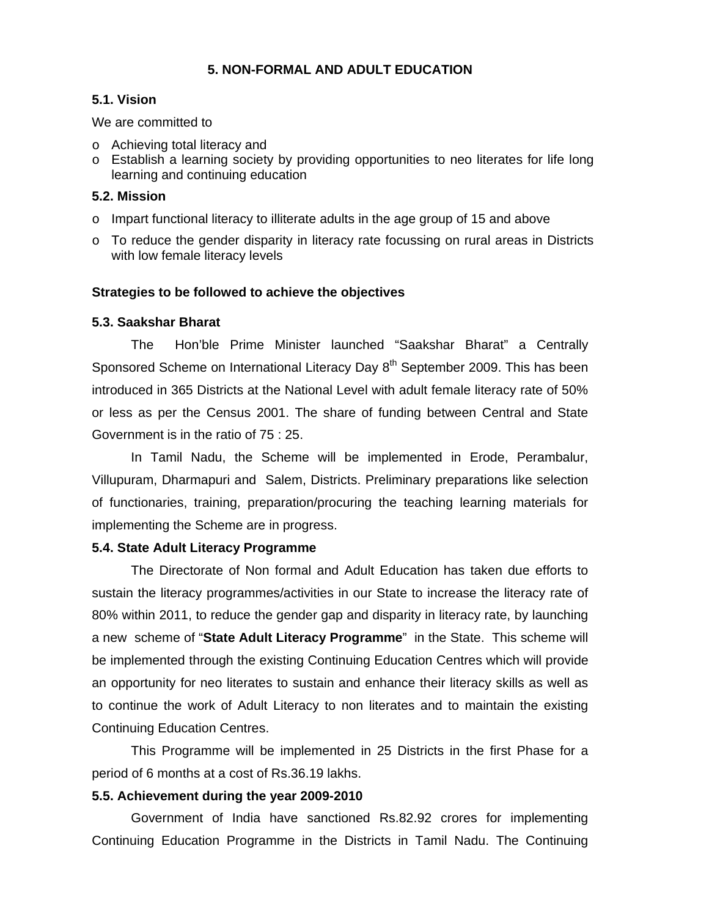## **5. NON-FORMAL AND ADULT EDUCATION**

## **5.1. Vision**

We are committed to

- o Achieving total literacy and
- o Establish a learning society by providing opportunities to neo literates for life long learning and continuing education

## **5.2. Mission**

- $\circ$  Impart functional literacy to illiterate adults in the age group of 15 and above
- o To reduce the gender disparity in literacy rate focussing on rural areas in Districts with low female literacy levels

## **Strategies to be followed to achieve the objectives**

## **5.3. Saakshar Bharat**

 The Hon'ble Prime Minister launched "Saakshar Bharat" a Centrally Sponsored Scheme on International Literacy Day 8<sup>th</sup> September 2009. This has been introduced in 365 Districts at the National Level with adult female literacy rate of 50% or less as per the Census 2001. The share of funding between Central and State Government is in the ratio of 75 : 25.

 In Tamil Nadu, the Scheme will be implemented in Erode, Perambalur, Villupuram, Dharmapuri and Salem, Districts. Preliminary preparations like selection of functionaries, training, preparation/procuring the teaching learning materials for implementing the Scheme are in progress.

## **5.4. State Adult Literacy Programme**

 The Directorate of Non formal and Adult Education has taken due efforts to sustain the literacy programmes/activities in our State to increase the literacy rate of 80% within 2011, to reduce the gender gap and disparity in literacy rate, by launching a new scheme of "**State Adult Literacy Programme**" in the State. This scheme will be implemented through the existing Continuing Education Centres which will provide an opportunity for neo literates to sustain and enhance their literacy skills as well as to continue the work of Adult Literacy to non literates and to maintain the existing Continuing Education Centres.

 This Programme will be implemented in 25 Districts in the first Phase for a period of 6 months at a cost of Rs.36.19 lakhs.

## **5.5. Achievement during the year 2009-2010**

 Government of India have sanctioned Rs.82.92 crores for implementing Continuing Education Programme in the Districts in Tamil Nadu. The Continuing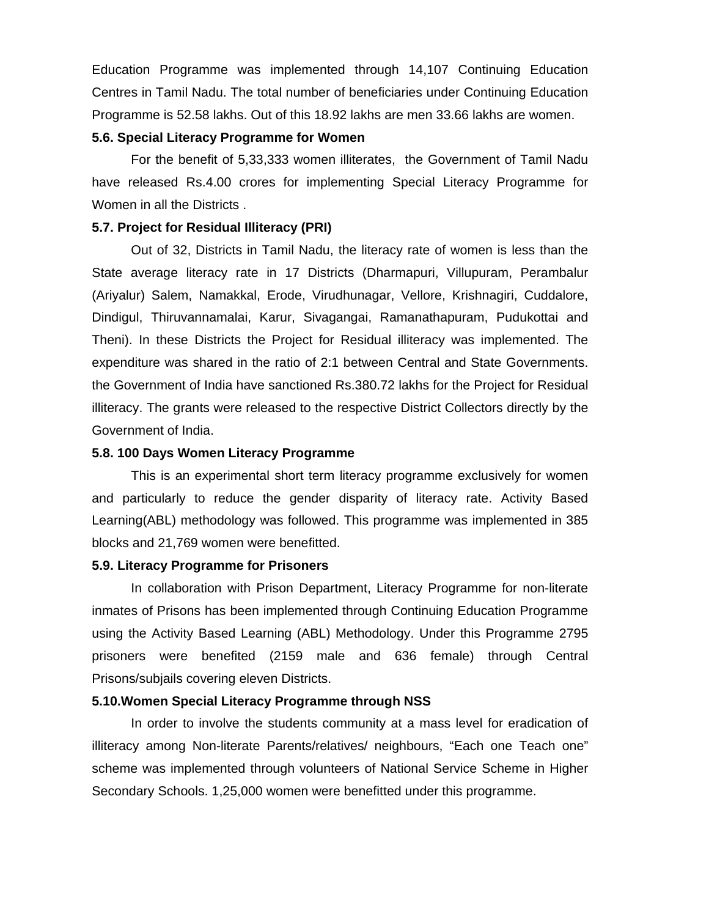Education Programme was implemented through 14,107 Continuing Education Centres in Tamil Nadu. The total number of beneficiaries under Continuing Education Programme is 52.58 lakhs. Out of this 18.92 lakhs are men 33.66 lakhs are women.

#### **5.6. Special Literacy Programme for Women**

 For the benefit of 5,33,333 women illiterates, the Government of Tamil Nadu have released Rs.4.00 crores for implementing Special Literacy Programme for Women in all the Districts .

#### **5.7. Project for Residual Illiteracy (PRI)**

 Out of 32, Districts in Tamil Nadu, the literacy rate of women is less than the State average literacy rate in 17 Districts (Dharmapuri, Villupuram, Perambalur (Ariyalur) Salem, Namakkal, Erode, Virudhunagar, Vellore, Krishnagiri, Cuddalore, Dindigul, Thiruvannamalai, Karur, Sivagangai, Ramanathapuram, Pudukottai and Theni). In these Districts the Project for Residual illiteracy was implemented. The expenditure was shared in the ratio of 2:1 between Central and State Governments. the Government of India have sanctioned Rs.380.72 lakhs for the Project for Residual illiteracy. The grants were released to the respective District Collectors directly by the Government of India.

#### **5.8. 100 Days Women Literacy Programme**

 This is an experimental short term literacy programme exclusively for women and particularly to reduce the gender disparity of literacy rate. Activity Based Learning(ABL) methodology was followed. This programme was implemented in 385 blocks and 21,769 women were benefitted.

#### **5.9. Literacy Programme for Prisoners**

 In collaboration with Prison Department, Literacy Programme for non-literate inmates of Prisons has been implemented through Continuing Education Programme using the Activity Based Learning (ABL) Methodology. Under this Programme 2795 prisoners were benefited (2159 male and 636 female) through Central Prisons/subjails covering eleven Districts.

#### **5.10.Women Special Literacy Programme through NSS**

 In order to involve the students community at a mass level for eradication of illiteracy among Non-literate Parents/relatives/ neighbours, "Each one Teach one" scheme was implemented through volunteers of National Service Scheme in Higher Secondary Schools. 1,25,000 women were benefitted under this programme.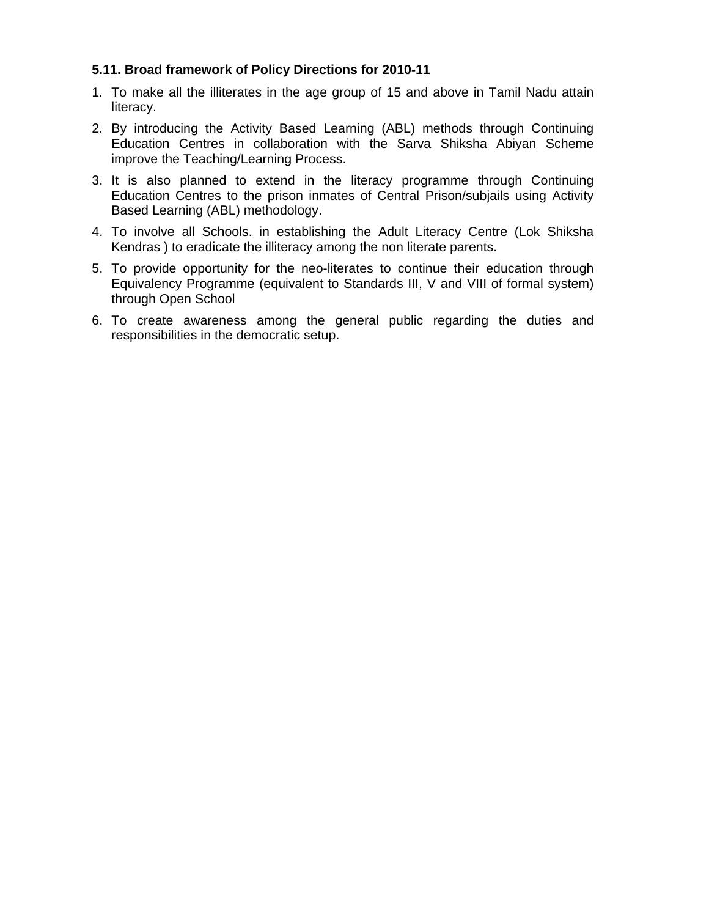## **5.11. Broad framework of Policy Directions for 2010-11**

- 1. To make all the illiterates in the age group of 15 and above in Tamil Nadu attain literacy.
- 2. By introducing the Activity Based Learning (ABL) methods through Continuing Education Centres in collaboration with the Sarva Shiksha Abiyan Scheme improve the Teaching/Learning Process.
- 3. It is also planned to extend in the literacy programme through Continuing Education Centres to the prison inmates of Central Prison/subjails using Activity Based Learning (ABL) methodology.
- 4. To involve all Schools. in establishing the Adult Literacy Centre (Lok Shiksha Kendras ) to eradicate the illiteracy among the non literate parents.
- 5. To provide opportunity for the neo-literates to continue their education through Equivalency Programme (equivalent to Standards III, V and VIII of formal system) through Open School
- 6. To create awareness among the general public regarding the duties and responsibilities in the democratic setup.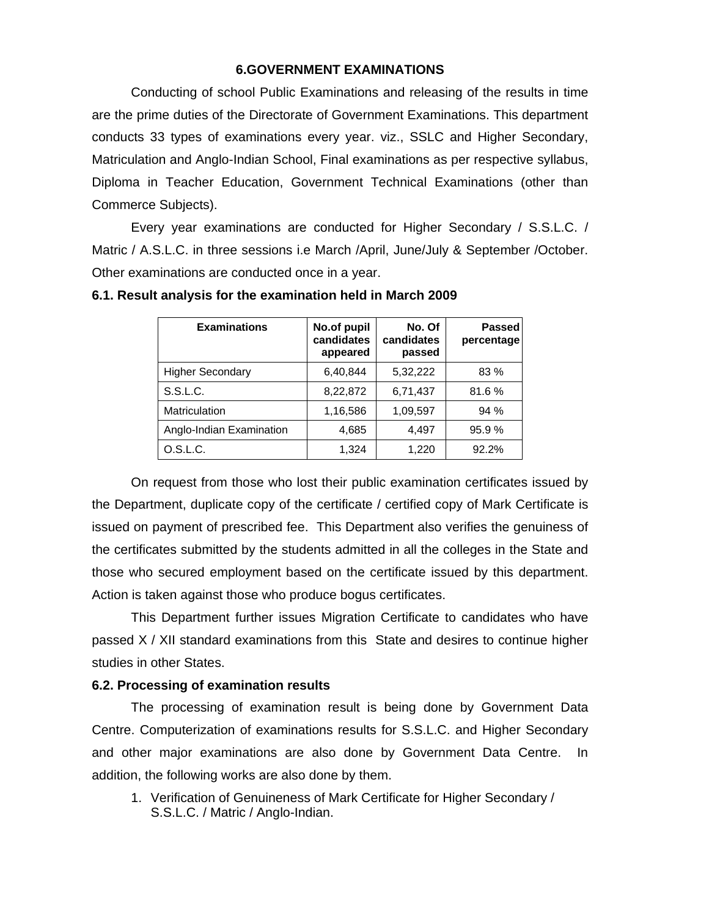#### **6.GOVERNMENT EXAMINATIONS**

Conducting of school Public Examinations and releasing of the results in time are the prime duties of the Directorate of Government Examinations. This department conducts 33 types of examinations every year. viz., SSLC and Higher Secondary, Matriculation and Anglo-Indian School, Final examinations as per respective syllabus, Diploma in Teacher Education, Government Technical Examinations (other than Commerce Subjects).

 Every year examinations are conducted for Higher Secondary / S.S.L.C. / Matric / A.S.L.C. in three sessions i.e March /April, June/July & September /October. Other examinations are conducted once in a year.

| <b>Examinations</b>      | No.of pupil<br>candidates<br>appeared | No. Of<br>candidates<br>passed | <b>Passed</b><br>percentage |
|--------------------------|---------------------------------------|--------------------------------|-----------------------------|
| <b>Higher Secondary</b>  | 6,40,844                              | 5,32,222                       | 83 %                        |
| S.S.L.C.                 | 8,22,872                              | 6,71,437                       | 81.6%                       |
| Matriculation            | 1,16,586                              | 1,09,597                       | 94%                         |
| Anglo-Indian Examination | 4,685                                 | 4,497                          | 95.9%                       |
| O.S.L.C.                 | 1,324                                 | 1,220                          | 92.2%                       |

**6.1. Result analysis for the examination held in March 2009** 

On request from those who lost their public examination certificates issued by the Department, duplicate copy of the certificate / certified copy of Mark Certificate is issued on payment of prescribed fee. This Department also verifies the genuiness of the certificates submitted by the students admitted in all the colleges in the State and those who secured employment based on the certificate issued by this department. Action is taken against those who produce bogus certificates.

This Department further issues Migration Certificate to candidates who have passed X / XII standard examinations from this State and desires to continue higher studies in other States.

#### **6.2. Processing of examination results**

The processing of examination result is being done by Government Data Centre. Computerization of examinations results for S.S.L.C. and Higher Secondary and other major examinations are also done by Government Data Centre. In addition, the following works are also done by them.

1. Verification of Genuineness of Mark Certificate for Higher Secondary / S.S.L.C. / Matric / Anglo-Indian.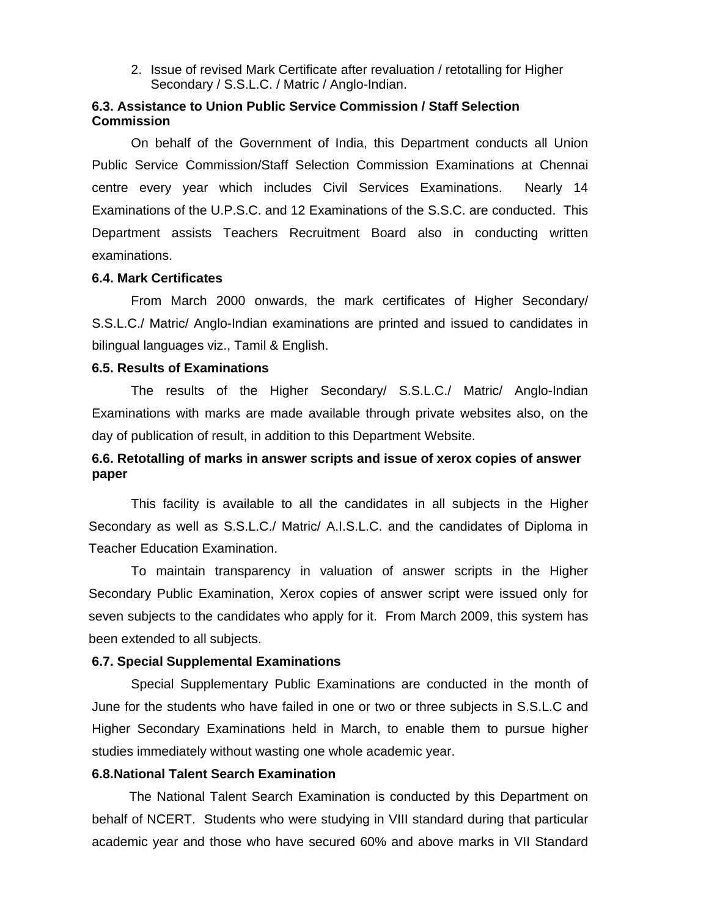2. Issue of revised Mark Certificate after revaluation / retotalling for Higher Secondary / S.S.L.C. / Matric / Anglo-Indian.

## **6.3. Assistance to Union Public Service Commission / Staff Selection Commission**

 On behalf of the Government of India, this Department conducts all Union Public Service Commission/Staff Selection Commission Examinations at Chennai centre every year which includes Civil Services Examinations. Nearly 14 Examinations of the U.P.S.C. and 12 Examinations of the S.S.C. are conducted. This Department assists Teachers Recruitment Board also in conducting written examinations.

#### **6.4. Mark Certificates**

 From March 2000 onwards, the mark certificates of Higher Secondary/ S.S.L.C./ Matric/ Anglo-Indian examinations are printed and issued to candidates in bilingual languages viz., Tamil & English.

#### **6.5. Results of Examinations**

The results of the Higher Secondary/ S.S.L.C./ Matric/ Anglo-Indian Examinations with marks are made available through private websites also, on the day of publication of result, in addition to this Department Website.

## **6.6. Retotalling of marks in answer scripts and issue of xerox copies of answer paper**

This facility is available to all the candidates in all subjects in the Higher Secondary as well as S.S.L.C./ Matric/ A.I.S.L.C. and the candidates of Diploma in Teacher Education Examination.

To maintain transparency in valuation of answer scripts in the Higher Secondary Public Examination, Xerox copies of answer script were issued only for seven subjects to the candidates who apply for it. From March 2009, this system has been extended to all subjects.

## **6.7. Special Supplemental Examinations**

 Special Supplementary Public Examinations are conducted in the month of June for the students who have failed in one or two or three subjects in S.S.L.C and Higher Secondary Examinations held in March, to enable them to pursue higher studies immediately without wasting one whole academic year.

#### **6.8.National Talent Search Examination**

The National Talent Search Examination is conducted by this Department on behalf of NCERT. Students who were studying in VIII standard during that particular academic year and those who have secured 60% and above marks in VII Standard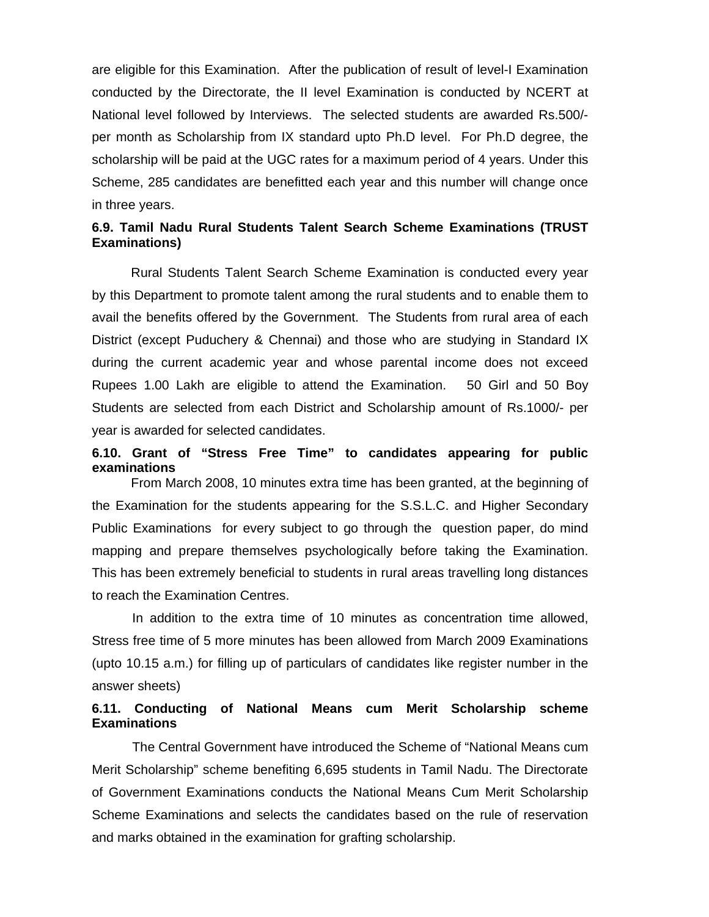are eligible for this Examination. After the publication of result of level-I Examination conducted by the Directorate, the II level Examination is conducted by NCERT at National level followed by Interviews. The selected students are awarded Rs.500/ per month as Scholarship from IX standard upto Ph.D level. For Ph.D degree, the scholarship will be paid at the UGC rates for a maximum period of 4 years. Under this Scheme, 285 candidates are benefitted each year and this number will change once in three years.

## **6.9. Tamil Nadu Rural Students Talent Search Scheme Examinations (TRUST Examinations)**

 Rural Students Talent Search Scheme Examination is conducted every year by this Department to promote talent among the rural students and to enable them to avail the benefits offered by the Government. The Students from rural area of each District (except Puduchery & Chennai) and those who are studying in Standard IX during the current academic year and whose parental income does not exceed Rupees 1.00 Lakh are eligible to attend the Examination. 50 Girl and 50 Boy Students are selected from each District and Scholarship amount of Rs.1000/- per year is awarded for selected candidates.

## **6.10. Grant of "Stress Free Time" to candidates appearing for public examinations**

 From March 2008, 10 minutes extra time has been granted, at the beginning of the Examination for the students appearing for the S.S.L.C. and Higher Secondary Public Examinations for every subject to go through the question paper, do mind mapping and prepare themselves psychologically before taking the Examination. This has been extremely beneficial to students in rural areas travelling long distances to reach the Examination Centres.

In addition to the extra time of 10 minutes as concentration time allowed, Stress free time of 5 more minutes has been allowed from March 2009 Examinations (upto 10.15 a.m.) for filling up of particulars of candidates like register number in the answer sheets)

## **6.11. Conducting of National Means cum Merit Scholarship scheme Examinations**

The Central Government have introduced the Scheme of "National Means cum Merit Scholarship" scheme benefiting 6,695 students in Tamil Nadu. The Directorate of Government Examinations conducts the National Means Cum Merit Scholarship Scheme Examinations and selects the candidates based on the rule of reservation and marks obtained in the examination for grafting scholarship.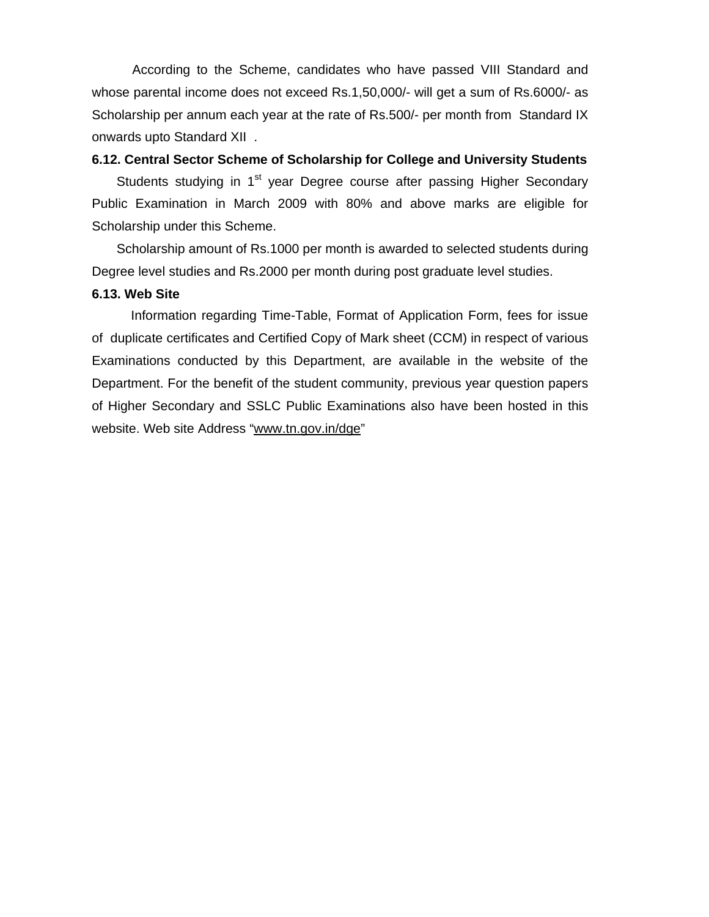According to the Scheme, candidates who have passed VIII Standard and whose parental income does not exceed Rs.1,50,000/- will get a sum of Rs.6000/- as Scholarship per annum each year at the rate of Rs.500/- per month from Standard IX onwards upto Standard XII .

## **6.12. Central Sector Scheme of Scholarship for College and University Students**

Students studying in 1<sup>st</sup> year Degree course after passing Higher Secondary Public Examination in March 2009 with 80% and above marks are eligible for Scholarship under this Scheme.

 Scholarship amount of Rs.1000 per month is awarded to selected students during Degree level studies and Rs.2000 per month during post graduate level studies.

#### **6.13. Web Site**

 Information regarding Time-Table, Format of Application Form, fees for issue of duplicate certificates and Certified Copy of Mark sheet (CCM) in respect of various Examinations conducted by this Department, are available in the website of the Department. For the benefit of the student community, previous year question papers of Higher Secondary and SSLC Public Examinations also have been hosted in this website. Web site Address "www.tn.gov.in/dge"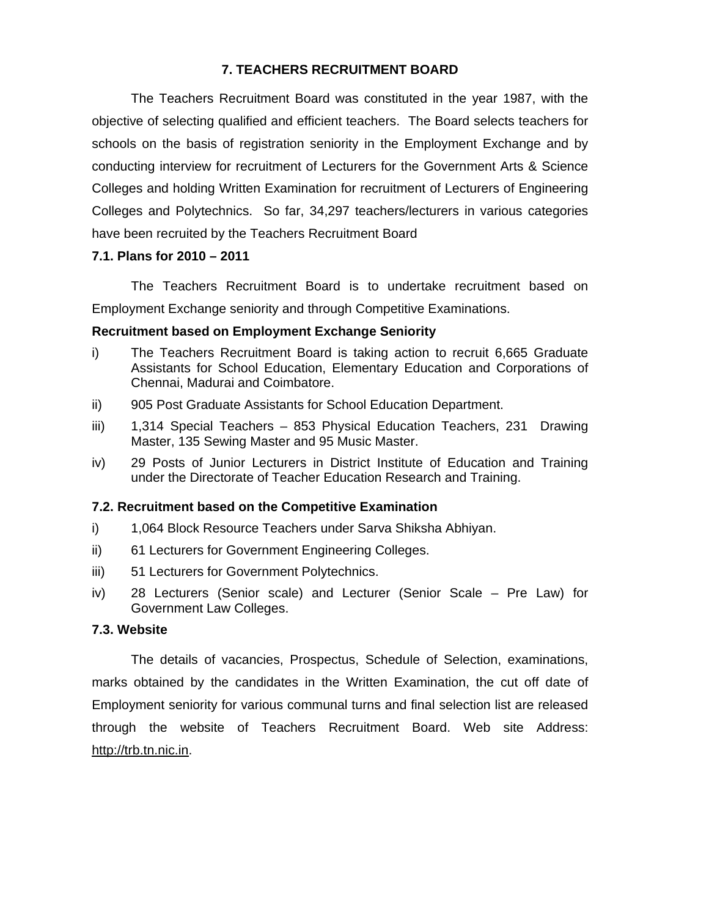## **7. TEACHERS RECRUITMENT BOARD**

The Teachers Recruitment Board was constituted in the year 1987, with the objective of selecting qualified and efficient teachers. The Board selects teachers for schools on the basis of registration seniority in the Employment Exchange and by conducting interview for recruitment of Lecturers for the Government Arts & Science Colleges and holding Written Examination for recruitment of Lecturers of Engineering Colleges and Polytechnics. So far, 34,297 teachers/lecturers in various categories have been recruited by the Teachers Recruitment Board

## **7.1. Plans for 2010 – 2011**

The Teachers Recruitment Board is to undertake recruitment based on Employment Exchange seniority and through Competitive Examinations.

## **Recruitment based on Employment Exchange Seniority**

- i) The Teachers Recruitment Board is taking action to recruit 6,665 Graduate Assistants for School Education, Elementary Education and Corporations of Chennai, Madurai and Coimbatore.
- ii) 905 Post Graduate Assistants for School Education Department.
- iii) 1,314 Special Teachers 853 Physical Education Teachers, 231 Drawing Master, 135 Sewing Master and 95 Music Master.
- iv) 29 Posts of Junior Lecturers in District Institute of Education and Training under the Directorate of Teacher Education Research and Training.

## **7.2. Recruitment based on the Competitive Examination**

- i) 1,064 Block Resource Teachers under Sarva Shiksha Abhiyan.
- ii) 61 Lecturers for Government Engineering Colleges.
- iii) 51 Lecturers for Government Polytechnics.
- iv) 28 Lecturers (Senior scale) and Lecturer (Senior Scale Pre Law) for Government Law Colleges.

#### **7.3. Website**

 The details of vacancies, Prospectus, Schedule of Selection, examinations, marks obtained by the candidates in the Written Examination, the cut off date of Employment seniority for various communal turns and final selection list are released through the website of Teachers Recruitment Board. Web site Address: http://trb.tn.nic.in.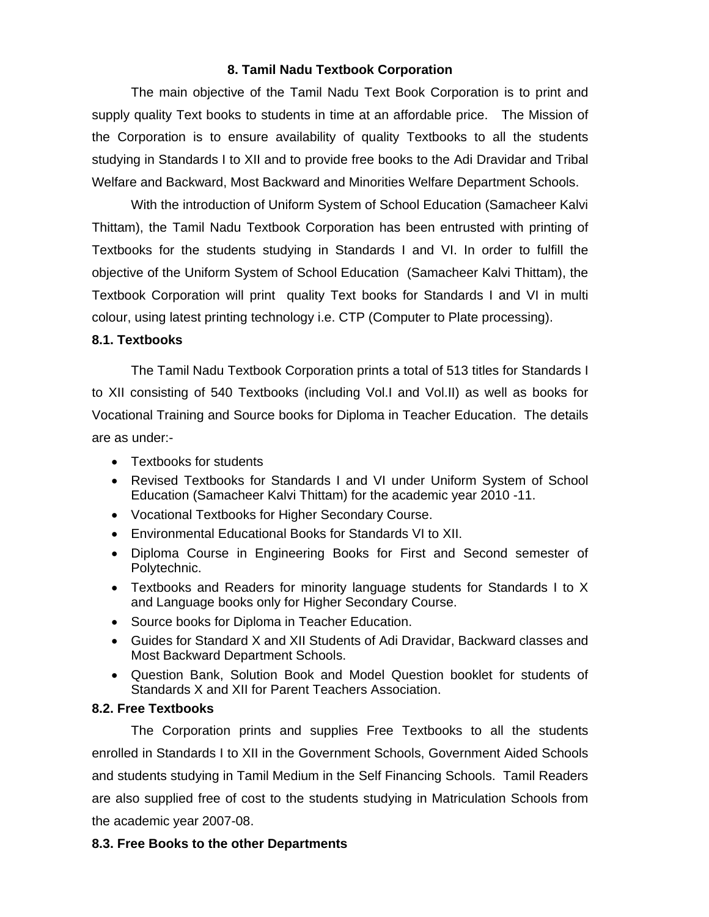## **8. Tamil Nadu Textbook Corporation**

The main objective of the Tamil Nadu Text Book Corporation is to print and supply quality Text books to students in time at an affordable price. The Mission of the Corporation is to ensure availability of quality Textbooks to all the students studying in Standards I to XII and to provide free books to the Adi Dravidar and Tribal Welfare and Backward, Most Backward and Minorities Welfare Department Schools.

 With the introduction of Uniform System of School Education (Samacheer Kalvi Thittam), the Tamil Nadu Textbook Corporation has been entrusted with printing of Textbooks for the students studying in Standards I and VI. In order to fulfill the objective of the Uniform System of School Education (Samacheer Kalvi Thittam), the Textbook Corporation will print quality Text books for Standards I and VI in multi colour, using latest printing technology i.e. CTP (Computer to Plate processing).

## **8.1. Textbooks**

 The Tamil Nadu Textbook Corporation prints a total of 513 titles for Standards I to XII consisting of 540 Textbooks (including Vol.I and Vol.II) as well as books for Vocational Training and Source books for Diploma in Teacher Education. The details are as under:-

- Textbooks for students
- Revised Textbooks for Standards I and VI under Uniform System of School Education (Samacheer Kalvi Thittam) for the academic year 2010 -11.
- Vocational Textbooks for Higher Secondary Course.
- Environmental Educational Books for Standards VI to XII.
- Diploma Course in Engineering Books for First and Second semester of Polytechnic.
- Textbooks and Readers for minority language students for Standards I to X and Language books only for Higher Secondary Course.
- Source books for Diploma in Teacher Education.
- Guides for Standard X and XII Students of Adi Dravidar, Backward classes and Most Backward Department Schools.
- Question Bank, Solution Book and Model Question booklet for students of Standards X and XII for Parent Teachers Association.

## **8.2. Free Textbooks**

 The Corporation prints and supplies Free Textbooks to all the students enrolled in Standards I to XII in the Government Schools, Government Aided Schools and students studying in Tamil Medium in the Self Financing Schools. Tamil Readers are also supplied free of cost to the students studying in Matriculation Schools from the academic year 2007-08.

## **8.3. Free Books to the other Departments**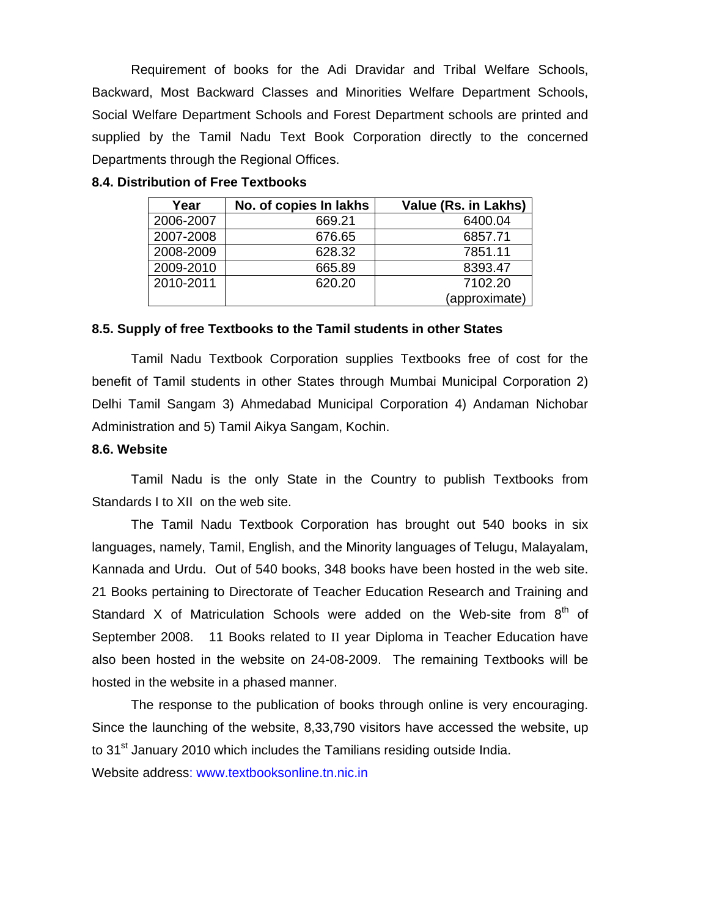Requirement of books for the Adi Dravidar and Tribal Welfare Schools, Backward, Most Backward Classes and Minorities Welfare Department Schools, Social Welfare Department Schools and Forest Department schools are printed and supplied by the Tamil Nadu Text Book Corporation directly to the concerned Departments through the Regional Offices.

| Year      | No. of copies In lakhs | Value (Rs. in Lakhs) |
|-----------|------------------------|----------------------|
| 2006-2007 | 669.21                 | 6400.04              |
| 2007-2008 | 676.65                 | 6857.71              |
| 2008-2009 | 628.32                 | 7851.11              |
| 2009-2010 | 665.89                 | 8393.47              |
| 2010-2011 | 620.20                 | 7102.20              |
|           |                        | (approximate)        |

#### **8.4. Distribution of Free Textbooks**

#### **8.5. Supply of free Textbooks to the Tamil students in other States**

 Tamil Nadu Textbook Corporation supplies Textbooks free of cost for the benefit of Tamil students in other States through Mumbai Municipal Corporation 2) Delhi Tamil Sangam 3) Ahmedabad Municipal Corporation 4) Andaman Nichobar Administration and 5) Tamil Aikya Sangam, Kochin.

#### **8.6. Website**

 Tamil Nadu is the only State in the Country to publish Textbooks from Standards I to XII on the web site.

 The Tamil Nadu Textbook Corporation has brought out 540 books in six languages, namely, Tamil, English, and the Minority languages of Telugu, Malayalam, Kannada and Urdu. Out of 540 books, 348 books have been hosted in the web site. 21 Books pertaining to Directorate of Teacher Education Research and Training and Standard X of Matriculation Schools were added on the Web-site from  $8<sup>th</sup>$  of September 2008. 11 Books related to II year Diploma in Teacher Education have also been hosted in the website on 24-08-2009. The remaining Textbooks will be hosted in the website in a phased manner.

 The response to the publication of books through online is very encouraging. Since the launching of the website, 8,33,790 visitors have accessed the website, up to  $31<sup>st</sup>$  January 2010 which includes the Tamilians residing outside India. Website address: www.textbooksonline.tn.nic.in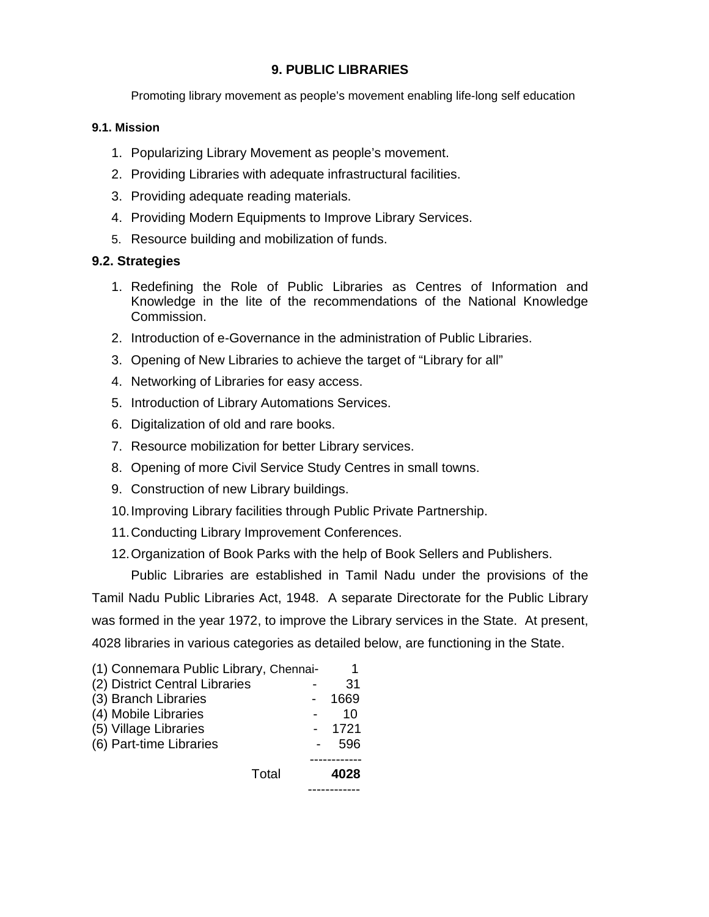## **9. PUBLIC LIBRARIES**

Promoting library movement as people's movement enabling life-long self education

## **9.1. Mission**

- 1. Popularizing Library Movement as people's movement.
- 2. Providing Libraries with adequate infrastructural facilities.
- 3. Providing adequate reading materials.
- 4. Providing Modern Equipments to Improve Library Services.
- 5. Resource building and mobilization of funds.

## **9.2. Strategies**

- 1. Redefining the Role of Public Libraries as Centres of Information and Knowledge in the lite of the recommendations of the National Knowledge Commission.
- 2. Introduction of e-Governance in the administration of Public Libraries.
- 3. Opening of New Libraries to achieve the target of "Library for all"
- 4. Networking of Libraries for easy access.
- 5. Introduction of Library Automations Services.
- 6. Digitalization of old and rare books.
- 7. Resource mobilization for better Library services.
- 8. Opening of more Civil Service Study Centres in small towns.
- 9. Construction of new Library buildings.
- 10. Improving Library facilities through Public Private Partnership.
- 11. Conducting Library Improvement Conferences.
- 12. Organization of Book Parks with the help of Book Sellers and Publishers.

Public Libraries are established in Tamil Nadu under the provisions of the Tamil Nadu Public Libraries Act, 1948. A separate Directorate for the Public Library was formed in the year 1972, to improve the Library services in the State. At present, 4028 libraries in various categories as detailed below, are functioning in the State.

| (1) Connemara Public Library, Chennai- | 1    |
|----------------------------------------|------|
| (2) District Central Libraries         | 31   |
| (3) Branch Libraries                   | 1669 |
| (4) Mobile Libraries                   | 10   |
| (5) Village Libraries                  | 1721 |
| (6) Part-time Libraries                | 596  |
|                                        |      |
| Total                                  | 4028 |
|                                        |      |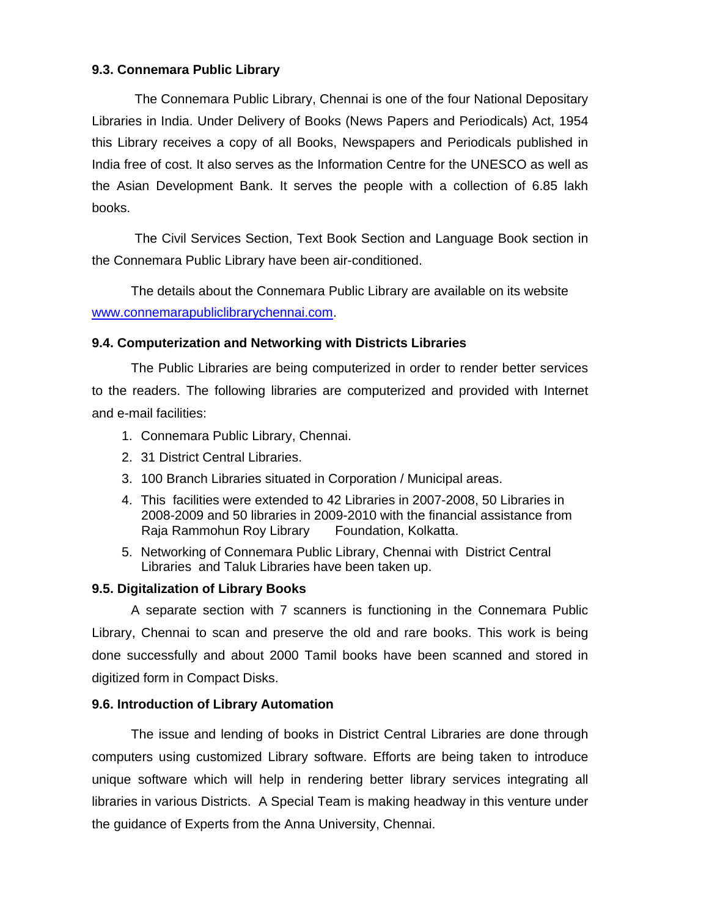## **9.3. Connemara Public Library**

 The Connemara Public Library, Chennai is one of the four National Depositary Libraries in India. Under Delivery of Books (News Papers and Periodicals) Act, 1954 this Library receives a copy of all Books, Newspapers and Periodicals published in India free of cost. It also serves as the Information Centre for the UNESCO as well as the Asian Development Bank. It serves the people with a collection of 6.85 lakh books.

 The Civil Services Section, Text Book Section and Language Book section in the Connemara Public Library have been air-conditioned.

 The details about the Connemara Public Library are available on its website www.connemarapubliclibrarychennai.com.

## **9.4. Computerization and Networking with Districts Libraries**

The Public Libraries are being computerized in order to render better services to the readers. The following libraries are computerized and provided with Internet and e-mail facilities:

- 1. Connemara Public Library, Chennai.
- 2. 31 District Central Libraries.
- 3. 100 Branch Libraries situated in Corporation / Municipal areas.
- 4. This facilities were extended to 42 Libraries in 2007-2008, 50 Libraries in 2008-2009 and 50 libraries in 2009-2010 with the financial assistance from Raja Rammohun Roy Library Foundation, Kolkatta.
- 5. Networking of Connemara Public Library, Chennai with District Central Libraries and Taluk Libraries have been taken up.

## **9.5. Digitalization of Library Books**

A separate section with 7 scanners is functioning in the Connemara Public Library, Chennai to scan and preserve the old and rare books. This work is being done successfully and about 2000 Tamil books have been scanned and stored in digitized form in Compact Disks.

## **9.6. Introduction of Library Automation**

 The issue and lending of books in District Central Libraries are done through computers using customized Library software. Efforts are being taken to introduce unique software which will help in rendering better library services integrating all libraries in various Districts. A Special Team is making headway in this venture under the guidance of Experts from the Anna University, Chennai.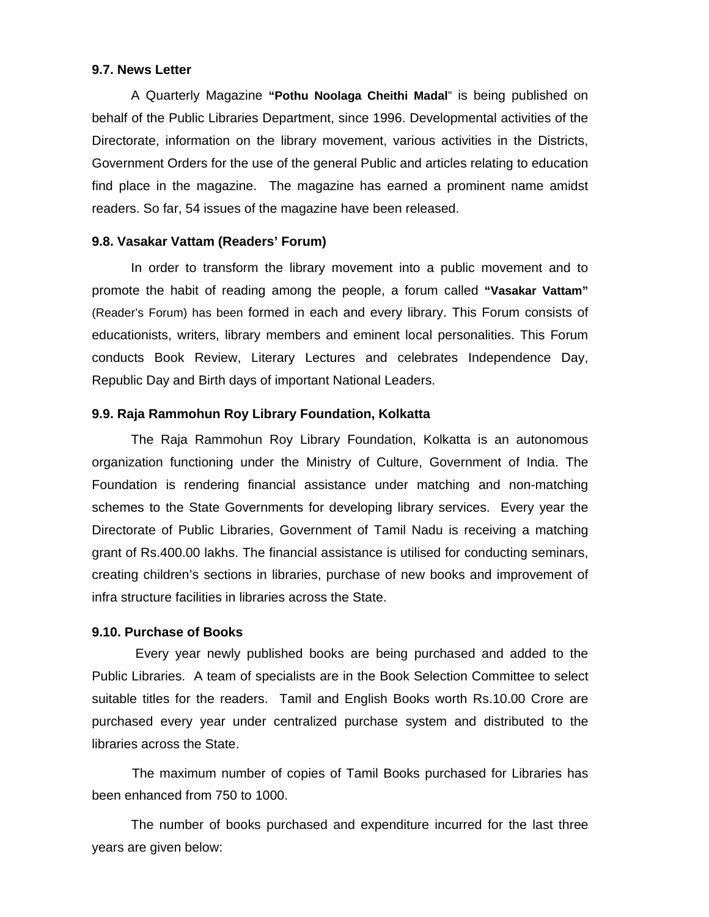#### **9.7. News Letter**

A Quarterly Magazine **"Pothu Noolaga Cheithi Madal**" is being published on behalf of the Public Libraries Department, since 1996. Developmental activities of the Directorate, information on the library movement, various activities in the Districts, Government Orders for the use of the general Public and articles relating to education find place in the magazine. The magazine has earned a prominent name amidst readers. So far, 54 issues of the magazine have been released.

#### **9.8. Vasakar Vattam (Readers' Forum)**

In order to transform the library movement into a public movement and to promote the habit of reading among the people, a forum called **"Vasakar Vattam"**  (Reader's Forum) has been formed in each and every library. This Forum consists of educationists, writers, library members and eminent local personalities. This Forum conducts Book Review, Literary Lectures and celebrates Independence Day, Republic Day and Birth days of important National Leaders.

## **9.9. Raja Rammohun Roy Library Foundation, Kolkatta**

The Raja Rammohun Roy Library Foundation, Kolkatta is an autonomous organization functioning under the Ministry of Culture, Government of India. The Foundation is rendering financial assistance under matching and non-matching schemes to the State Governments for developing library services. Every year the Directorate of Public Libraries, Government of Tamil Nadu is receiving a matching grant of Rs.400.00 lakhs. The financial assistance is utilised for conducting seminars, creating children's sections in libraries, purchase of new books and improvement of infra structure facilities in libraries across the State.

#### **9.10. Purchase of Books**

 Every year newly published books are being purchased and added to the Public Libraries. A team of specialists are in the Book Selection Committee to select suitable titles for the readers. Tamil and English Books worth Rs.10.00 Crore are purchased every year under centralized purchase system and distributed to the libraries across the State.

 The maximum number of copies of Tamil Books purchased for Libraries has been enhanced from 750 to 1000.

 The number of books purchased and expenditure incurred for the last three years are given below: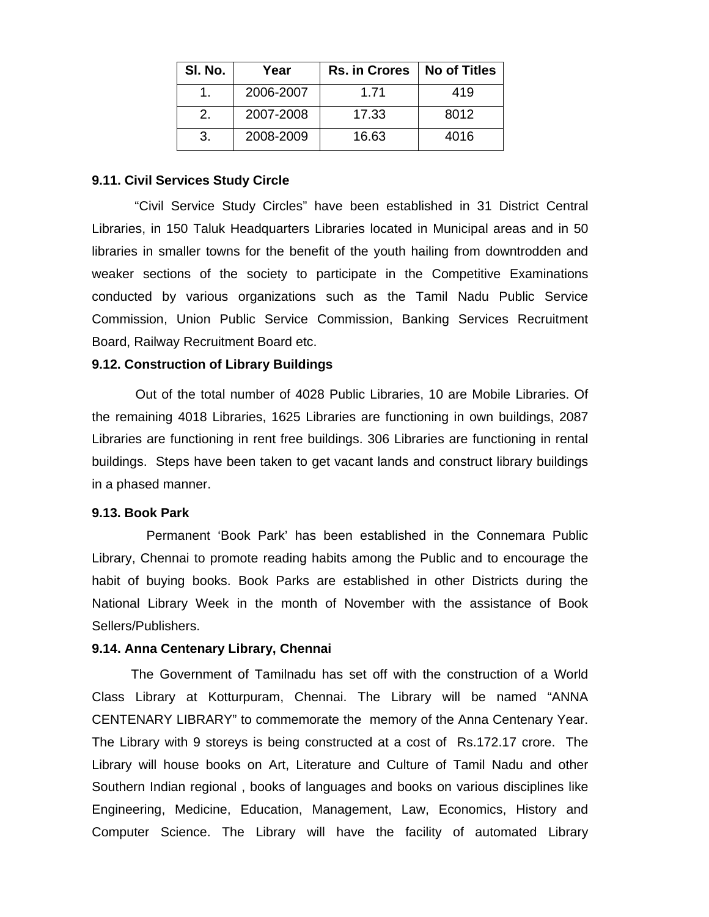| SI. No. | Year      | <b>Rs. in Crores</b> | <b>No of Titles</b> |
|---------|-----------|----------------------|---------------------|
|         | 2006-2007 | 1.71                 | 419                 |
| 2.      | 2007-2008 | 17.33                | 8012                |
| 3.      | 2008-2009 | 16.63                | 4016                |

## **9.11. Civil Services Study Circle**

 "Civil Service Study Circles" have been established in 31 District Central Libraries, in 150 Taluk Headquarters Libraries located in Municipal areas and in 50 libraries in smaller towns for the benefit of the youth hailing from downtrodden and weaker sections of the society to participate in the Competitive Examinations conducted by various organizations such as the Tamil Nadu Public Service Commission, Union Public Service Commission, Banking Services Recruitment Board, Railway Recruitment Board etc.

## **9.12. Construction of Library Buildings**

Out of the total number of 4028 Public Libraries, 10 are Mobile Libraries. Of the remaining 4018 Libraries, 1625 Libraries are functioning in own buildings, 2087 Libraries are functioning in rent free buildings. 306 Libraries are functioning in rental buildings. Steps have been taken to get vacant lands and construct library buildings in a phased manner.

## **9.13. Book Park**

 Permanent 'Book Park' has been established in the Connemara Public Library, Chennai to promote reading habits among the Public and to encourage the habit of buying books. Book Parks are established in other Districts during the National Library Week in the month of November with the assistance of Book Sellers/Publishers.

## **9.14. Anna Centenary Library, Chennai**

The Government of Tamilnadu has set off with the construction of a World Class Library at Kotturpuram, Chennai. The Library will be named "ANNA CENTENARY LIBRARY" to commemorate the memory of the Anna Centenary Year. The Library with 9 storeys is being constructed at a cost of Rs.172.17 crore. The Library will house books on Art, Literature and Culture of Tamil Nadu and other Southern Indian regional , books of languages and books on various disciplines like Engineering, Medicine, Education, Management, Law, Economics, History and Computer Science. The Library will have the facility of automated Library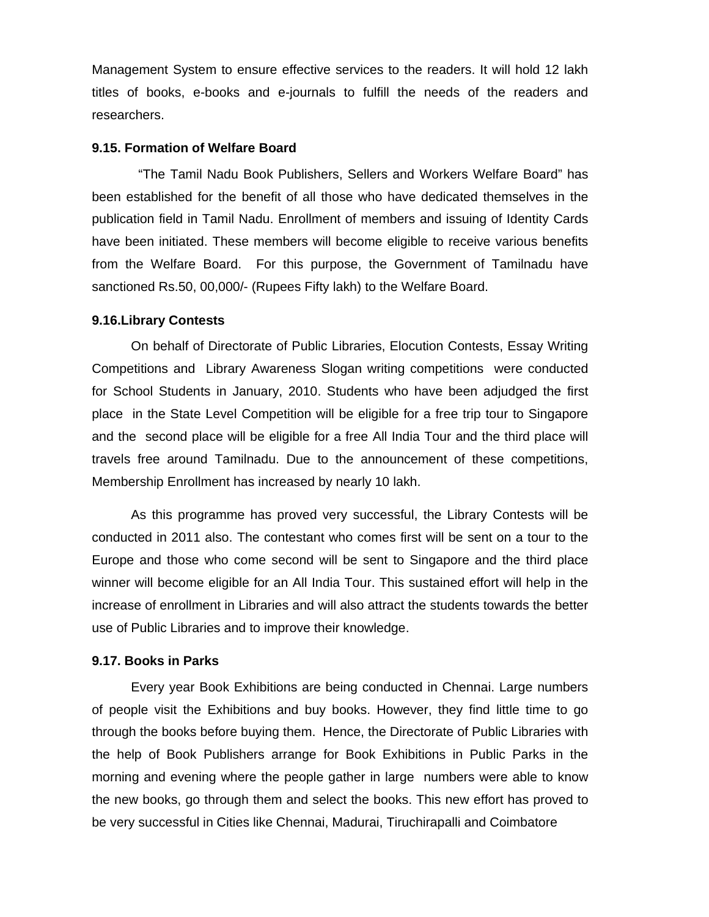Management System to ensure effective services to the readers. It will hold 12 lakh titles of books, e-books and e-journals to fulfill the needs of the readers and researchers.

#### **9.15. Formation of Welfare Board**

 "The Tamil Nadu Book Publishers, Sellers and Workers Welfare Board" has been established for the benefit of all those who have dedicated themselves in the publication field in Tamil Nadu. Enrollment of members and issuing of Identity Cards have been initiated. These members will become eligible to receive various benefits from the Welfare Board. For this purpose, the Government of Tamilnadu have sanctioned Rs.50, 00,000/- (Rupees Fifty lakh) to the Welfare Board.

#### **9.16.Library Contests**

On behalf of Directorate of Public Libraries, Elocution Contests, Essay Writing Competitions and Library Awareness Slogan writing competitions were conducted for School Students in January, 2010. Students who have been adjudged the first place in the State Level Competition will be eligible for a free trip tour to Singapore and the second place will be eligible for a free All India Tour and the third place will travels free around Tamilnadu. Due to the announcement of these competitions, Membership Enrollment has increased by nearly 10 lakh.

As this programme has proved very successful, the Library Contests will be conducted in 2011 also. The contestant who comes first will be sent on a tour to the Europe and those who come second will be sent to Singapore and the third place winner will become eligible for an All India Tour. This sustained effort will help in the increase of enrollment in Libraries and will also attract the students towards the better use of Public Libraries and to improve their knowledge.

#### **9.17. Books in Parks**

Every year Book Exhibitions are being conducted in Chennai. Large numbers of people visit the Exhibitions and buy books. However, they find little time to go through the books before buying them. Hence, the Directorate of Public Libraries with the help of Book Publishers arrange for Book Exhibitions in Public Parks in the morning and evening where the people gather in large numbers were able to know the new books, go through them and select the books. This new effort has proved to be very successful in Cities like Chennai, Madurai, Tiruchirapalli and Coimbatore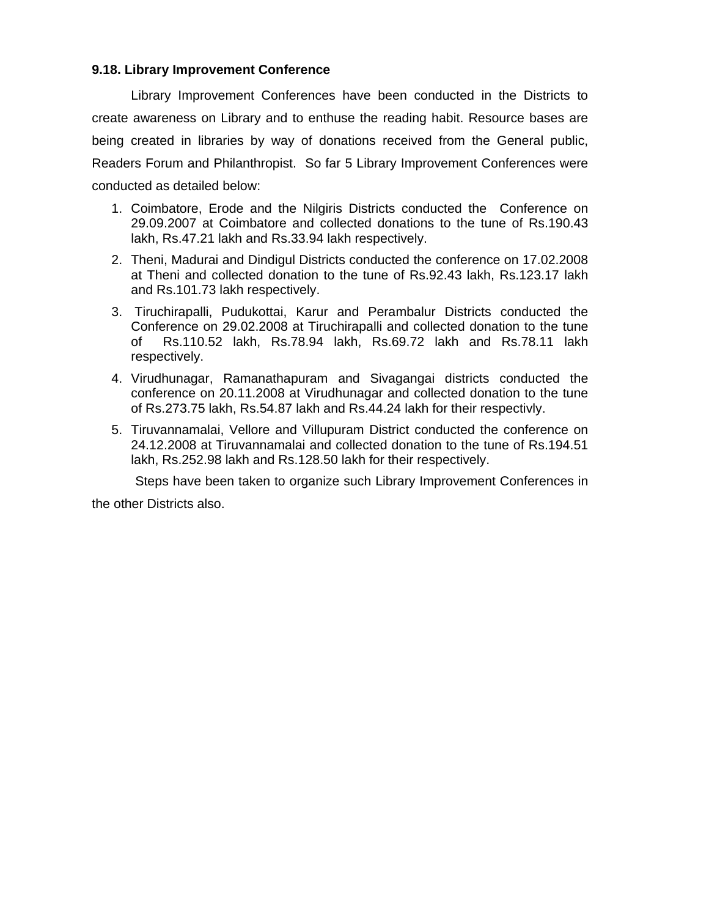## **9.18. Library Improvement Conference**

Library Improvement Conferences have been conducted in the Districts to create awareness on Library and to enthuse the reading habit. Resource bases are being created in libraries by way of donations received from the General public, Readers Forum and Philanthropist. So far 5 Library Improvement Conferences were conducted as detailed below:

- 1. Coimbatore, Erode and the Nilgiris Districts conducted the Conference on 29.09.2007 at Coimbatore and collected donations to the tune of Rs.190.43 lakh, Rs.47.21 lakh and Rs.33.94 lakh respectively.
- 2. Theni, Madurai and Dindigul Districts conducted the conference on 17.02.2008 at Theni and collected donation to the tune of Rs.92.43 lakh, Rs.123.17 lakh and Rs.101.73 lakh respectively.
- 3. Tiruchirapalli, Pudukottai, Karur and Perambalur Districts conducted the Conference on 29.02.2008 at Tiruchirapalli and collected donation to the tune of Rs.110.52 lakh, Rs.78.94 lakh, Rs.69.72 lakh and Rs.78.11 lakh respectively.
- 4. Virudhunagar, Ramanathapuram and Sivagangai districts conducted the conference on 20.11.2008 at Virudhunagar and collected donation to the tune of Rs.273.75 lakh, Rs.54.87 lakh and Rs.44.24 lakh for their respectivly.
- 5. Tiruvannamalai, Vellore and Villupuram District conducted the conference on 24.12.2008 at Tiruvannamalai and collected donation to the tune of Rs.194.51 lakh, Rs.252.98 lakh and Rs.128.50 lakh for their respectively.

Steps have been taken to organize such Library Improvement Conferences in

the other Districts also.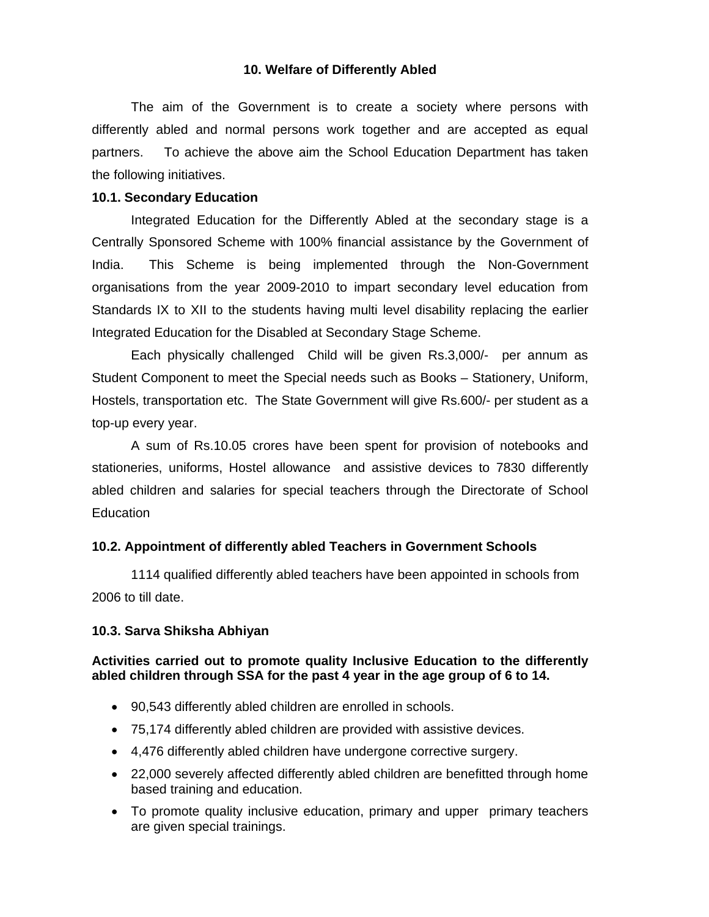## **10. Welfare of Differently Abled**

The aim of the Government is to create a society where persons with differently abled and normal persons work together and are accepted as equal partners. To achieve the above aim the School Education Department has taken the following initiatives.

## **10.1. Secondary Education**

 Integrated Education for the Differently Abled at the secondary stage is a Centrally Sponsored Scheme with 100% financial assistance by the Government of India. This Scheme is being implemented through the Non-Government organisations from the year 2009-2010 to impart secondary level education from Standards IX to XII to the students having multi level disability replacing the earlier Integrated Education for the Disabled at Secondary Stage Scheme.

Each physically challenged Child will be given Rs.3,000/- per annum as Student Component to meet the Special needs such as Books – Stationery, Uniform, Hostels, transportation etc. The State Government will give Rs.600/- per student as a top-up every year.

 A sum of Rs.10.05 crores have been spent for provision of notebooks and stationeries, uniforms, Hostel allowance and assistive devices to 7830 differently abled children and salaries for special teachers through the Directorate of School Education

#### **10.2. Appointment of differently abled Teachers in Government Schools**

 1114 qualified differently abled teachers have been appointed in schools from 2006 to till date.

#### **10.3. Sarva Shiksha Abhiyan**

## **Activities carried out to promote quality Inclusive Education to the differently abled children through SSA for the past 4 year in the age group of 6 to 14.**

- 90,543 differently abled children are enrolled in schools.
- 75,174 differently abled children are provided with assistive devices.
- 4,476 differently abled children have undergone corrective surgery.
- 22,000 severely affected differently abled children are benefitted through home based training and education.
- To promote quality inclusive education, primary and upper primary teachers are given special trainings.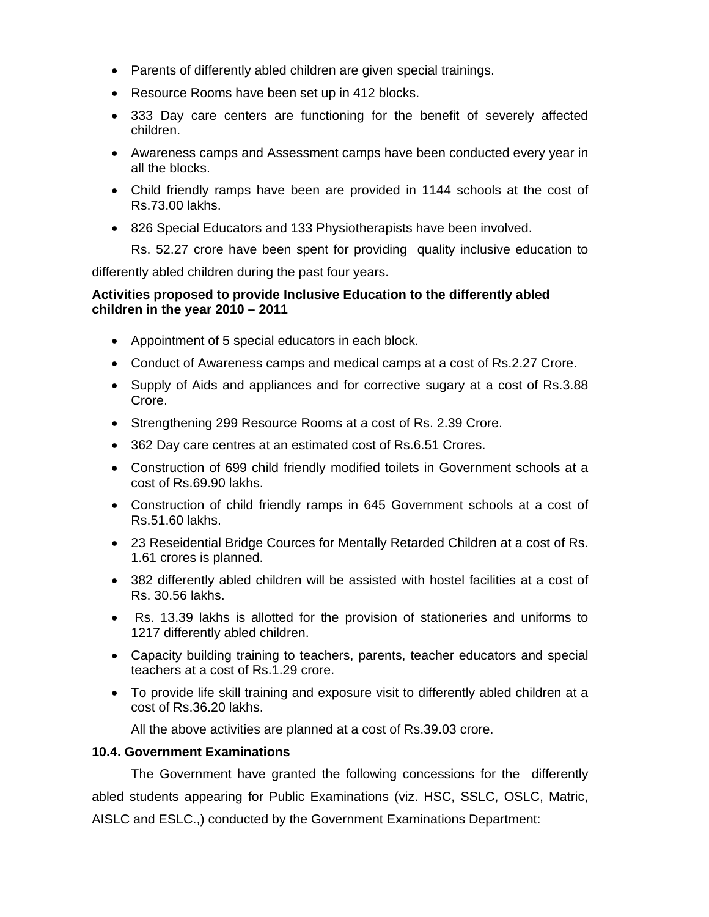- Parents of differently abled children are given special trainings.
- Resource Rooms have been set up in 412 blocks.
- 333 Day care centers are functioning for the benefit of severely affected children.
- Awareness camps and Assessment camps have been conducted every year in all the blocks.
- Child friendly ramps have been are provided in 1144 schools at the cost of Rs.73.00 lakhs.
- 826 Special Educators and 133 Physiotherapists have been involved.

Rs. 52.27 crore have been spent for providing quality inclusive education to

differently abled children during the past four years.

## **Activities proposed to provide Inclusive Education to the differently abled children in the year 2010 – 2011**

- Appointment of 5 special educators in each block.
- Conduct of Awareness camps and medical camps at a cost of Rs.2.27 Crore.
- Supply of Aids and appliances and for corrective sugary at a cost of Rs.3.88 Crore.
- Strengthening 299 Resource Rooms at a cost of Rs. 2.39 Crore.
- 362 Day care centres at an estimated cost of Rs.6.51 Crores.
- Construction of 699 child friendly modified toilets in Government schools at a cost of Rs.69.90 lakhs.
- Construction of child friendly ramps in 645 Government schools at a cost of Rs.51.60 lakhs.
- 23 Reseidential Bridge Cources for Mentally Retarded Children at a cost of Rs. 1.61 crores is planned.
- 382 differently abled children will be assisted with hostel facilities at a cost of Rs. 30.56 lakhs.
- Rs. 13.39 lakhs is allotted for the provision of stationeries and uniforms to 1217 differently abled children.
- Capacity building training to teachers, parents, teacher educators and special teachers at a cost of Rs.1.29 crore.
- To provide life skill training and exposure visit to differently abled children at a cost of Rs.36.20 lakhs.

All the above activities are planned at a cost of Rs.39.03 crore.

## **10.4. Government Examinations**

The Government have granted the following concessions for the differently abled students appearing for Public Examinations (viz. HSC, SSLC, OSLC, Matric, AISLC and ESLC.,) conducted by the Government Examinations Department: